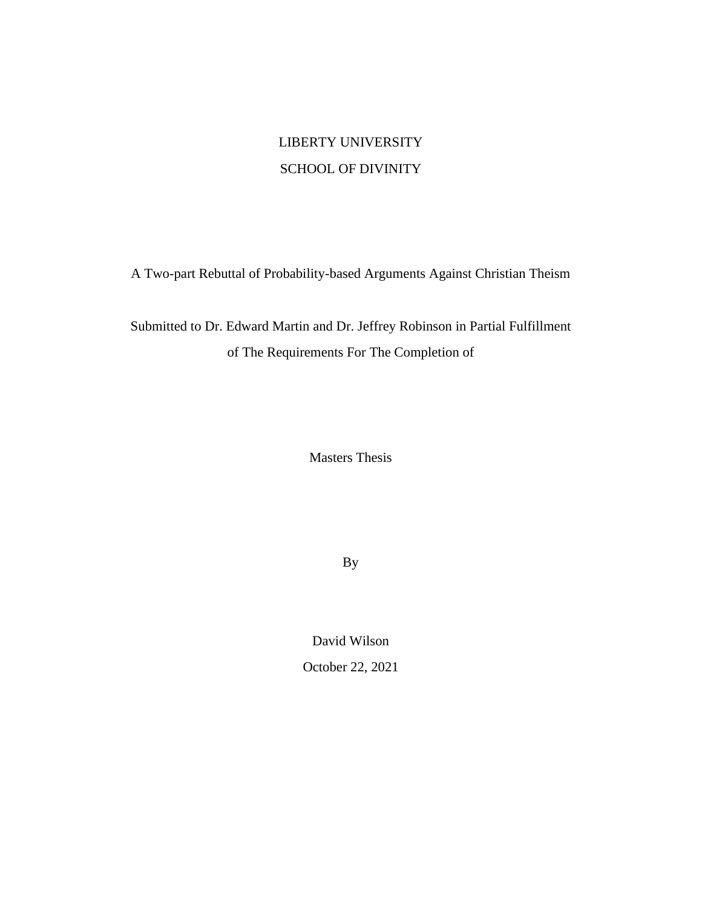## LIBERTY UNIVERSITY SCHOOL OF DIVINITY

A Two-part Rebuttal of Probability-based Arguments Against Christian Theism

Submitted to Dr. Edward Martin and Dr. Jeffrey Robinson in Partial Fulfillment of The Requirements For The Completion of

Masters Thesis

By

David Wilson

October 22, 2021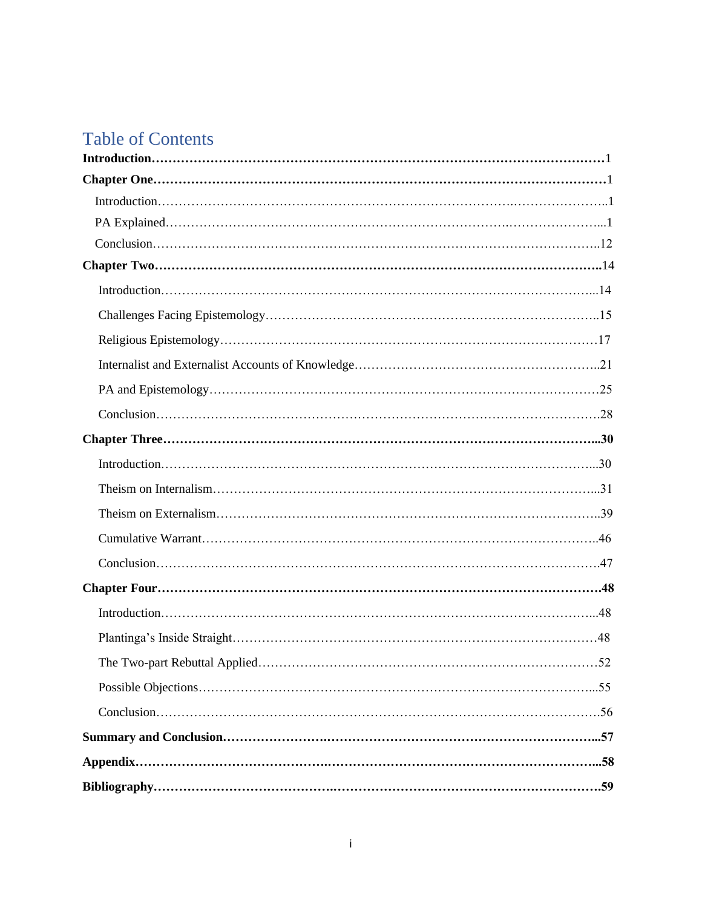# Table of Contents

| . 52 |
|------|
|      |
|      |
|      |
|      |
|      |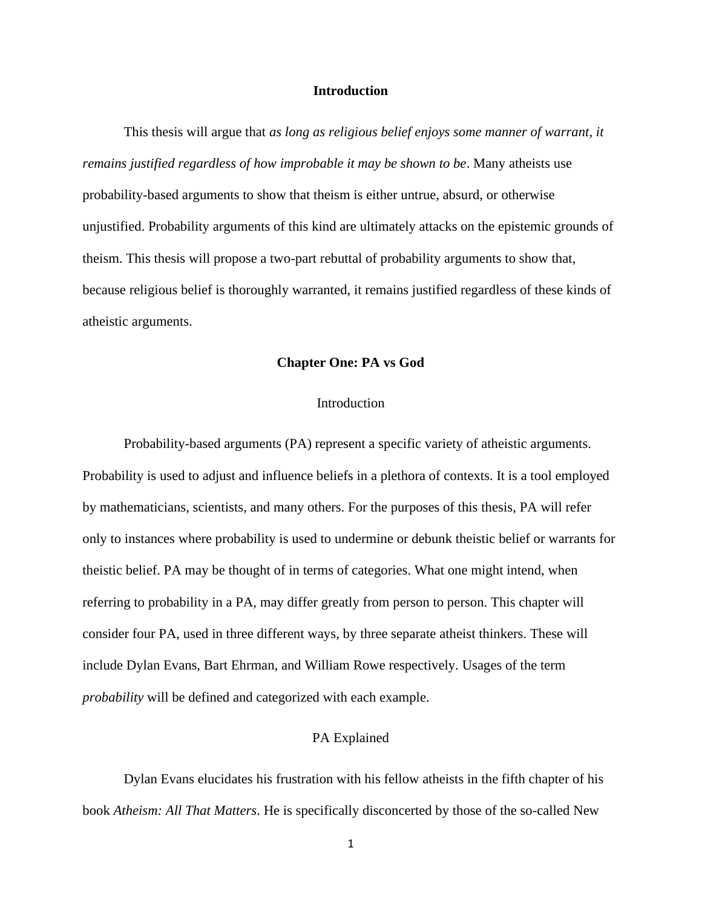## **Introduction**

This thesis will argue that *as long as religious belief enjoys some manner of warrant, it remains justified regardless of how improbable it may be shown to be*. Many atheists use probability-based arguments to show that theism is either untrue, absurd, or otherwise unjustified. Probability arguments of this kind are ultimately attacks on the epistemic grounds of theism. This thesis will propose a two-part rebuttal of probability arguments to show that, because religious belief is thoroughly warranted, it remains justified regardless of these kinds of atheistic arguments.

#### **Chapter One: PA vs God**

## **Introduction**

Probability-based arguments (PA) represent a specific variety of atheistic arguments. Probability is used to adjust and influence beliefs in a plethora of contexts. It is a tool employed by mathematicians, scientists, and many others. For the purposes of this thesis, PA will refer only to instances where probability is used to undermine or debunk theistic belief or warrants for theistic belief. PA may be thought of in terms of categories. What one might intend, when referring to probability in a PA, may differ greatly from person to person. This chapter will consider four PA, used in three different ways, by three separate atheist thinkers. These will include Dylan Evans, Bart Ehrman, and William Rowe respectively. Usages of the term *probability* will be defined and categorized with each example.

#### PA Explained

Dylan Evans elucidates his frustration with his fellow atheists in the fifth chapter of his book *Atheism: All That Matters*. He is specifically disconcerted by those of the so-called New

1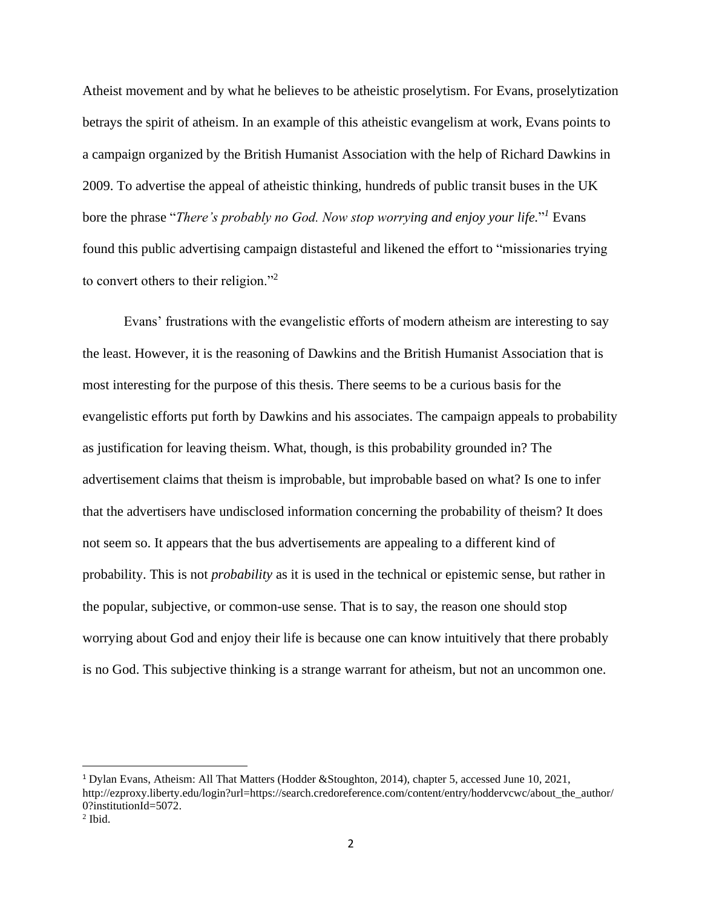Atheist movement and by what he believes to be atheistic proselytism. For Evans, proselytization betrays the spirit of atheism. In an example of this atheistic evangelism at work, Evans points to a campaign organized by the British Humanist Association with the help of Richard Dawkins in 2009. To advertise the appeal of atheistic thinking, hundreds of public transit buses in the UK bore the phrase "*There's probably no God. Now stop worrying and enjoy your life.*" *<sup>1</sup>* Evans found this public advertising campaign distasteful and likened the effort to "missionaries trying to convert others to their religion."<sup>2</sup>

Evans' frustrations with the evangelistic efforts of modern atheism are interesting to say the least. However, it is the reasoning of Dawkins and the British Humanist Association that is most interesting for the purpose of this thesis. There seems to be a curious basis for the evangelistic efforts put forth by Dawkins and his associates. The campaign appeals to probability as justification for leaving theism. What, though, is this probability grounded in? The advertisement claims that theism is improbable, but improbable based on what? Is one to infer that the advertisers have undisclosed information concerning the probability of theism? It does not seem so. It appears that the bus advertisements are appealing to a different kind of probability. This is not *probability* as it is used in the technical or epistemic sense, but rather in the popular, subjective, or common-use sense. That is to say, the reason one should stop worrying about God and enjoy their life is because one can know intuitively that there probably is no God. This subjective thinking is a strange warrant for atheism, but not an uncommon one.

<sup>1</sup> Dylan Evans, Atheism: All That Matters (Hodder &Stoughton, 2014), chapter 5, accessed June 10, 2021, http://ezproxy.liberty.edu/login?url=https://search.credoreference.com/content/entry/hoddervcwc/about\_the\_author/ 0?institutionId=5072.

 $<sup>2</sup>$  Ibid.</sup>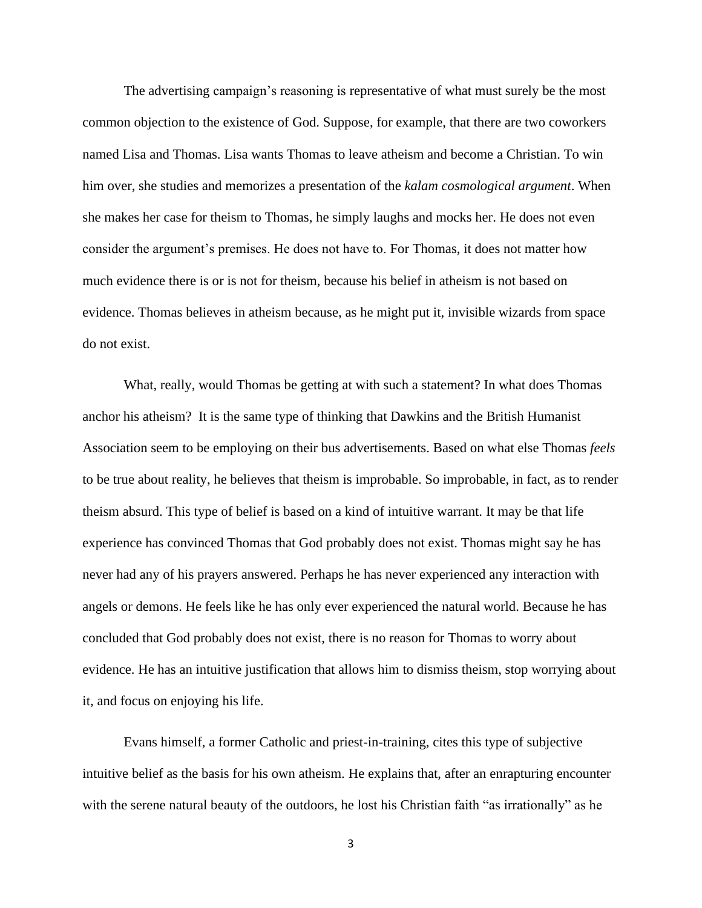The advertising campaign's reasoning is representative of what must surely be the most common objection to the existence of God. Suppose, for example, that there are two coworkers named Lisa and Thomas. Lisa wants Thomas to leave atheism and become a Christian. To win him over, she studies and memorizes a presentation of the *kalam cosmological argument*. When she makes her case for theism to Thomas, he simply laughs and mocks her. He does not even consider the argument's premises. He does not have to. For Thomas, it does not matter how much evidence there is or is not for theism, because his belief in atheism is not based on evidence. Thomas believes in atheism because, as he might put it, invisible wizards from space do not exist.

What, really, would Thomas be getting at with such a statement? In what does Thomas anchor his atheism? It is the same type of thinking that Dawkins and the British Humanist Association seem to be employing on their bus advertisements. Based on what else Thomas *feels*  to be true about reality, he believes that theism is improbable. So improbable, in fact, as to render theism absurd. This type of belief is based on a kind of intuitive warrant. It may be that life experience has convinced Thomas that God probably does not exist. Thomas might say he has never had any of his prayers answered. Perhaps he has never experienced any interaction with angels or demons. He feels like he has only ever experienced the natural world. Because he has concluded that God probably does not exist, there is no reason for Thomas to worry about evidence. He has an intuitive justification that allows him to dismiss theism, stop worrying about it, and focus on enjoying his life.

Evans himself, a former Catholic and priest-in-training, cites this type of subjective intuitive belief as the basis for his own atheism. He explains that, after an enrapturing encounter with the serene natural beauty of the outdoors, he lost his Christian faith "as irrationally" as he

3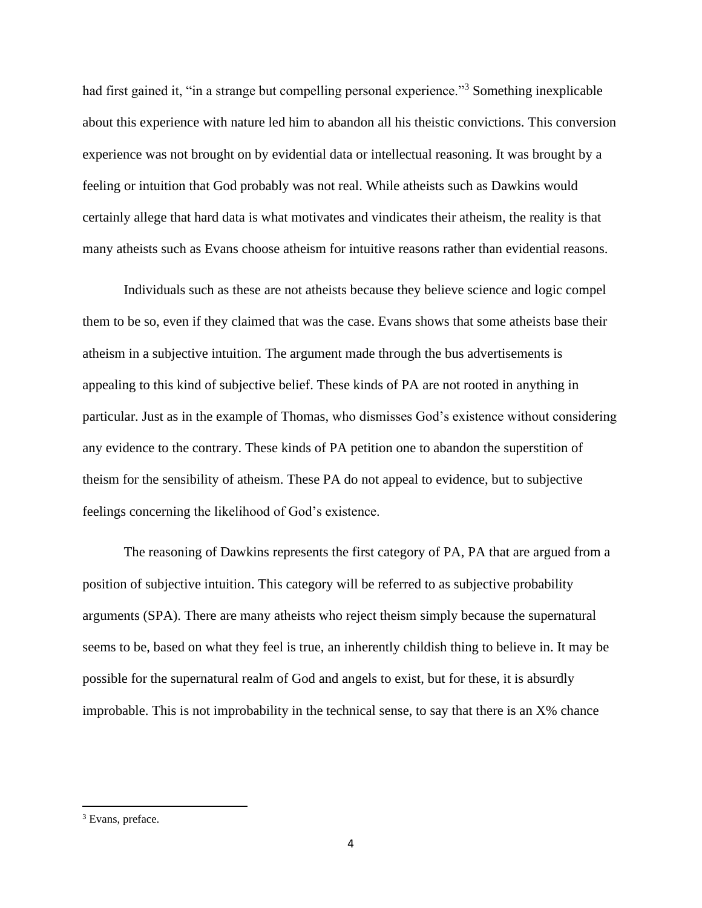had first gained it, "in a strange but compelling personal experience."<sup>3</sup> Something inexplicable about this experience with nature led him to abandon all his theistic convictions. This conversion experience was not brought on by evidential data or intellectual reasoning. It was brought by a feeling or intuition that God probably was not real. While atheists such as Dawkins would certainly allege that hard data is what motivates and vindicates their atheism, the reality is that many atheists such as Evans choose atheism for intuitive reasons rather than evidential reasons.

Individuals such as these are not atheists because they believe science and logic compel them to be so, even if they claimed that was the case. Evans shows that some atheists base their atheism in a subjective intuition. The argument made through the bus advertisements is appealing to this kind of subjective belief. These kinds of PA are not rooted in anything in particular. Just as in the example of Thomas, who dismisses God's existence without considering any evidence to the contrary. These kinds of PA petition one to abandon the superstition of theism for the sensibility of atheism. These PA do not appeal to evidence, but to subjective feelings concerning the likelihood of God's existence.

The reasoning of Dawkins represents the first category of PA, PA that are argued from a position of subjective intuition. This category will be referred to as subjective probability arguments (SPA). There are many atheists who reject theism simply because the supernatural seems to be, based on what they feel is true, an inherently childish thing to believe in. It may be possible for the supernatural realm of God and angels to exist, but for these, it is absurdly improbable. This is not improbability in the technical sense, to say that there is an X% chance

<sup>&</sup>lt;sup>3</sup> Evans, preface.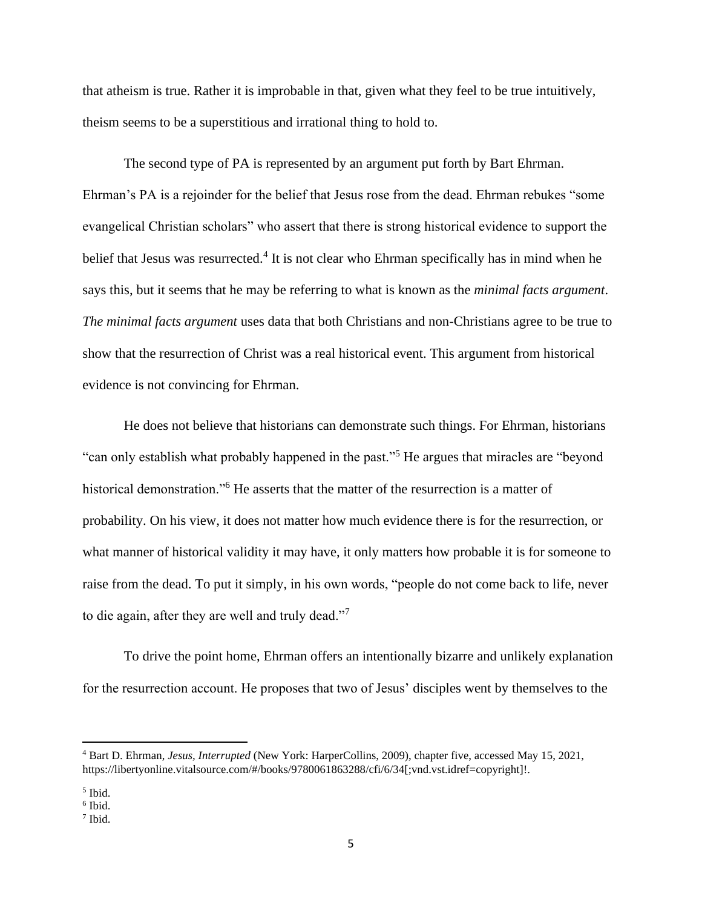that atheism is true. Rather it is improbable in that, given what they feel to be true intuitively, theism seems to be a superstitious and irrational thing to hold to.

The second type of PA is represented by an argument put forth by Bart Ehrman. Ehrman's PA is a rejoinder for the belief that Jesus rose from the dead. Ehrman rebukes "some evangelical Christian scholars" who assert that there is strong historical evidence to support the belief that Jesus was resurrected.<sup>4</sup> It is not clear who Ehrman specifically has in mind when he says this, but it seems that he may be referring to what is known as the *minimal facts argument*. *The minimal facts argument* uses data that both Christians and non-Christians agree to be true to show that the resurrection of Christ was a real historical event. This argument from historical evidence is not convincing for Ehrman.

He does not believe that historians can demonstrate such things. For Ehrman, historians "can only establish what probably happened in the past."<sup>5</sup> He argues that miracles are "beyond historical demonstration."<sup>6</sup> He asserts that the matter of the resurrection is a matter of probability. On his view, it does not matter how much evidence there is for the resurrection, or what manner of historical validity it may have, it only matters how probable it is for someone to raise from the dead. To put it simply, in his own words, "people do not come back to life, never to die again, after they are well and truly dead."<sup>7</sup>

To drive the point home, Ehrman offers an intentionally bizarre and unlikely explanation for the resurrection account. He proposes that two of Jesus' disciples went by themselves to the

<sup>4</sup> Bart D. Ehrman, *Jesus, Interrupted* (New York: HarperCollins, 2009), chapter five, accessed May 15, 2021, https://libertyonline.vitalsource.com/#/books/9780061863288/cfi/6/34[;vnd.vst.idref=copyright]!.

<sup>5</sup> Ibid.

<sup>6</sup> Ibid.

<sup>7</sup> Ibid.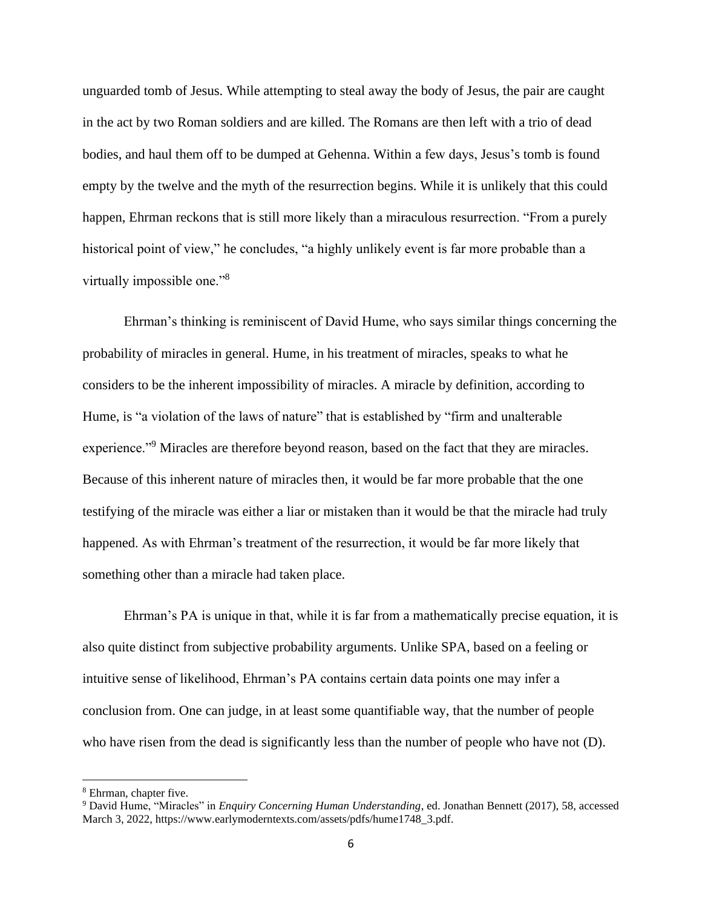unguarded tomb of Jesus. While attempting to steal away the body of Jesus, the pair are caught in the act by two Roman soldiers and are killed. The Romans are then left with a trio of dead bodies, and haul them off to be dumped at Gehenna. Within a few days, Jesus's tomb is found empty by the twelve and the myth of the resurrection begins. While it is unlikely that this could happen, Ehrman reckons that is still more likely than a miraculous resurrection. "From a purely historical point of view," he concludes, "a highly unlikely event is far more probable than a virtually impossible one."<sup>8</sup>

Ehrman's thinking is reminiscent of David Hume, who says similar things concerning the probability of miracles in general. Hume, in his treatment of miracles, speaks to what he considers to be the inherent impossibility of miracles. A miracle by definition, according to Hume, is "a violation of the laws of nature" that is established by "firm and unalterable experience."<sup>9</sup> Miracles are therefore beyond reason, based on the fact that they are miracles. Because of this inherent nature of miracles then, it would be far more probable that the one testifying of the miracle was either a liar or mistaken than it would be that the miracle had truly happened. As with Ehrman's treatment of the resurrection, it would be far more likely that something other than a miracle had taken place.

Ehrman's PA is unique in that, while it is far from a mathematically precise equation, it is also quite distinct from subjective probability arguments. Unlike SPA, based on a feeling or intuitive sense of likelihood, Ehrman's PA contains certain data points one may infer a conclusion from. One can judge, in at least some quantifiable way, that the number of people who have risen from the dead is significantly less than the number of people who have not (D).

<sup>8</sup> Ehrman, chapter five.

<sup>9</sup> David Hume, "Miracles" in *Enquiry Concerning Human Understanding*, ed. Jonathan Bennett (2017), 58, accessed March 3, 2022, https://www.earlymoderntexts.com/assets/pdfs/hume1748\_3.pdf.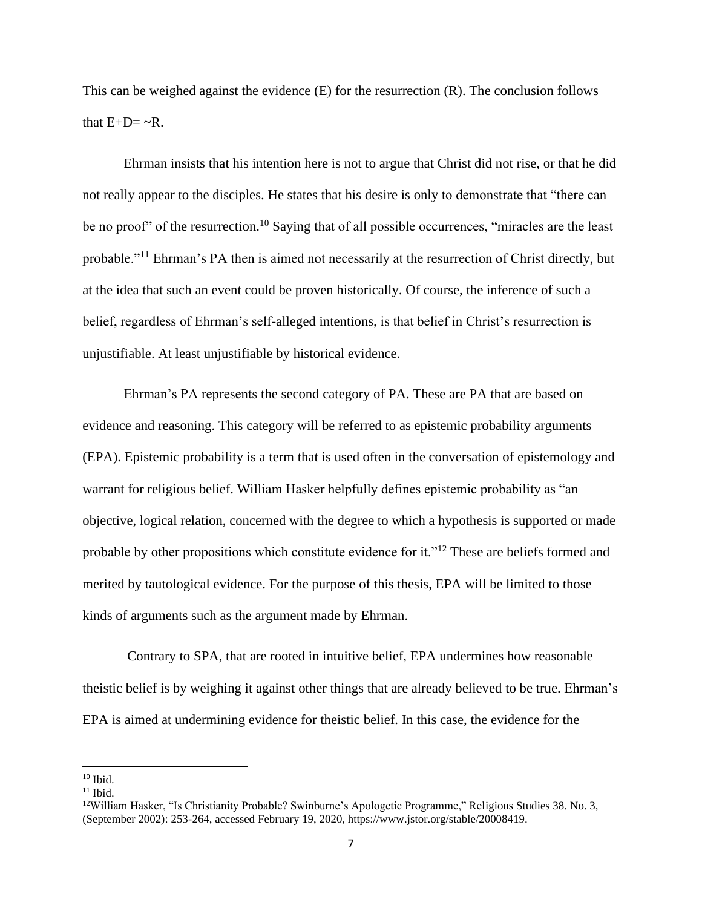This can be weighed against the evidence (E) for the resurrection (R). The conclusion follows that  $E+D=-R$ .

Ehrman insists that his intention here is not to argue that Christ did not rise, or that he did not really appear to the disciples. He states that his desire is only to demonstrate that "there can be no proof" of the resurrection.<sup>10</sup> Saying that of all possible occurrences, "miracles are the least probable."<sup>11</sup> Ehrman's PA then is aimed not necessarily at the resurrection of Christ directly, but at the idea that such an event could be proven historically. Of course, the inference of such a belief, regardless of Ehrman's self-alleged intentions, is that belief in Christ's resurrection is unjustifiable. At least unjustifiable by historical evidence.

Ehrman's PA represents the second category of PA. These are PA that are based on evidence and reasoning. This category will be referred to as epistemic probability arguments (EPA). Epistemic probability is a term that is used often in the conversation of epistemology and warrant for religious belief. William Hasker helpfully defines epistemic probability as "an objective, logical relation, concerned with the degree to which a hypothesis is supported or made probable by other propositions which constitute evidence for it."<sup>12</sup> These are beliefs formed and merited by tautological evidence. For the purpose of this thesis, EPA will be limited to those kinds of arguments such as the argument made by Ehrman.

Contrary to SPA, that are rooted in intuitive belief, EPA undermines how reasonable theistic belief is by weighing it against other things that are already believed to be true. Ehrman's EPA is aimed at undermining evidence for theistic belief. In this case, the evidence for the

 $10$  Ibid.

 $11$  Ibid.

<sup>12</sup>William Hasker, "Is Christianity Probable? Swinburne's Apologetic Programme," Religious Studies 38. No. 3, (September 2002): 253-264, accessed February 19, 2020, https://www.jstor.org/stable/20008419.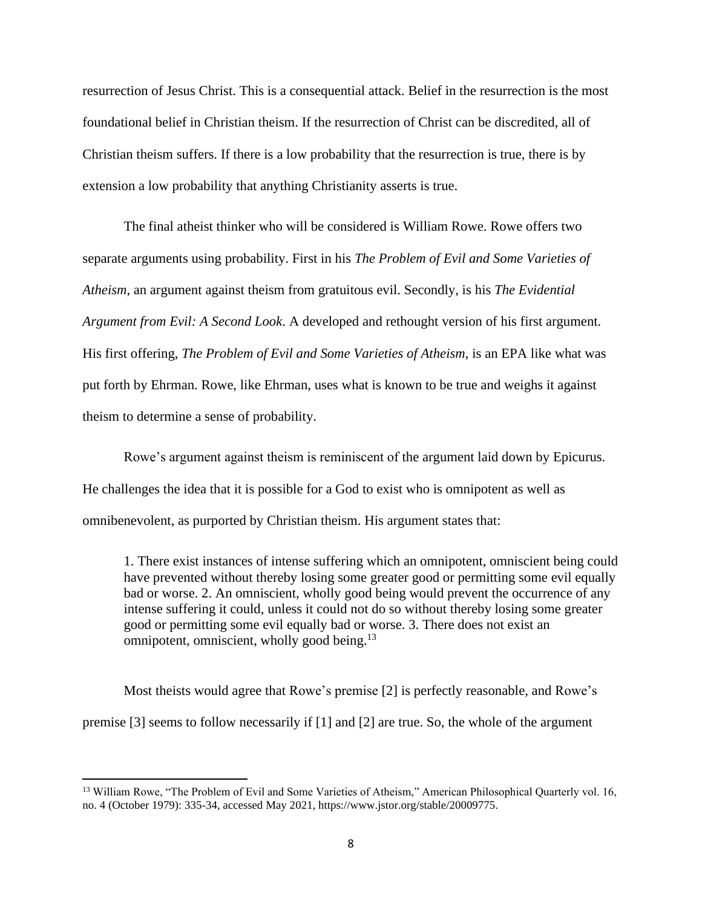resurrection of Jesus Christ. This is a consequential attack. Belief in the resurrection is the most foundational belief in Christian theism. If the resurrection of Christ can be discredited, all of Christian theism suffers. If there is a low probability that the resurrection is true, there is by extension a low probability that anything Christianity asserts is true.

The final atheist thinker who will be considered is William Rowe. Rowe offers two separate arguments using probability. First in his *The Problem of Evil and Some Varieties of Atheism*, an argument against theism from gratuitous evil. Secondly, is his *The Evidential Argument from Evil: A Second Look*. A developed and rethought version of his first argument. His first offering, *The Problem of Evil and Some Varieties of Atheism*, is an EPA like what was put forth by Ehrman. Rowe, like Ehrman, uses what is known to be true and weighs it against theism to determine a sense of probability.

Rowe's argument against theism is reminiscent of the argument laid down by Epicurus. He challenges the idea that it is possible for a God to exist who is omnipotent as well as omnibenevolent, as purported by Christian theism. His argument states that:

1. There exist instances of intense suffering which an omnipotent, omniscient being could have prevented without thereby losing some greater good or permitting some evil equally bad or worse. 2. An omniscient, wholly good being would prevent the occurrence of any intense suffering it could, unless it could not do so without thereby losing some greater good or permitting some evil equally bad or worse. 3. There does not exist an omnipotent, omniscient, wholly good being.<sup>13</sup>

Most theists would agree that Rowe's premise [2] is perfectly reasonable, and Rowe's premise [3] seems to follow necessarily if [1] and [2] are true. So, the whole of the argument

<sup>&</sup>lt;sup>13</sup> William Rowe, "The Problem of Evil and Some Varieties of Atheism," American Philosophical Quarterly vol. 16, no. 4 (October 1979): 335-34, accessed May 2021, https://www.jstor.org/stable/20009775.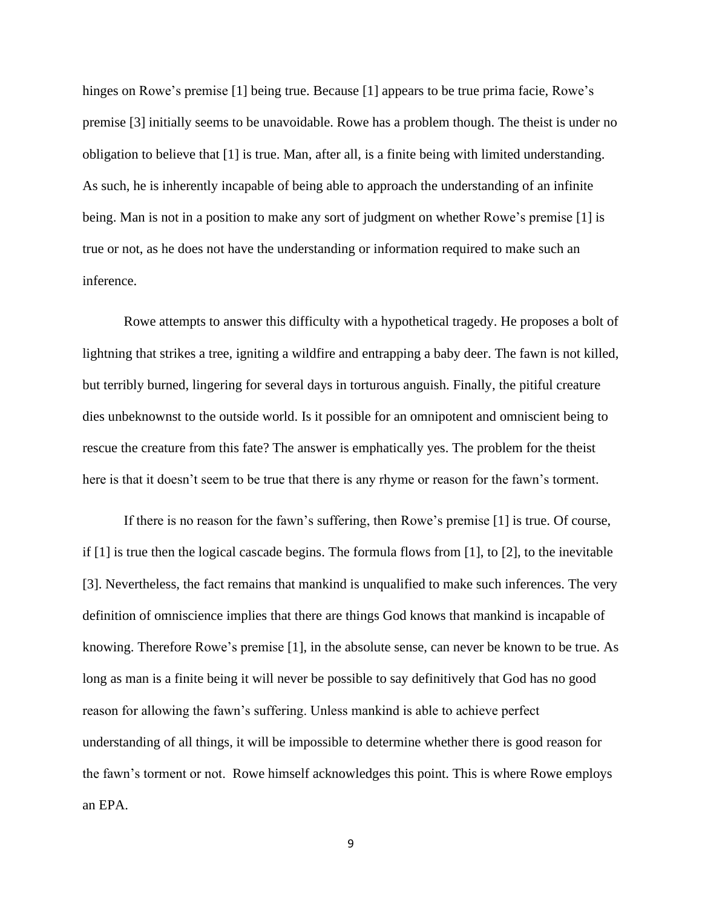hinges on Rowe's premise [1] being true. Because [1] appears to be true prima facie, Rowe's premise [3] initially seems to be unavoidable. Rowe has a problem though. The theist is under no obligation to believe that [1] is true. Man, after all, is a finite being with limited understanding. As such, he is inherently incapable of being able to approach the understanding of an infinite being. Man is not in a position to make any sort of judgment on whether Rowe's premise [1] is true or not, as he does not have the understanding or information required to make such an inference.

Rowe attempts to answer this difficulty with a hypothetical tragedy. He proposes a bolt of lightning that strikes a tree, igniting a wildfire and entrapping a baby deer. The fawn is not killed, but terribly burned, lingering for several days in torturous anguish. Finally, the pitiful creature dies unbeknownst to the outside world. Is it possible for an omnipotent and omniscient being to rescue the creature from this fate? The answer is emphatically yes. The problem for the theist here is that it doesn't seem to be true that there is any rhyme or reason for the fawn's torment.

If there is no reason for the fawn's suffering, then Rowe's premise [1] is true. Of course, if [1] is true then the logical cascade begins. The formula flows from [1], to [2], to the inevitable [3]. Nevertheless, the fact remains that mankind is unqualified to make such inferences. The very definition of omniscience implies that there are things God knows that mankind is incapable of knowing. Therefore Rowe's premise [1], in the absolute sense, can never be known to be true. As long as man is a finite being it will never be possible to say definitively that God has no good reason for allowing the fawn's suffering. Unless mankind is able to achieve perfect understanding of all things, it will be impossible to determine whether there is good reason for the fawn's torment or not. Rowe himself acknowledges this point. This is where Rowe employs an EPA.

9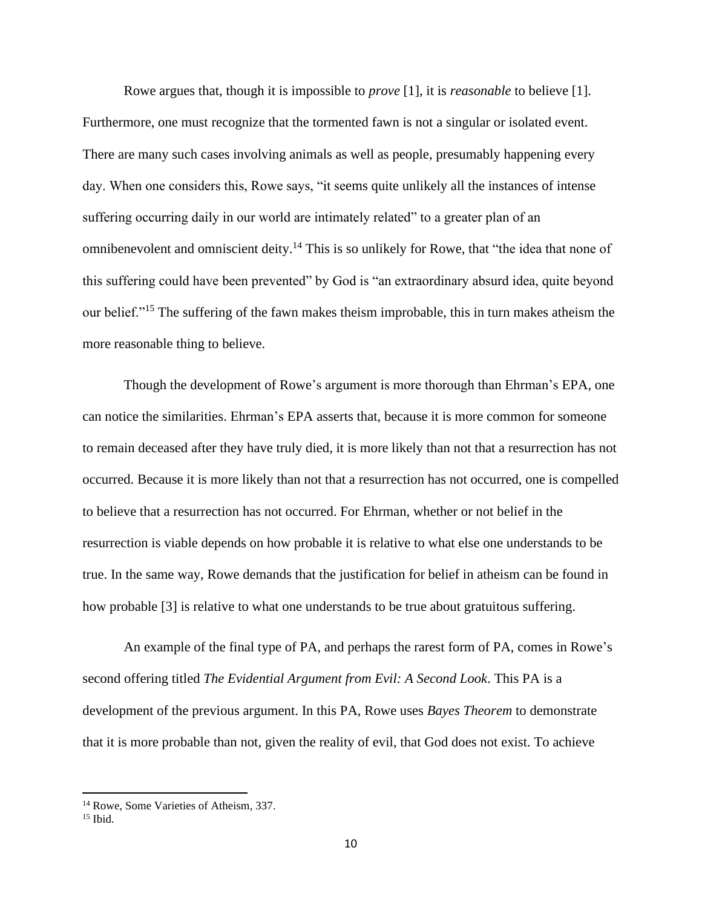Rowe argues that, though it is impossible to *prove* [1], it is *reasonable* to believe [1]. Furthermore, one must recognize that the tormented fawn is not a singular or isolated event. There are many such cases involving animals as well as people, presumably happening every day. When one considers this, Rowe says, "it seems quite unlikely all the instances of intense suffering occurring daily in our world are intimately related" to a greater plan of an omnibenevolent and omniscient deity.<sup>14</sup> This is so unlikely for Rowe, that "the idea that none of this suffering could have been prevented" by God is "an extraordinary absurd idea, quite beyond our belief."<sup>15</sup> The suffering of the fawn makes theism improbable, this in turn makes atheism the more reasonable thing to believe.

Though the development of Rowe's argument is more thorough than Ehrman's EPA, one can notice the similarities. Ehrman's EPA asserts that, because it is more common for someone to remain deceased after they have truly died, it is more likely than not that a resurrection has not occurred. Because it is more likely than not that a resurrection has not occurred, one is compelled to believe that a resurrection has not occurred. For Ehrman, whether or not belief in the resurrection is viable depends on how probable it is relative to what else one understands to be true. In the same way, Rowe demands that the justification for belief in atheism can be found in how probable [3] is relative to what one understands to be true about gratuitous suffering.

An example of the final type of PA, and perhaps the rarest form of PA, comes in Rowe's second offering titled *The Evidential Argument from Evil: A Second Look*. This PA is a development of the previous argument. In this PA, Rowe uses *Bayes Theorem* to demonstrate that it is more probable than not, given the reality of evil, that God does not exist. To achieve

<sup>14</sup> Rowe, Some Varieties of Atheism, 337.

 $15$  Ibid.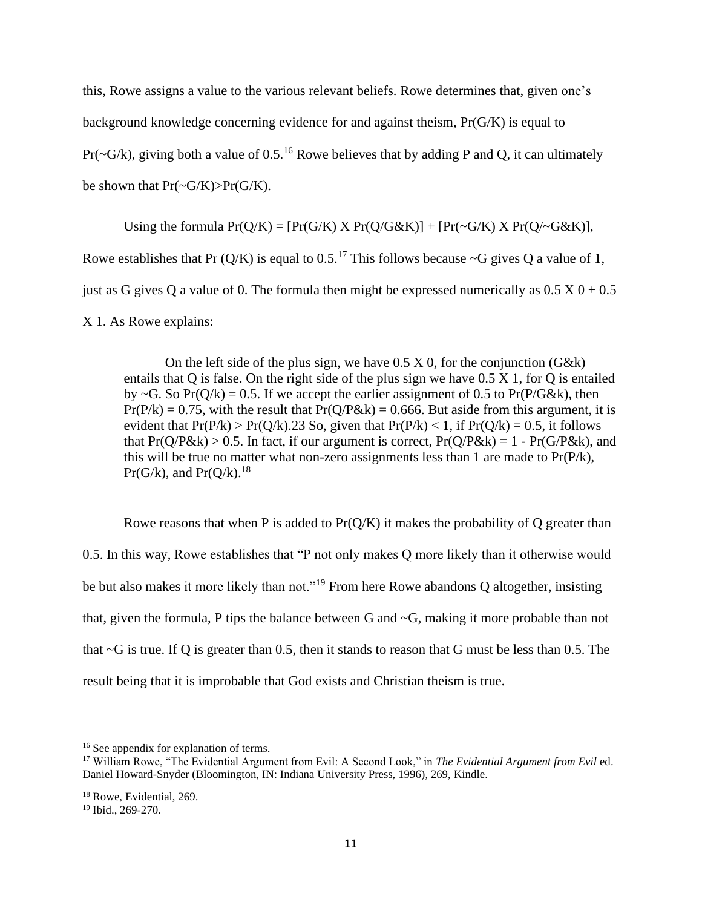this, Rowe assigns a value to the various relevant beliefs. Rowe determines that, given one's background knowledge concerning evidence for and against theism, Pr(G/K) is equal to Pr( $\sim$ G/k), giving both a value of 0.5.<sup>16</sup> Rowe believes that by adding P and Q, it can ultimately be shown that  $Pr(\sim G/K) > Pr(G/K)$ .

Using the formula  $Pr(Q/K) = [Pr(G/K) \times Pr(Q/G\&K)] + [Pr(\sim G/K) \times Pr(Q/\sim G\&K)]$ , Rowe establishes that Pr  $(Q/K)$  is equal to 0.5.<sup>17</sup> This follows because  $\sim$ G gives Q a value of 1, just as G gives Q a value of 0. The formula then might be expressed numerically as  $0.5 \times 0 + 0.5$ X 1. As Rowe explains:

On the left side of the plus sign, we have  $0.5 \times 0$ , for the conjunction (G&k) entails that Q is false. On the right side of the plus sign we have  $0.5 \times 1$ , for Q is entailed by  $\sim$ G. So Pr(Q/k) = 0.5. If we accept the earlier assignment of 0.5 to Pr(P/G&k), then  $Pr(P/k) = 0.75$ , with the result that  $Pr(Q/P \& k) = 0.666$ . But aside from this argument, it is evident that  $Pr(P/k) > Pr(Q/k)$ .23 So, given that  $Pr(P/k) < 1$ , if  $Pr(Q/k) = 0.5$ , it follows that  $Pr(Q/P\&k) > 0.5$ . In fact, if our argument is correct,  $Pr(Q/P\&k) = 1 - Pr(G/P\&k)$ , and this will be true no matter what non-zero assignments less than 1 are made to Pr(P/k),  $Pr(G/k)$ , and  $Pr(O/k)$ .<sup>18</sup>

Rowe reasons that when P is added to  $Pr(Q/K)$  it makes the probability of Q greater than 0.5. In this way, Rowe establishes that "P not only makes Q more likely than it otherwise would be but also makes it more likely than not."<sup>19</sup> From here Rowe abandons Q altogether, insisting that, given the formula, P tips the balance between G and ~G, making it more probable than not that ~G is true. If Q is greater than 0.5, then it stands to reason that G must be less than 0.5. The result being that it is improbable that God exists and Christian theism is true.

<sup>&</sup>lt;sup>16</sup> See appendix for explanation of terms.

<sup>&</sup>lt;sup>17</sup> William Rowe, "The Evidential Argument from Evil: A Second Look," in *The Evidential Argument from Evil* ed. Daniel Howard-Snyder (Bloomington, IN: Indiana University Press, 1996), 269, Kindle.

<sup>18</sup> Rowe, Evidential, 269.

<sup>19</sup> Ibid., 269-270.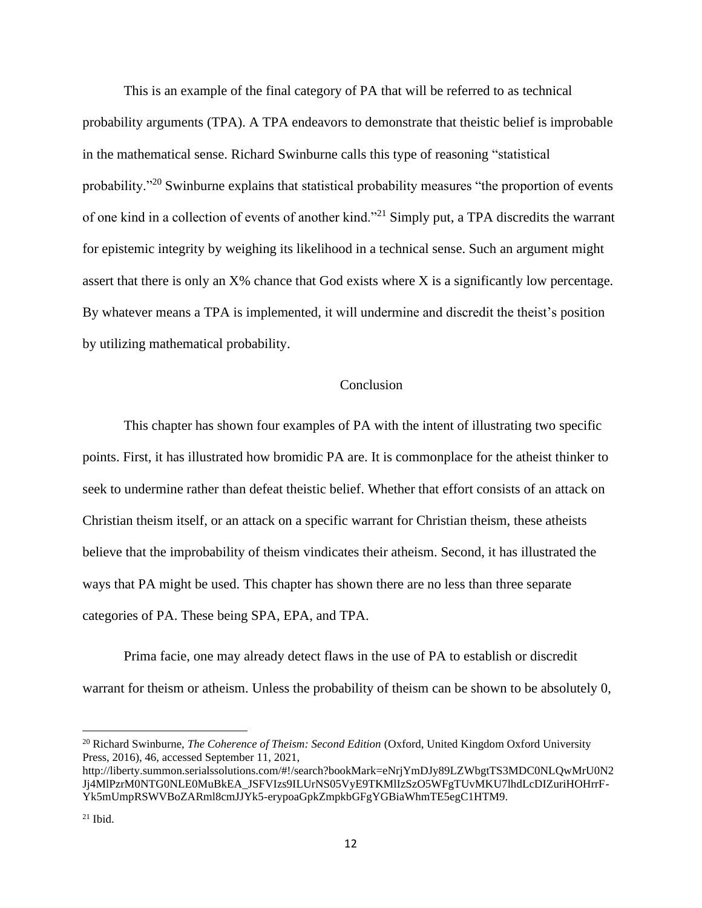This is an example of the final category of PA that will be referred to as technical probability arguments (TPA). A TPA endeavors to demonstrate that theistic belief is improbable in the mathematical sense. Richard Swinburne calls this type of reasoning "statistical probability."<sup>20</sup> Swinburne explains that statistical probability measures "the proportion of events" of one kind in a collection of events of another kind."<sup>21</sup> Simply put, a TPA discredits the warrant for epistemic integrity by weighing its likelihood in a technical sense. Such an argument might assert that there is only an X% chance that God exists where X is a significantly low percentage. By whatever means a TPA is implemented, it will undermine and discredit the theist's position by utilizing mathematical probability.

## Conclusion

This chapter has shown four examples of PA with the intent of illustrating two specific points. First, it has illustrated how bromidic PA are. It is commonplace for the atheist thinker to seek to undermine rather than defeat theistic belief. Whether that effort consists of an attack on Christian theism itself, or an attack on a specific warrant for Christian theism, these atheists believe that the improbability of theism vindicates their atheism. Second, it has illustrated the ways that PA might be used. This chapter has shown there are no less than three separate categories of PA. These being SPA, EPA, and TPA.

Prima facie, one may already detect flaws in the use of PA to establish or discredit warrant for theism or atheism. Unless the probability of theism can be shown to be absolutely 0,

<sup>20</sup> Richard Swinburne, *The Coherence of Theism: Second Edition* (Oxford, United Kingdom Oxford University Press, 2016), 46, accessed September 11, 2021,

http://liberty.summon.serialssolutions.com/#!/search?bookMark=eNrjYmDJy89LZWbgtTS3MDC0NLQwMrU0N2 Jj4MlPzrM0NTG0NLE0MuBkEA\_JSFVIzs9ILUrNS05VyE9TKMlIzSzO5WFgTUvMKU7lhdLcDIZuriHOHrrF-Yk5mUmpRSWVBoZARml8cmJJYk5-erypoaGpkZmpkbGFgYGBiaWhmTE5egC1HTM9.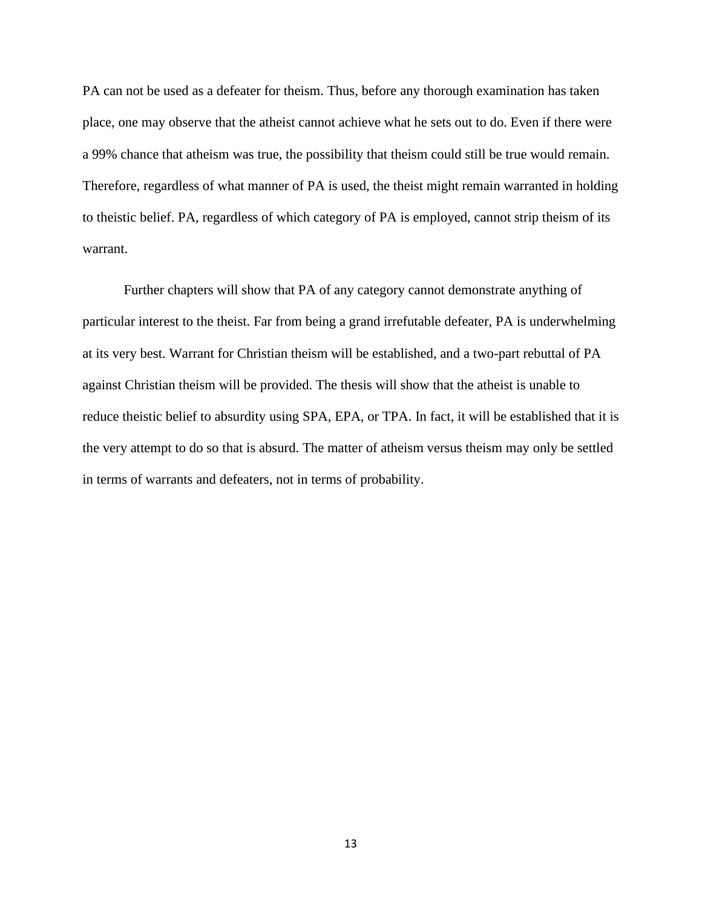PA can not be used as a defeater for theism. Thus, before any thorough examination has taken place, one may observe that the atheist cannot achieve what he sets out to do. Even if there were a 99% chance that atheism was true, the possibility that theism could still be true would remain. Therefore, regardless of what manner of PA is used, the theist might remain warranted in holding to theistic belief. PA, regardless of which category of PA is employed, cannot strip theism of its warrant.

Further chapters will show that PA of any category cannot demonstrate anything of particular interest to the theist. Far from being a grand irrefutable defeater, PA is underwhelming at its very best. Warrant for Christian theism will be established, and a two-part rebuttal of PA against Christian theism will be provided. The thesis will show that the atheist is unable to reduce theistic belief to absurdity using SPA, EPA, or TPA. In fact, it will be established that it is the very attempt to do so that is absurd. The matter of atheism versus theism may only be settled in terms of warrants and defeaters, not in terms of probability.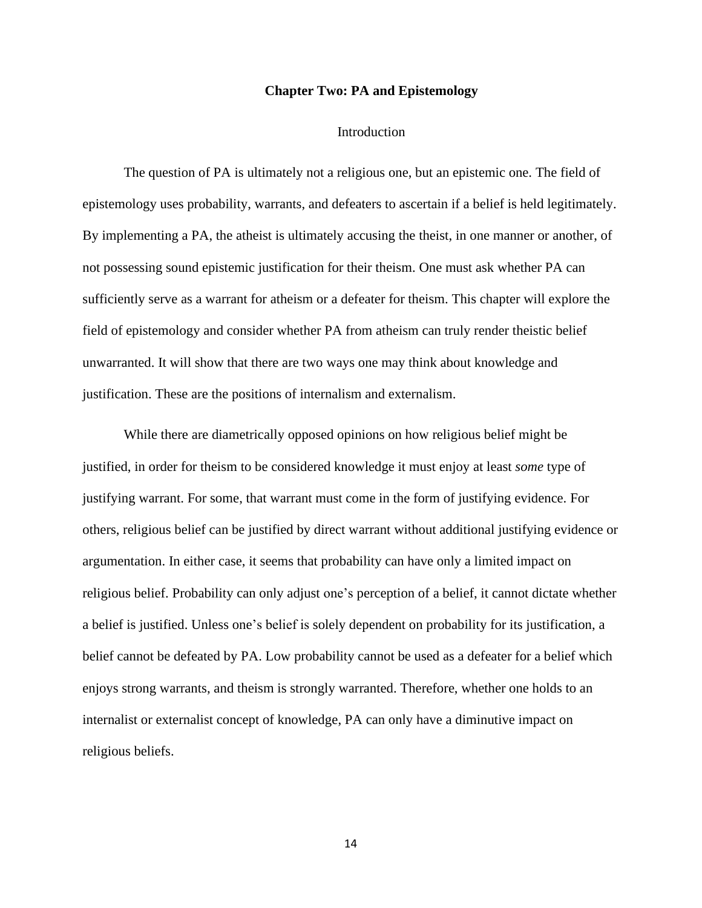## **Chapter Two: PA and Epistemology**

#### Introduction

The question of PA is ultimately not a religious one, but an epistemic one. The field of epistemology uses probability, warrants, and defeaters to ascertain if a belief is held legitimately. By implementing a PA, the atheist is ultimately accusing the theist, in one manner or another, of not possessing sound epistemic justification for their theism. One must ask whether PA can sufficiently serve as a warrant for atheism or a defeater for theism. This chapter will explore the field of epistemology and consider whether PA from atheism can truly render theistic belief unwarranted. It will show that there are two ways one may think about knowledge and justification. These are the positions of internalism and externalism.

While there are diametrically opposed opinions on how religious belief might be justified, in order for theism to be considered knowledge it must enjoy at least *some* type of justifying warrant. For some, that warrant must come in the form of justifying evidence. For others, religious belief can be justified by direct warrant without additional justifying evidence or argumentation. In either case, it seems that probability can have only a limited impact on religious belief. Probability can only adjust one's perception of a belief, it cannot dictate whether a belief is justified. Unless one's belief is solely dependent on probability for its justification, a belief cannot be defeated by PA. Low probability cannot be used as a defeater for a belief which enjoys strong warrants, and theism is strongly warranted. Therefore, whether one holds to an internalist or externalist concept of knowledge, PA can only have a diminutive impact on religious beliefs.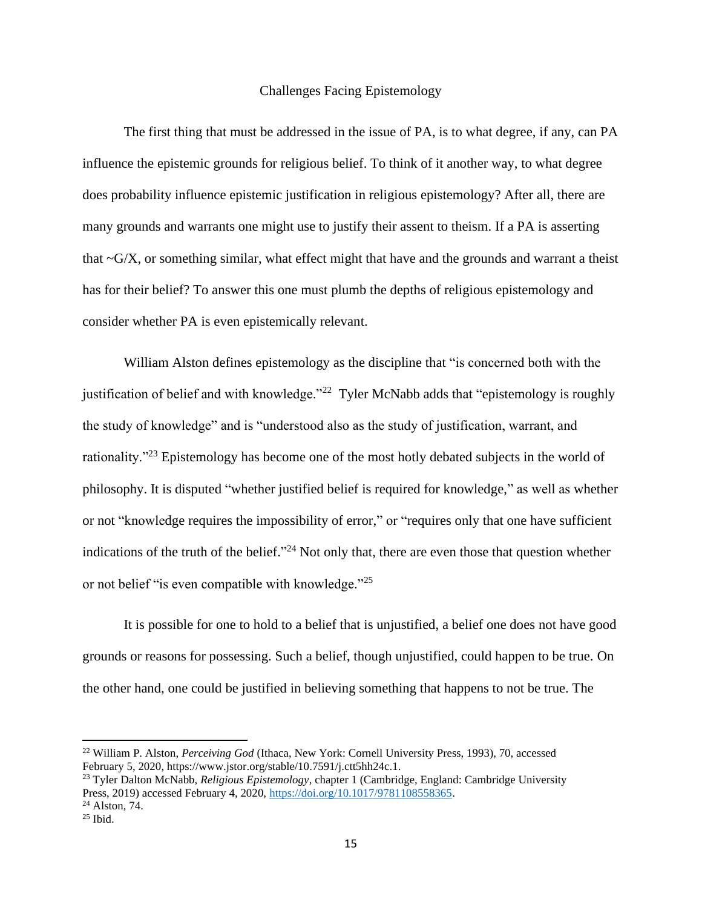## Challenges Facing Epistemology

The first thing that must be addressed in the issue of PA, is to what degree, if any, can PA influence the epistemic grounds for religious belief. To think of it another way, to what degree does probability influence epistemic justification in religious epistemology? After all, there are many grounds and warrants one might use to justify their assent to theism. If a PA is asserting that  $\sim$ G/X, or something similar, what effect might that have and the grounds and warrant a theist has for their belief? To answer this one must plumb the depths of religious epistemology and consider whether PA is even epistemically relevant.

William Alston defines epistemology as the discipline that "is concerned both with the justification of belief and with knowledge."<sup>22</sup> Tyler McNabb adds that "epistemology is roughly the study of knowledge" and is "understood also as the study of justification, warrant, and rationality."<sup>23</sup> Epistemology has become one of the most hotly debated subjects in the world of philosophy. It is disputed "whether justified belief is required for knowledge," as well as whether or not "knowledge requires the impossibility of error," or "requires only that one have sufficient indications of the truth of the belief."<sup>24</sup> Not only that, there are even those that question whether or not belief "is even compatible with knowledge."<sup>25</sup>

It is possible for one to hold to a belief that is unjustified, a belief one does not have good grounds or reasons for possessing. Such a belief, though unjustified, could happen to be true. On the other hand, one could be justified in believing something that happens to not be true. The

<sup>22</sup> William P. Alston, *Perceiving God* (Ithaca, New York: Cornell University Press, 1993), 70, accessed February 5, 2020, https://www.jstor.org/stable/10.7591/j.ctt5hh24c.1.

<sup>23</sup> Tyler Dalton McNabb, *Religious Epistemology*, chapter 1 (Cambridge, England: Cambridge University Press, 2019) accessed February 4, 2020, [https://doi.org/10.1017/9781108558365.](https://doi-org.ezproxy.liberty.edu/10.1017/9781108558365) <sup>24</sup> Alston, 74.

 $25$  Ibid.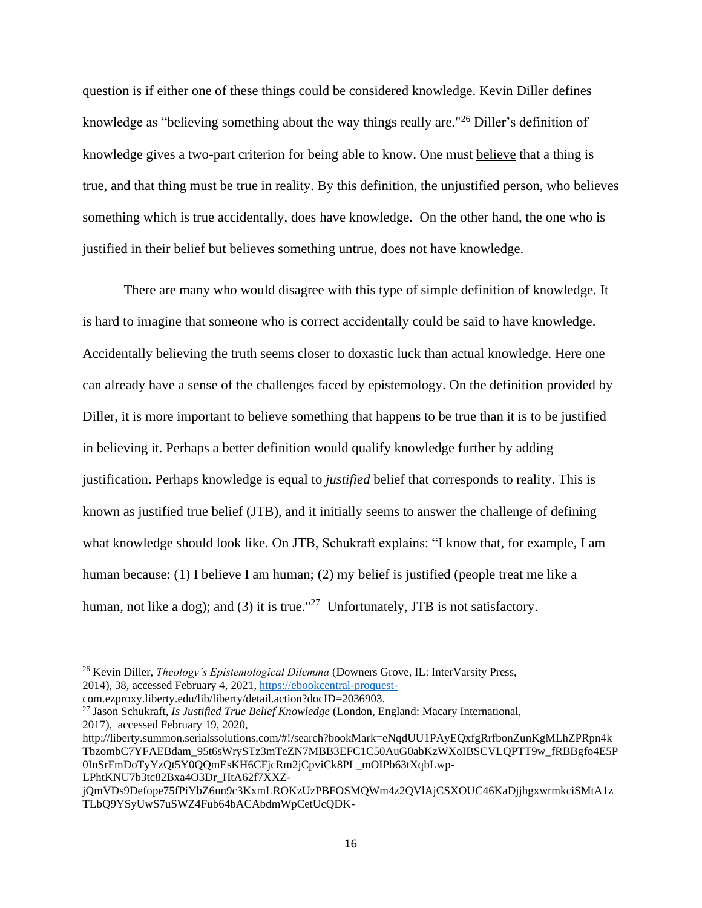question is if either one of these things could be considered knowledge. Kevin Diller defines knowledge as "believing something about the way things really are."<sup>26</sup> Diller's definition of knowledge gives a two-part criterion for being able to know. One must believe that a thing is true, and that thing must be true in reality. By this definition, the unjustified person, who believes something which is true accidentally, does have knowledge. On the other hand, the one who is justified in their belief but believes something untrue, does not have knowledge.

There are many who would disagree with this type of simple definition of knowledge. It is hard to imagine that someone who is correct accidentally could be said to have knowledge. Accidentally believing the truth seems closer to doxastic luck than actual knowledge. Here one can already have a sense of the challenges faced by epistemology. On the definition provided by Diller, it is more important to believe something that happens to be true than it is to be justified in believing it. Perhaps a better definition would qualify knowledge further by adding justification. Perhaps knowledge is equal to *justified* belief that corresponds to reality. This is known as justified true belief (JTB), and it initially seems to answer the challenge of defining what knowledge should look like. On JTB, Schukraft explains: "I know that, for example, I am human because: (1) I believe I am human; (2) my belief is justified (people treat me like a human, not like a dog); and (3) it is true."<sup>27</sup> Unfortunately, JTB is not satisfactory.

<sup>26</sup> Kevin Diller, *Theology's Epistemological Dilemma* (Downers Grove, IL: InterVarsity Press, 2014), 38, accessed February 4, 2021, [https://ebookcentral-proquest-](https://ebookcentral-proquest-/)

com.ezproxy.liberty.edu/lib/liberty/detail.action?docID=2036903.

<sup>27</sup> Jason Schukraft, *Is Justified True Belief Knowledge* (London, England: Macary International, 2017), accessed February 19, 2020,

http://liberty.summon.serialssolutions.com/#!/search?bookMark=eNqdUU1PAyEQxfgRrfbonZunKgMLhZPRpn4k TbzombC7YFAEBdam\_95t6sWrySTz3mTeZN7MBB3EFC1C50AuG0abKzWXoIBSCVLQPTT9w\_fRBBgfo4E5P 0InSrFmDoTyYzQt5Y0QQmEsKH6CFjcRm2jCpviCk8PL\_mOIPb63tXqbLwp-LPhtKNU7b3tc82Bxa4O3Dr\_HtA62f7XXZ-

jQmVDs9Defope75fPiYbZ6un9c3KxmLROKzUzPBFOSMQWm4z2QVlAjCSXOUC46KaDjjhgxwrmkciSMtA1z TLbQ9YSyUwS7uSWZ4Fub64bACAbdmWpCetUcQDK-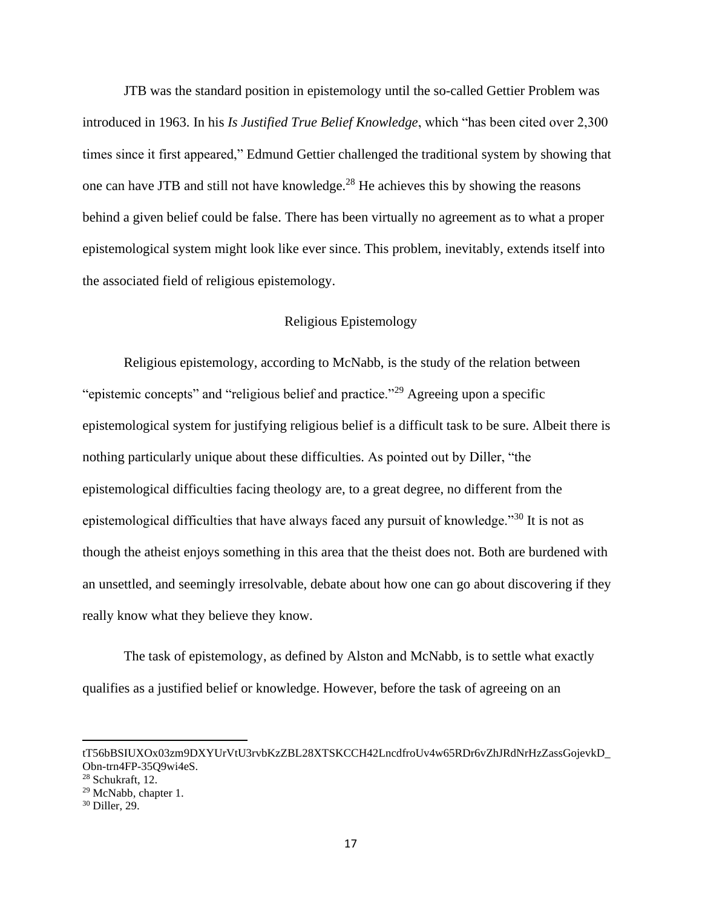JTB was the standard position in epistemology until the so-called Gettier Problem was introduced in 1963. In his *Is Justified True Belief Knowledge*, which "has been cited over 2,300 times since it first appeared," Edmund Gettier challenged the traditional system by showing that one can have JTB and still not have knowledge.<sup>28</sup> He achieves this by showing the reasons behind a given belief could be false. There has been virtually no agreement as to what a proper epistemological system might look like ever since. This problem, inevitably, extends itself into the associated field of religious epistemology.

## Religious Epistemology

Religious epistemology, according to McNabb, is the study of the relation between "epistemic concepts" and "religious belief and practice."<sup>29</sup> Agreeing upon a specific epistemological system for justifying religious belief is a difficult task to be sure. Albeit there is nothing particularly unique about these difficulties. As pointed out by Diller, "the epistemological difficulties facing theology are, to a great degree, no different from the epistemological difficulties that have always faced any pursuit of knowledge."<sup>30</sup> It is not as though the atheist enjoys something in this area that the theist does not. Both are burdened with an unsettled, and seemingly irresolvable, debate about how one can go about discovering if they really know what they believe they know.

The task of epistemology, as defined by Alston and McNabb, is to settle what exactly qualifies as a justified belief or knowledge. However, before the task of agreeing on an

tT56bBSIUXOx03zm9DXYUrVtU3rvbKzZBL28XTSKCCH42LncdfroUv4w65RDr6vZhJRdNrHzZassGojevkD\_ Obn-trn4FP-35Q9wi4eS.

 $28$  Schukraft, 12.

<sup>29</sup> McNabb, chapter 1.

<sup>30</sup> Diller, 29.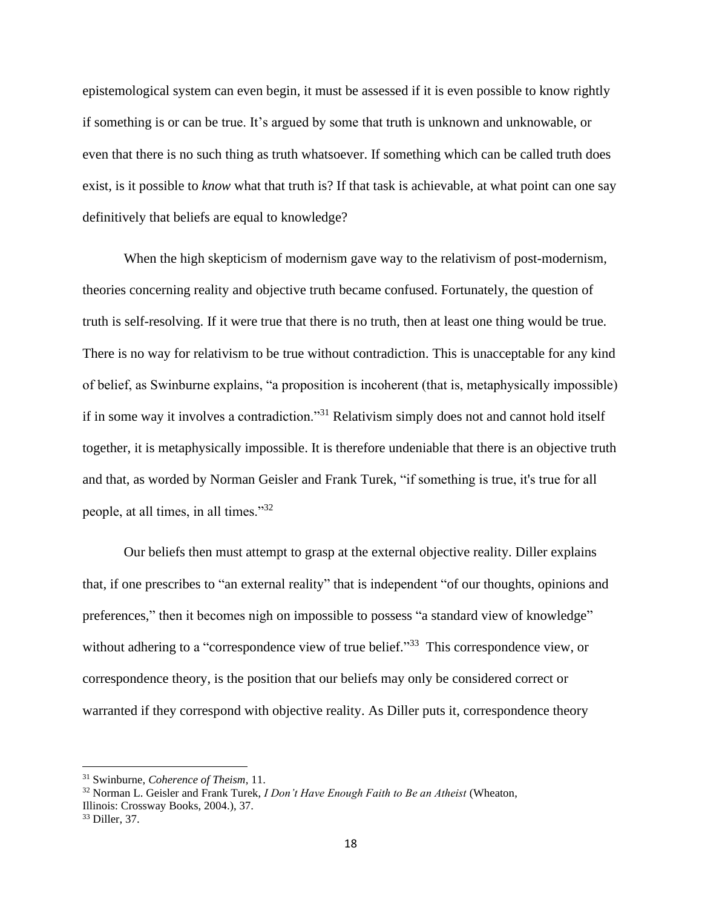epistemological system can even begin, it must be assessed if it is even possible to know rightly if something is or can be true. It's argued by some that truth is unknown and unknowable, or even that there is no such thing as truth whatsoever. If something which can be called truth does exist, is it possible to *know* what that truth is? If that task is achievable, at what point can one say definitively that beliefs are equal to knowledge?

When the high skepticism of modernism gave way to the relativism of post-modernism, theories concerning reality and objective truth became confused. Fortunately, the question of truth is self-resolving. If it were true that there is no truth, then at least one thing would be true. There is no way for relativism to be true without contradiction. This is unacceptable for any kind of belief, as Swinburne explains, "a proposition is incoherent (that is, metaphysically impossible) if in some way it involves a contradiction."<sup>31</sup> Relativism simply does not and cannot hold itself together, it is metaphysically impossible. It is therefore undeniable that there is an objective truth and that, as worded by Norman Geisler and Frank Turek, "if something is true, it's true for all people, at all times, in all times."<sup>32</sup>

Our beliefs then must attempt to grasp at the external objective reality. Diller explains that, if one prescribes to "an external reality" that is independent "of our thoughts, opinions and preferences," then it becomes nigh on impossible to possess "a standard view of knowledge" without adhering to a "correspondence view of true belief."<sup>33</sup> This correspondence view, or correspondence theory, is the position that our beliefs may only be considered correct or warranted if they correspond with objective reality. As Diller puts it, correspondence theory

<sup>31</sup> Swinburne, *Coherence of Theism*, 11.

<sup>32</sup> Norman L. Geisler and Frank Turek, *I Don't Have Enough Faith to Be an Atheist* (Wheaton, Illinois: Crossway Books, 2004.), 37.

<sup>33</sup> Diller, 37.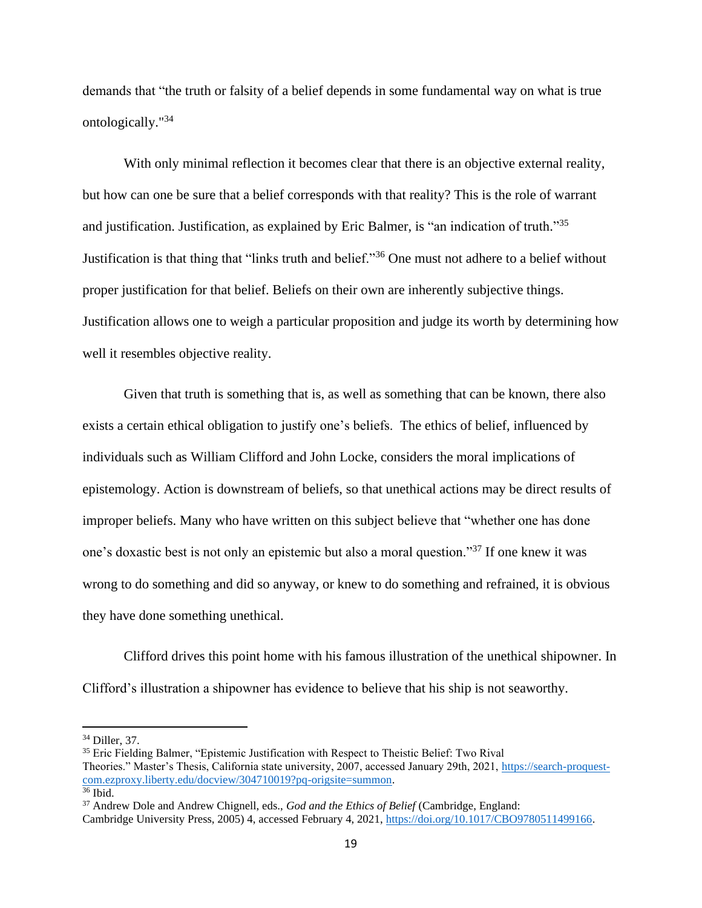demands that "the truth or falsity of a belief depends in some fundamental way on what is true ontologically."<sup>34</sup>

With only minimal reflection it becomes clear that there is an objective external reality, but how can one be sure that a belief corresponds with that reality? This is the role of warrant and justification. Justification, as explained by Eric Balmer, is "an indication of truth."<sup>35</sup> Justification is that thing that "links truth and belief."<sup>36</sup> One must not adhere to a belief without proper justification for that belief. Beliefs on their own are inherently subjective things. Justification allows one to weigh a particular proposition and judge its worth by determining how well it resembles objective reality.

Given that truth is something that is, as well as something that can be known, there also exists a certain ethical obligation to justify one's beliefs. The ethics of belief, influenced by individuals such as William Clifford and John Locke, considers the moral implications of epistemology. Action is downstream of beliefs, so that unethical actions may be direct results of improper beliefs. Many who have written on this subject believe that "whether one has done one's doxastic best is not only an epistemic but also a moral question."<sup>37</sup> If one knew it was wrong to do something and did so anyway, or knew to do something and refrained, it is obvious they have done something unethical.

Clifford drives this point home with his famous illustration of the unethical shipowner. In Clifford's illustration a shipowner has evidence to believe that his ship is not seaworthy.

<sup>34</sup> Diller, 37.

<sup>&</sup>lt;sup>35</sup> Eric Fielding Balmer, "Epistemic Justification with Respect to Theistic Belief: Two Rival Theories." Master's Thesis, California state university, 2007, accessed January 29th, 2021, [https://search-proquest](https://search-proquest-com.ezproxy.liberty.edu/docview/304710019?pq-origsite=summon)[com.ezproxy.liberty.edu/docview/304710019?pq-origsite=summon.](https://search-proquest-com.ezproxy.liberty.edu/docview/304710019?pq-origsite=summon) <sup>36</sup> Ibid.

<sup>37</sup> Andrew Dole and Andrew Chignell, eds., *God and the Ethics of Belief* (Cambridge, England:

Cambridge University Press, 2005) 4, accessed February 4, 2021[, https://doi.org/10.1017/CBO9780511499166.](https://doi.org/10.1017/CBO9780511499166)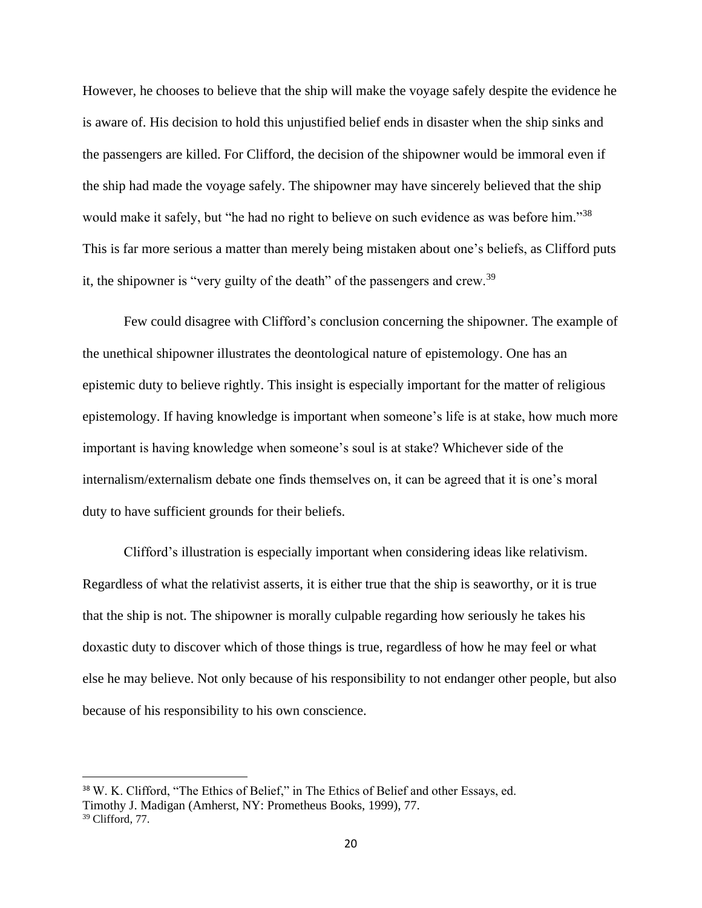However, he chooses to believe that the ship will make the voyage safely despite the evidence he is aware of. His decision to hold this unjustified belief ends in disaster when the ship sinks and the passengers are killed. For Clifford, the decision of the shipowner would be immoral even if the ship had made the voyage safely. The shipowner may have sincerely believed that the ship would make it safely, but "he had no right to believe on such evidence as was before him."<sup>38</sup> This is far more serious a matter than merely being mistaken about one's beliefs, as Clifford puts it, the shipowner is "very guilty of the death" of the passengers and crew.<sup>39</sup>

Few could disagree with Clifford's conclusion concerning the shipowner. The example of the unethical shipowner illustrates the deontological nature of epistemology. One has an epistemic duty to believe rightly. This insight is especially important for the matter of religious epistemology. If having knowledge is important when someone's life is at stake, how much more important is having knowledge when someone's soul is at stake? Whichever side of the internalism/externalism debate one finds themselves on, it can be agreed that it is one's moral duty to have sufficient grounds for their beliefs.

Clifford's illustration is especially important when considering ideas like relativism. Regardless of what the relativist asserts, it is either true that the ship is seaworthy, or it is true that the ship is not. The shipowner is morally culpable regarding how seriously he takes his doxastic duty to discover which of those things is true, regardless of how he may feel or what else he may believe. Not only because of his responsibility to not endanger other people, but also because of his responsibility to his own conscience.

<sup>38</sup> W. K. Clifford, "The Ethics of Belief," in The Ethics of Belief and other Essays, ed. Timothy J. Madigan (Amherst, NY: Prometheus Books, 1999), 77. <sup>39</sup> Clifford, 77.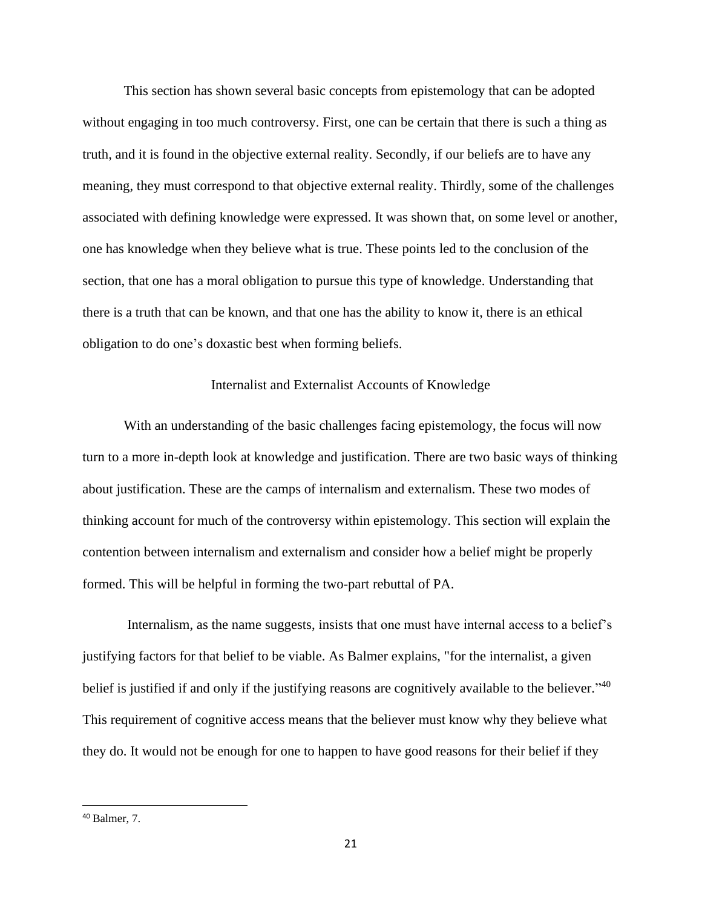This section has shown several basic concepts from epistemology that can be adopted without engaging in too much controversy. First, one can be certain that there is such a thing as truth, and it is found in the objective external reality. Secondly, if our beliefs are to have any meaning, they must correspond to that objective external reality. Thirdly, some of the challenges associated with defining knowledge were expressed. It was shown that, on some level or another, one has knowledge when they believe what is true. These points led to the conclusion of the section, that one has a moral obligation to pursue this type of knowledge. Understanding that there is a truth that can be known, and that one has the ability to know it, there is an ethical obligation to do one's doxastic best when forming beliefs.

## Internalist and Externalist Accounts of Knowledge

With an understanding of the basic challenges facing epistemology, the focus will now turn to a more in-depth look at knowledge and justification. There are two basic ways of thinking about justification. These are the camps of internalism and externalism. These two modes of thinking account for much of the controversy within epistemology. This section will explain the contention between internalism and externalism and consider how a belief might be properly formed. This will be helpful in forming the two-part rebuttal of PA.

Internalism, as the name suggests, insists that one must have internal access to a belief's justifying factors for that belief to be viable. As Balmer explains, "for the internalist, a given belief is justified if and only if the justifying reasons are cognitively available to the believer."<sup>40</sup> This requirement of cognitive access means that the believer must know why they believe what they do. It would not be enough for one to happen to have good reasons for their belief if they

<sup>40</sup> Balmer, 7.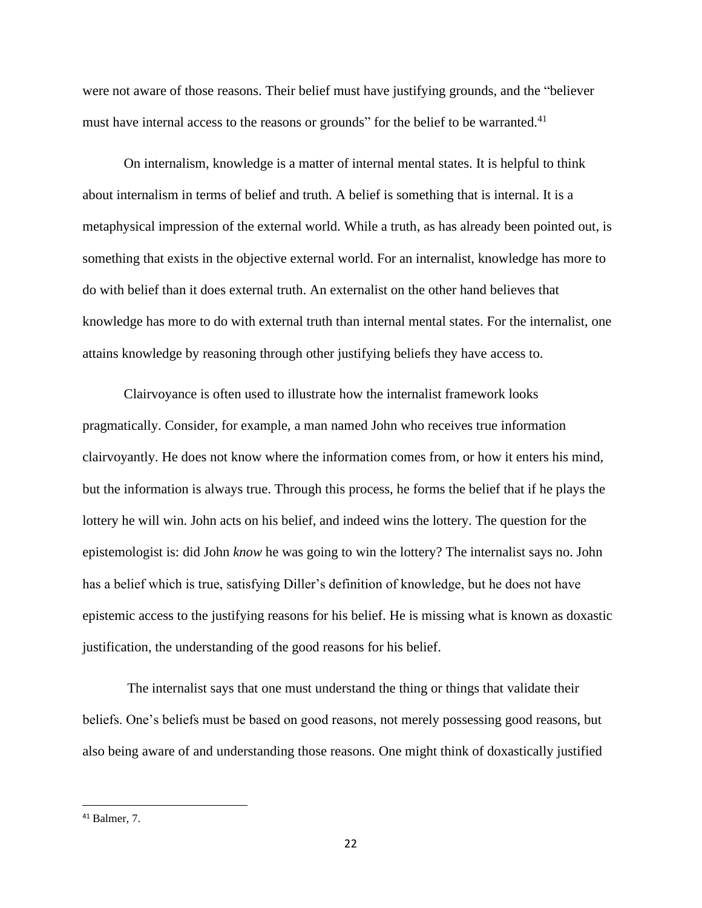were not aware of those reasons. Their belief must have justifying grounds, and the "believer must have internal access to the reasons or grounds" for the belief to be warranted.<sup>41</sup>

On internalism, knowledge is a matter of internal mental states. It is helpful to think about internalism in terms of belief and truth. A belief is something that is internal. It is a metaphysical impression of the external world. While a truth, as has already been pointed out, is something that exists in the objective external world. For an internalist, knowledge has more to do with belief than it does external truth. An externalist on the other hand believes that knowledge has more to do with external truth than internal mental states. For the internalist, one attains knowledge by reasoning through other justifying beliefs they have access to.

Clairvoyance is often used to illustrate how the internalist framework looks pragmatically. Consider, for example, a man named John who receives true information clairvoyantly. He does not know where the information comes from, or how it enters his mind, but the information is always true. Through this process, he forms the belief that if he plays the lottery he will win. John acts on his belief, and indeed wins the lottery. The question for the epistemologist is: did John *know* he was going to win the lottery? The internalist says no. John has a belief which is true, satisfying Diller's definition of knowledge, but he does not have epistemic access to the justifying reasons for his belief. He is missing what is known as doxastic justification, the understanding of the good reasons for his belief.

The internalist says that one must understand the thing or things that validate their beliefs. One's beliefs must be based on good reasons, not merely possessing good reasons, but also being aware of and understanding those reasons. One might think of doxastically justified

<sup>41</sup> Balmer, 7.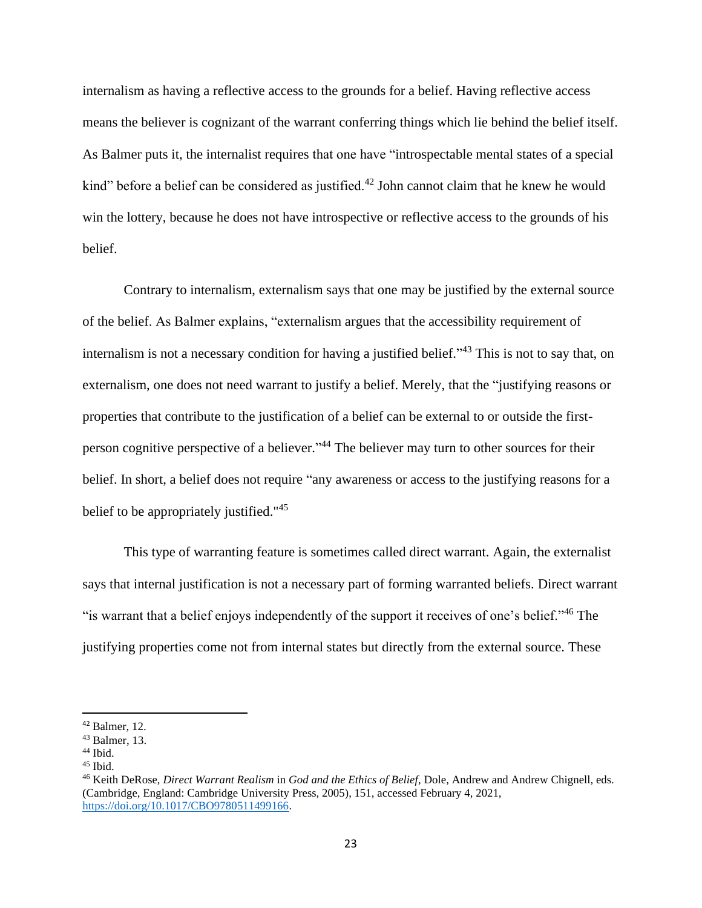internalism as having a reflective access to the grounds for a belief. Having reflective access means the believer is cognizant of the warrant conferring things which lie behind the belief itself. As Balmer puts it, the internalist requires that one have "introspectable mental states of a special kind" before a belief can be considered as justified.<sup>42</sup> John cannot claim that he knew he would win the lottery, because he does not have introspective or reflective access to the grounds of his belief.

Contrary to internalism, externalism says that one may be justified by the external source of the belief. As Balmer explains, "externalism argues that the accessibility requirement of internalism is not a necessary condition for having a justified belief." <sup>43</sup> This is not to say that, on externalism, one does not need warrant to justify a belief. Merely, that the "justifying reasons or properties that contribute to the justification of a belief can be external to or outside the firstperson cognitive perspective of a believer."<sup>44</sup> The believer may turn to other sources for their belief. In short, a belief does not require "any awareness or access to the justifying reasons for a belief to be appropriately justified."<sup>45</sup>

This type of warranting feature is sometimes called direct warrant. Again, the externalist says that internal justification is not a necessary part of forming warranted beliefs. Direct warrant "is warrant that a belief enjoys independently of the support it receives of one's belief."<sup>46</sup> The justifying properties come not from internal states but directly from the external source. These

 $42$  Balmer, 12.

<sup>43</sup> Balmer, 13.

<sup>44</sup> Ibid.

 $45$  Ibid.

<sup>46</sup> Keith DeRose, *Direct Warrant Realism* in *God and the Ethics of Belief*, Dole, Andrew and Andrew Chignell, eds. (Cambridge, England: Cambridge University Press, 2005), 151, accessed February 4, 2021, [https://doi.org/10.1017/CBO9780511499166.](https://doi.org/10.1017/CBO9780511499166)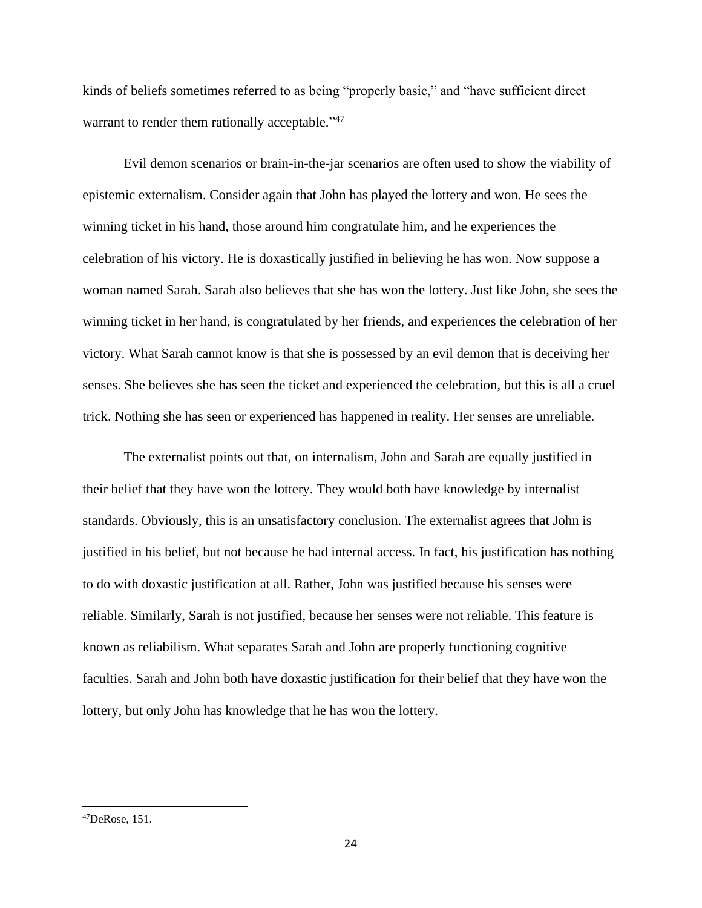kinds of beliefs sometimes referred to as being "properly basic," and "have sufficient direct warrant to render them rationally acceptable."<sup>47</sup>

Evil demon scenarios or brain-in-the-jar scenarios are often used to show the viability of epistemic externalism. Consider again that John has played the lottery and won. He sees the winning ticket in his hand, those around him congratulate him, and he experiences the celebration of his victory. He is doxastically justified in believing he has won. Now suppose a woman named Sarah. Sarah also believes that she has won the lottery. Just like John, she sees the winning ticket in her hand, is congratulated by her friends, and experiences the celebration of her victory. What Sarah cannot know is that she is possessed by an evil demon that is deceiving her senses. She believes she has seen the ticket and experienced the celebration, but this is all a cruel trick. Nothing she has seen or experienced has happened in reality. Her senses are unreliable.

The externalist points out that, on internalism, John and Sarah are equally justified in their belief that they have won the lottery. They would both have knowledge by internalist standards. Obviously, this is an unsatisfactory conclusion. The externalist agrees that John is justified in his belief, but not because he had internal access. In fact, his justification has nothing to do with doxastic justification at all. Rather, John was justified because his senses were reliable. Similarly, Sarah is not justified, because her senses were not reliable. This feature is known as reliabilism. What separates Sarah and John are properly functioning cognitive faculties. Sarah and John both have doxastic justification for their belief that they have won the lottery, but only John has knowledge that he has won the lottery.

 $^{47}$ DeRose, 151.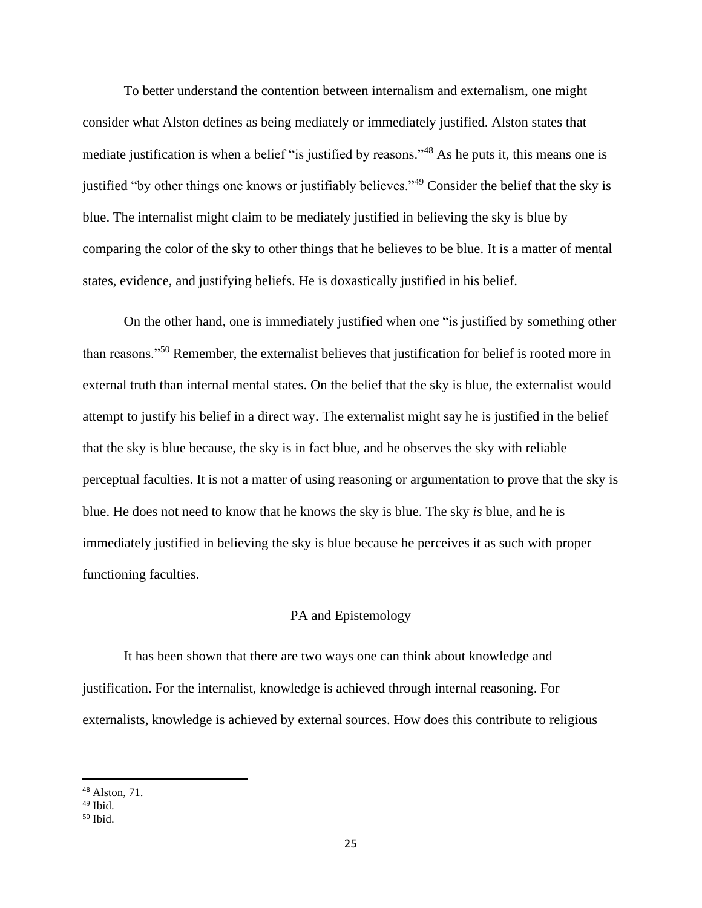To better understand the contention between internalism and externalism, one might consider what Alston defines as being mediately or immediately justified. Alston states that mediate justification is when a belief "is justified by reasons."<sup>48</sup> As he puts it, this means one is justified "by other things one knows or justifiably believes."<sup>49</sup> Consider the belief that the sky is blue. The internalist might claim to be mediately justified in believing the sky is blue by comparing the color of the sky to other things that he believes to be blue. It is a matter of mental states, evidence, and justifying beliefs. He is doxastically justified in his belief.

On the other hand, one is immediately justified when one "is justified by something other than reasons."<sup>50</sup> Remember, the externalist believes that justification for belief is rooted more in external truth than internal mental states. On the belief that the sky is blue, the externalist would attempt to justify his belief in a direct way. The externalist might say he is justified in the belief that the sky is blue because, the sky is in fact blue, and he observes the sky with reliable perceptual faculties. It is not a matter of using reasoning or argumentation to prove that the sky is blue. He does not need to know that he knows the sky is blue. The sky *is* blue, and he is immediately justified in believing the sky is blue because he perceives it as such with proper functioning faculties.

## PA and Epistemology

It has been shown that there are two ways one can think about knowledge and justification. For the internalist, knowledge is achieved through internal reasoning. For externalists, knowledge is achieved by external sources. How does this contribute to religious

<sup>48</sup> Alston, 71.

 $49$  Ibid.

 $50$  Ibid.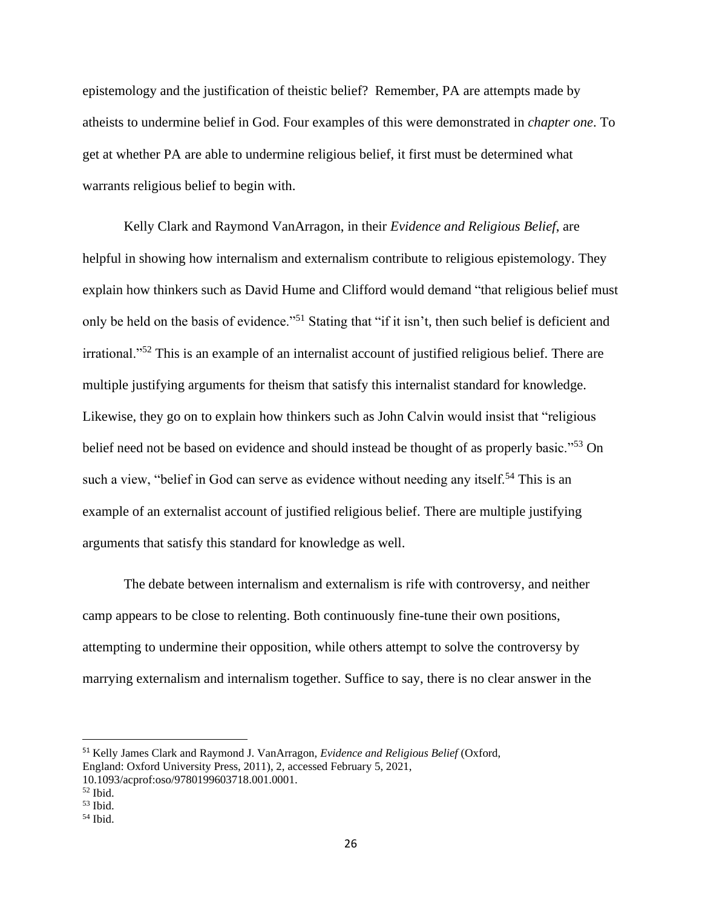epistemology and the justification of theistic belief? Remember, PA are attempts made by atheists to undermine belief in God. Four examples of this were demonstrated in *chapter one*. To get at whether PA are able to undermine religious belief, it first must be determined what warrants religious belief to begin with.

Kelly Clark and Raymond VanArragon, in their *Evidence and Religious Belief*, are helpful in showing how internalism and externalism contribute to religious epistemology. They explain how thinkers such as David Hume and Clifford would demand "that religious belief must only be held on the basis of evidence."<sup>51</sup> Stating that "if it isn't, then such belief is deficient and irrational."<sup>52</sup> This is an example of an internalist account of justified religious belief. There are multiple justifying arguments for theism that satisfy this internalist standard for knowledge. Likewise, they go on to explain how thinkers such as John Calvin would insist that "religious belief need not be based on evidence and should instead be thought of as properly basic."<sup>53</sup> On such a view, "belief in God can serve as evidence without needing any itself.<sup>54</sup> This is an example of an externalist account of justified religious belief. There are multiple justifying arguments that satisfy this standard for knowledge as well.

The debate between internalism and externalism is rife with controversy, and neither camp appears to be close to relenting. Both continuously fine-tune their own positions, attempting to undermine their opposition, while others attempt to solve the controversy by marrying externalism and internalism together. Suffice to say, there is no clear answer in the

<sup>51</sup> Kelly James Clark and Raymond J. VanArragon, *Evidence and Religious Belief* (Oxford, England: Oxford University Press, 2011), 2, accessed February 5, 2021, 10.1093/acprof:oso/9780199603718.001.0001.

<sup>52</sup> Ibid.

 $53$  Ibid.

 $54$  Ibid.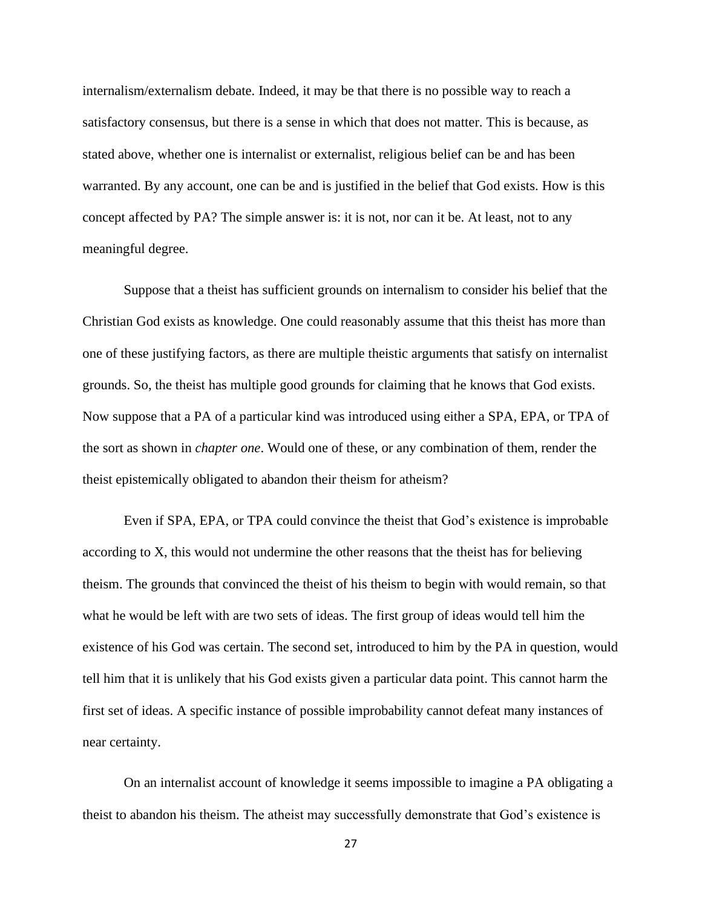internalism/externalism debate. Indeed, it may be that there is no possible way to reach a satisfactory consensus, but there is a sense in which that does not matter. This is because, as stated above, whether one is internalist or externalist, religious belief can be and has been warranted. By any account, one can be and is justified in the belief that God exists. How is this concept affected by PA? The simple answer is: it is not, nor can it be. At least, not to any meaningful degree.

Suppose that a theist has sufficient grounds on internalism to consider his belief that the Christian God exists as knowledge. One could reasonably assume that this theist has more than one of these justifying factors, as there are multiple theistic arguments that satisfy on internalist grounds. So, the theist has multiple good grounds for claiming that he knows that God exists. Now suppose that a PA of a particular kind was introduced using either a SPA, EPA, or TPA of the sort as shown in *chapter one*. Would one of these, or any combination of them, render the theist epistemically obligated to abandon their theism for atheism?

Even if SPA, EPA, or TPA could convince the theist that God's existence is improbable according to X, this would not undermine the other reasons that the theist has for believing theism. The grounds that convinced the theist of his theism to begin with would remain, so that what he would be left with are two sets of ideas. The first group of ideas would tell him the existence of his God was certain. The second set, introduced to him by the PA in question, would tell him that it is unlikely that his God exists given a particular data point. This cannot harm the first set of ideas. A specific instance of possible improbability cannot defeat many instances of near certainty.

On an internalist account of knowledge it seems impossible to imagine a PA obligating a theist to abandon his theism. The atheist may successfully demonstrate that God's existence is

27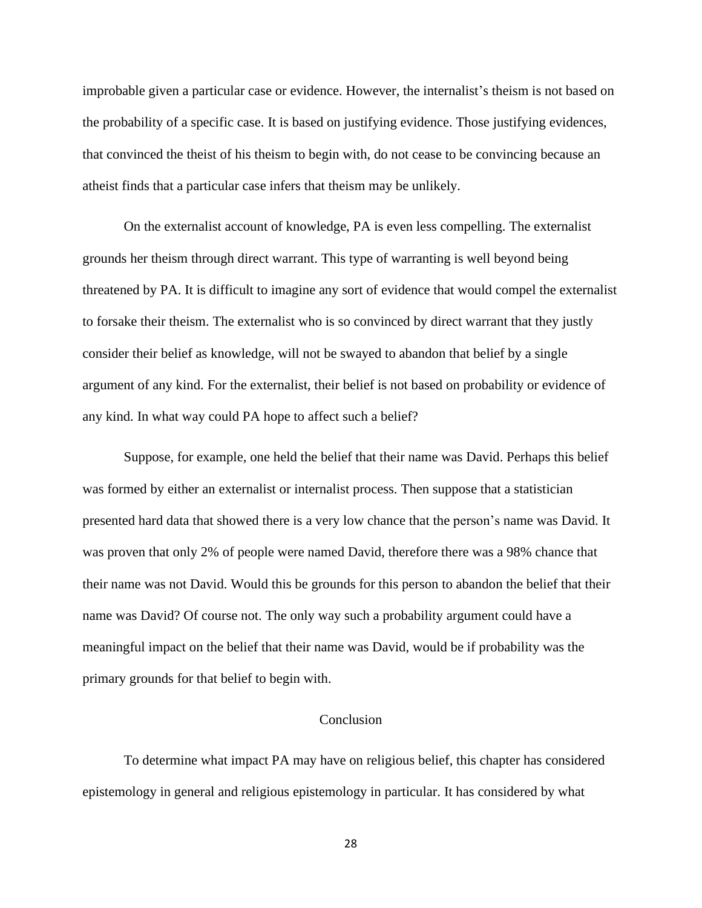improbable given a particular case or evidence. However, the internalist's theism is not based on the probability of a specific case. It is based on justifying evidence. Those justifying evidences, that convinced the theist of his theism to begin with, do not cease to be convincing because an atheist finds that a particular case infers that theism may be unlikely.

On the externalist account of knowledge, PA is even less compelling. The externalist grounds her theism through direct warrant. This type of warranting is well beyond being threatened by PA. It is difficult to imagine any sort of evidence that would compel the externalist to forsake their theism. The externalist who is so convinced by direct warrant that they justly consider their belief as knowledge, will not be swayed to abandon that belief by a single argument of any kind. For the externalist, their belief is not based on probability or evidence of any kind. In what way could PA hope to affect such a belief?

Suppose, for example, one held the belief that their name was David. Perhaps this belief was formed by either an externalist or internalist process. Then suppose that a statistician presented hard data that showed there is a very low chance that the person's name was David. It was proven that only 2% of people were named David, therefore there was a 98% chance that their name was not David. Would this be grounds for this person to abandon the belief that their name was David? Of course not. The only way such a probability argument could have a meaningful impact on the belief that their name was David, would be if probability was the primary grounds for that belief to begin with.

## Conclusion

To determine what impact PA may have on religious belief, this chapter has considered epistemology in general and religious epistemology in particular. It has considered by what

28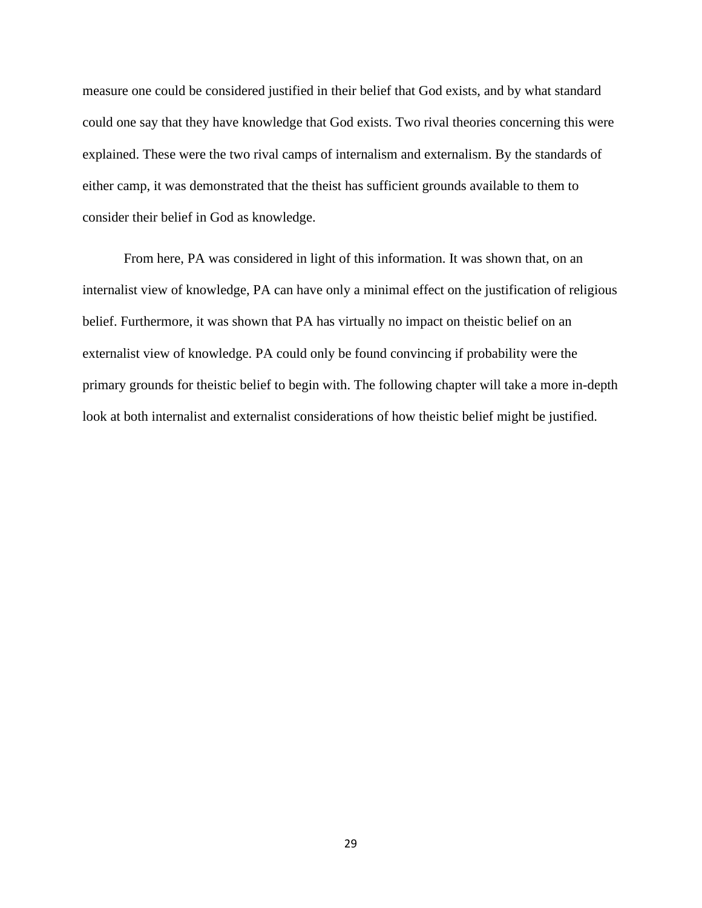measure one could be considered justified in their belief that God exists, and by what standard could one say that they have knowledge that God exists. Two rival theories concerning this were explained. These were the two rival camps of internalism and externalism. By the standards of either camp, it was demonstrated that the theist has sufficient grounds available to them to consider their belief in God as knowledge.

From here, PA was considered in light of this information. It was shown that, on an internalist view of knowledge, PA can have only a minimal effect on the justification of religious belief. Furthermore, it was shown that PA has virtually no impact on theistic belief on an externalist view of knowledge. PA could only be found convincing if probability were the primary grounds for theistic belief to begin with. The following chapter will take a more in-depth look at both internalist and externalist considerations of how theistic belief might be justified.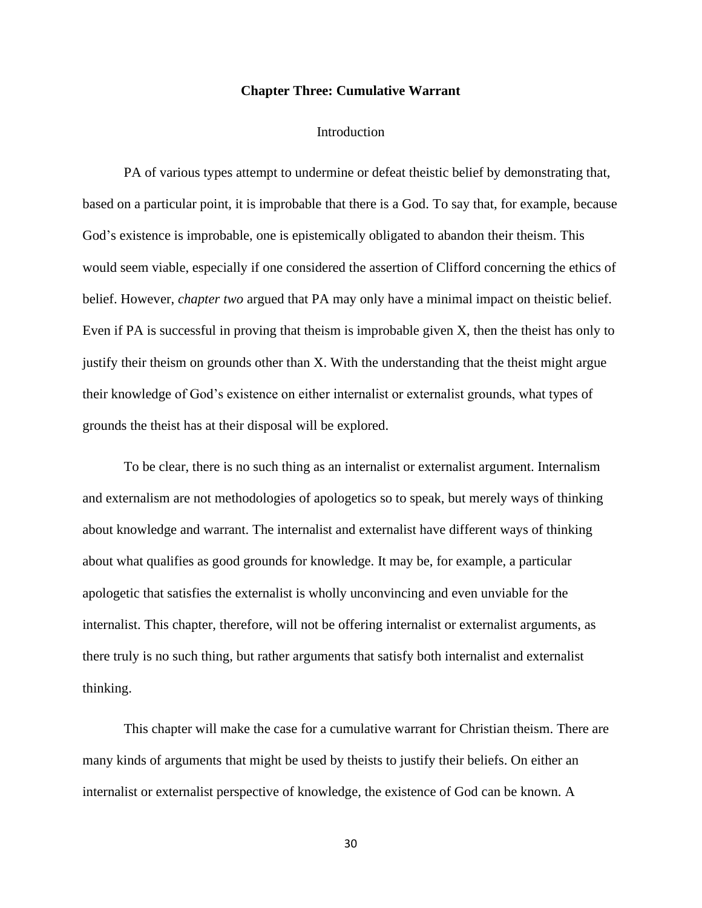#### **Chapter Three: Cumulative Warrant**

#### Introduction

PA of various types attempt to undermine or defeat theistic belief by demonstrating that, based on a particular point, it is improbable that there is a God. To say that, for example, because God's existence is improbable, one is epistemically obligated to abandon their theism. This would seem viable, especially if one considered the assertion of Clifford concerning the ethics of belief. However, *chapter two* argued that PA may only have a minimal impact on theistic belief. Even if PA is successful in proving that theism is improbable given X, then the theist has only to justify their theism on grounds other than X. With the understanding that the theist might argue their knowledge of God's existence on either internalist or externalist grounds, what types of grounds the theist has at their disposal will be explored.

To be clear, there is no such thing as an internalist or externalist argument. Internalism and externalism are not methodologies of apologetics so to speak, but merely ways of thinking about knowledge and warrant. The internalist and externalist have different ways of thinking about what qualifies as good grounds for knowledge. It may be, for example, a particular apologetic that satisfies the externalist is wholly unconvincing and even unviable for the internalist. This chapter, therefore, will not be offering internalist or externalist arguments, as there truly is no such thing, but rather arguments that satisfy both internalist and externalist thinking.

This chapter will make the case for a cumulative warrant for Christian theism. There are many kinds of arguments that might be used by theists to justify their beliefs. On either an internalist or externalist perspective of knowledge, the existence of God can be known. A

30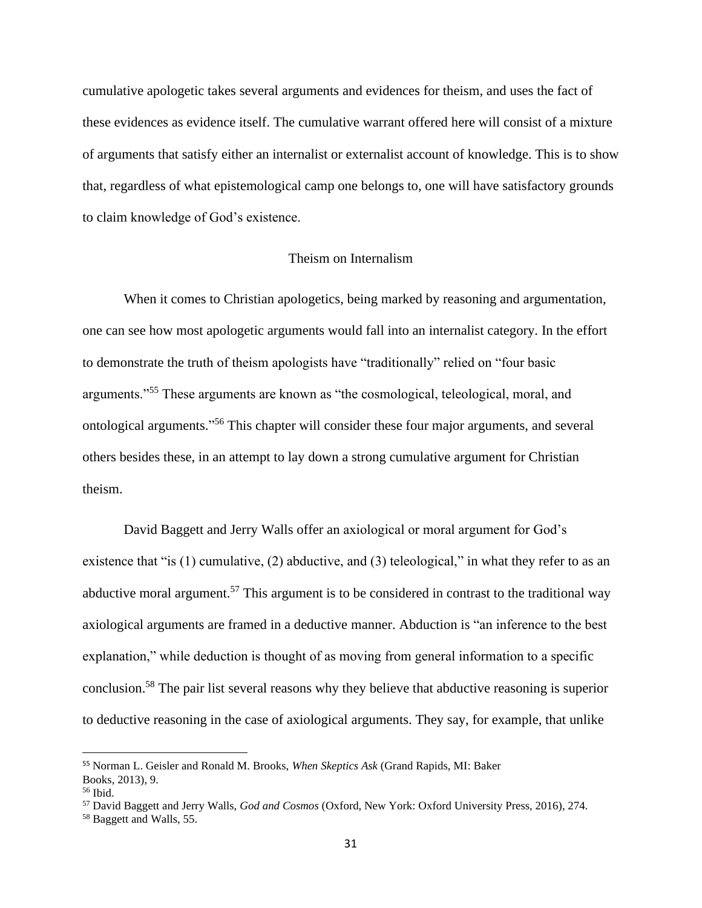cumulative apologetic takes several arguments and evidences for theism, and uses the fact of these evidences as evidence itself. The cumulative warrant offered here will consist of a mixture of arguments that satisfy either an internalist or externalist account of knowledge. This is to show that, regardless of what epistemological camp one belongs to, one will have satisfactory grounds to claim knowledge of God's existence.

## Theism on Internalism

When it comes to Christian apologetics, being marked by reasoning and argumentation, one can see how most apologetic arguments would fall into an internalist category. In the effort to demonstrate the truth of theism apologists have "traditionally" relied on "four basic arguments."<sup>55</sup> These arguments are known as "the cosmological, teleological, moral, and ontological arguments." <sup>56</sup> This chapter will consider these four major arguments, and several others besides these, in an attempt to lay down a strong cumulative argument for Christian theism.

David Baggett and Jerry Walls offer an axiological or moral argument for God's existence that "is (1) cumulative, (2) abductive, and (3) teleological," in what they refer to as an abductive moral argument.<sup>57</sup> This argument is to be considered in contrast to the traditional way axiological arguments are framed in a deductive manner. Abduction is "an inference to the best explanation," while deduction is thought of as moving from general information to a specific conclusion.<sup>58</sup> The pair list several reasons why they believe that abductive reasoning is superior to deductive reasoning in the case of axiological arguments. They say, for example, that unlike

<sup>55</sup> Norman L. Geisler and Ronald M. Brooks, *When Skeptics Ask* (Grand Rapids, MI: Baker Books, 2013), 9.

<sup>56</sup> Ibid.

<sup>57</sup> David Baggett and Jerry Walls, *God and Cosmos* (Oxford, New York: Oxford University Press, 2016), 274.

<sup>58</sup> Baggett and Walls, 55.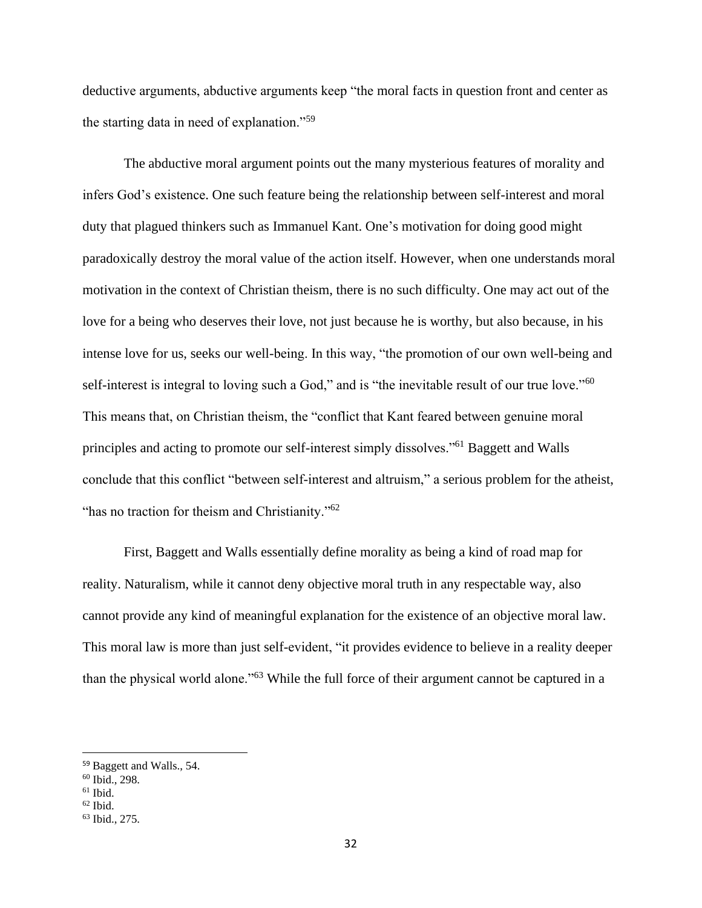deductive arguments, abductive arguments keep "the moral facts in question front and center as the starting data in need of explanation."<sup>59</sup>

The abductive moral argument points out the many mysterious features of morality and infers God's existence. One such feature being the relationship between self-interest and moral duty that plagued thinkers such as Immanuel Kant. One's motivation for doing good might paradoxically destroy the moral value of the action itself. However, when one understands moral motivation in the context of Christian theism, there is no such difficulty. One may act out of the love for a being who deserves their love, not just because he is worthy, but also because, in his intense love for us, seeks our well-being. In this way, "the promotion of our own well-being and self-interest is integral to loving such a God," and is "the inevitable result of our true love."<sup>60</sup> This means that, on Christian theism, the "conflict that Kant feared between genuine moral principles and acting to promote our self-interest simply dissolves."<sup>61</sup> Baggett and Walls conclude that this conflict "between self-interest and altruism," a serious problem for the atheist, "has no traction for theism and Christianity."<sup>62</sup>

First, Baggett and Walls essentially define morality as being a kind of road map for reality. Naturalism, while it cannot deny objective moral truth in any respectable way, also cannot provide any kind of meaningful explanation for the existence of an objective moral law. This moral law is more than just self-evident, "it provides evidence to believe in a reality deeper than the physical world alone."<sup>63</sup> While the full force of their argument cannot be captured in a

<sup>59</sup> Baggett and Walls., 54.

<sup>60</sup> Ibid., 298.

 $61$  Ibid.

 $62$  Ibid.

<sup>63</sup> Ibid., 275.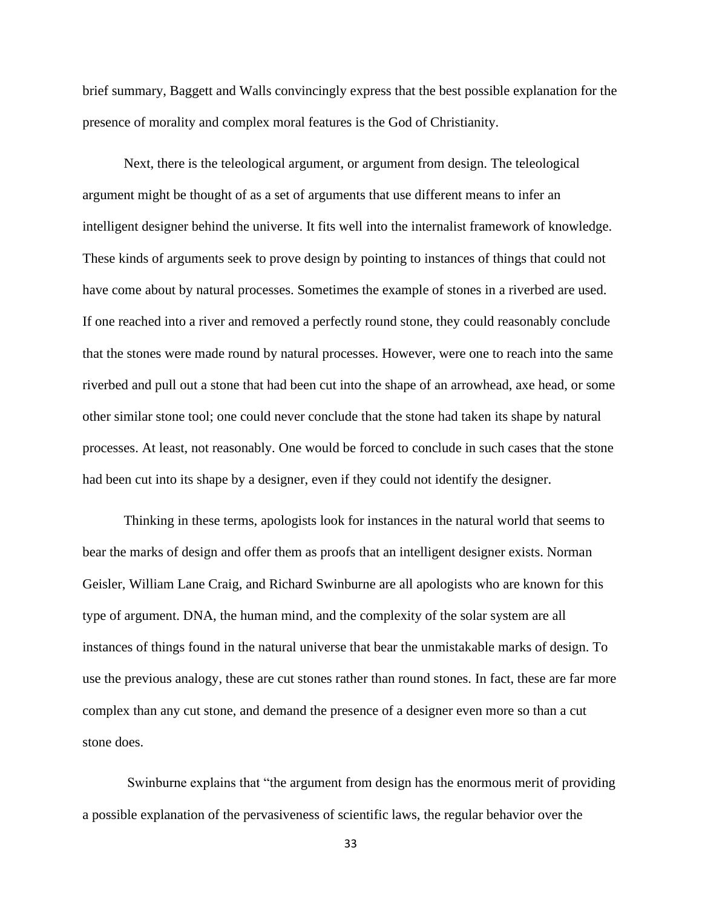brief summary, Baggett and Walls convincingly express that the best possible explanation for the presence of morality and complex moral features is the God of Christianity.

Next, there is the teleological argument, or argument from design. The teleological argument might be thought of as a set of arguments that use different means to infer an intelligent designer behind the universe. It fits well into the internalist framework of knowledge. These kinds of arguments seek to prove design by pointing to instances of things that could not have come about by natural processes. Sometimes the example of stones in a riverbed are used. If one reached into a river and removed a perfectly round stone, they could reasonably conclude that the stones were made round by natural processes. However, were one to reach into the same riverbed and pull out a stone that had been cut into the shape of an arrowhead, axe head, or some other similar stone tool; one could never conclude that the stone had taken its shape by natural processes. At least, not reasonably. One would be forced to conclude in such cases that the stone had been cut into its shape by a designer, even if they could not identify the designer.

Thinking in these terms, apologists look for instances in the natural world that seems to bear the marks of design and offer them as proofs that an intelligent designer exists. Norman Geisler, William Lane Craig, and Richard Swinburne are all apologists who are known for this type of argument. DNA, the human mind, and the complexity of the solar system are all instances of things found in the natural universe that bear the unmistakable marks of design. To use the previous analogy, these are cut stones rather than round stones. In fact, these are far more complex than any cut stone, and demand the presence of a designer even more so than a cut stone does.

Swinburne explains that "the argument from design has the enormous merit of providing a possible explanation of the pervasiveness of scientific laws, the regular behavior over the

33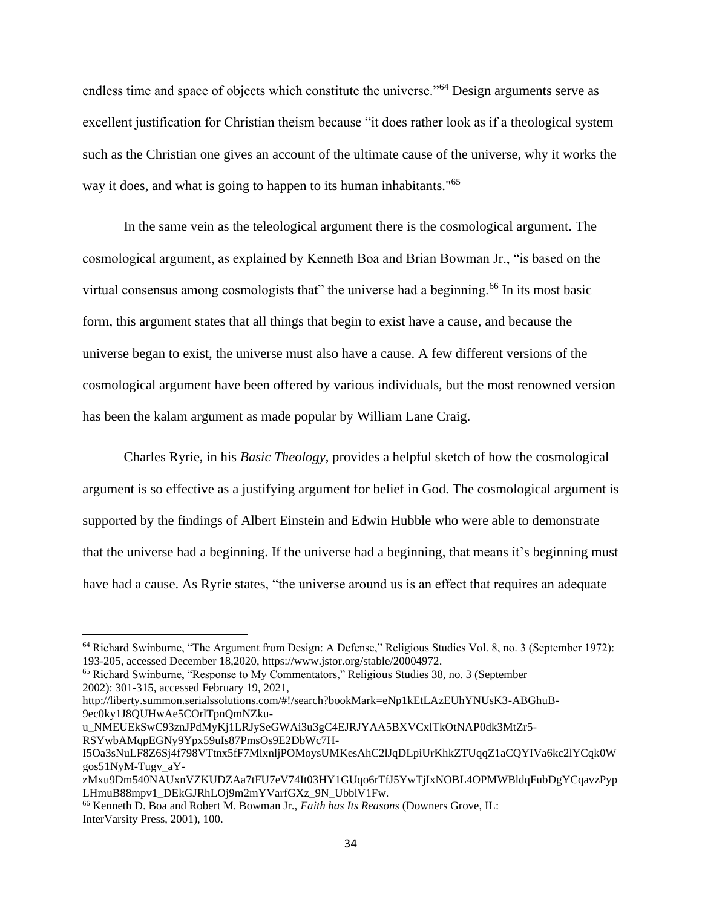endless time and space of objects which constitute the universe."<sup>64</sup> Design arguments serve as excellent justification for Christian theism because "it does rather look as if a theological system such as the Christian one gives an account of the ultimate cause of the universe, why it works the way it does, and what is going to happen to its human inhabitants.<sup>"65</sup>

In the same vein as the teleological argument there is the cosmological argument. The cosmological argument, as explained by Kenneth Boa and Brian Bowman Jr., "is based on the virtual consensus among cosmologists that" the universe had a beginning.<sup>66</sup> In its most basic form, this argument states that all things that begin to exist have a cause, and because the universe began to exist, the universe must also have a cause. A few different versions of the cosmological argument have been offered by various individuals, but the most renowned version has been the kalam argument as made popular by William Lane Craig.

Charles Ryrie, in his *Basic Theology*, provides a helpful sketch of how the cosmological argument is so effective as a justifying argument for belief in God. The cosmological argument is supported by the findings of Albert Einstein and Edwin Hubble who were able to demonstrate that the universe had a beginning. If the universe had a beginning, that means it's beginning must have had a cause. As Ryrie states, "the universe around us is an effect that requires an adequate

http://liberty.summon.serialssolutions.com/#!/search?bookMark=eNp1kEtLAzEUhYNUsK3-ABGhuB-9ec0ky1J8QUHwAe5COrlTpnQmNZku-

u\_NMEUEkSwC93znJPdMyKj1LRJySeGWAi3u3gC4EJRJYAA5BXVCxlTkOtNAP0dk3MtZr5-RSYwbAMqpEGNy9Ypx59uIs87PmsOs9E2DbWc7H-

<sup>64</sup> Richard Swinburne, "The Argument from Design: A Defense," Religious Studies Vol. 8, no. 3 (September 1972): 193-205, accessed December 18,2020, https://www.jstor.org/stable/20004972.

<sup>65</sup> Richard Swinburne, "Response to My Commentators," Religious Studies 38, no. 3 (September 2002): 301-315, accessed February 19, 2021,

I5Oa3sNuLF8Z6Sj4f798VTtnx5fF7MlxnljPOMoysUMKesAhC2lJqDLpiUrKhkZTUqqZ1aCQYIVa6kc2lYCqk0W gos51NyM-Tugv\_aY-

zMxu9Dm540NAUxnVZKUDZAa7tFU7eV74It03HY1GUqo6rTfJ5YwTjIxNOBL4OPMWBldqFubDgYCqavzPyp LHmuB88mpv1\_DEkGJRhLOj9m2mYVarfGXz\_9N\_UbblV1Fw.

<sup>66</sup> Kenneth D. Boa and Robert M. Bowman Jr., *Faith has Its Reasons* (Downers Grove, IL: InterVarsity Press, 2001), 100.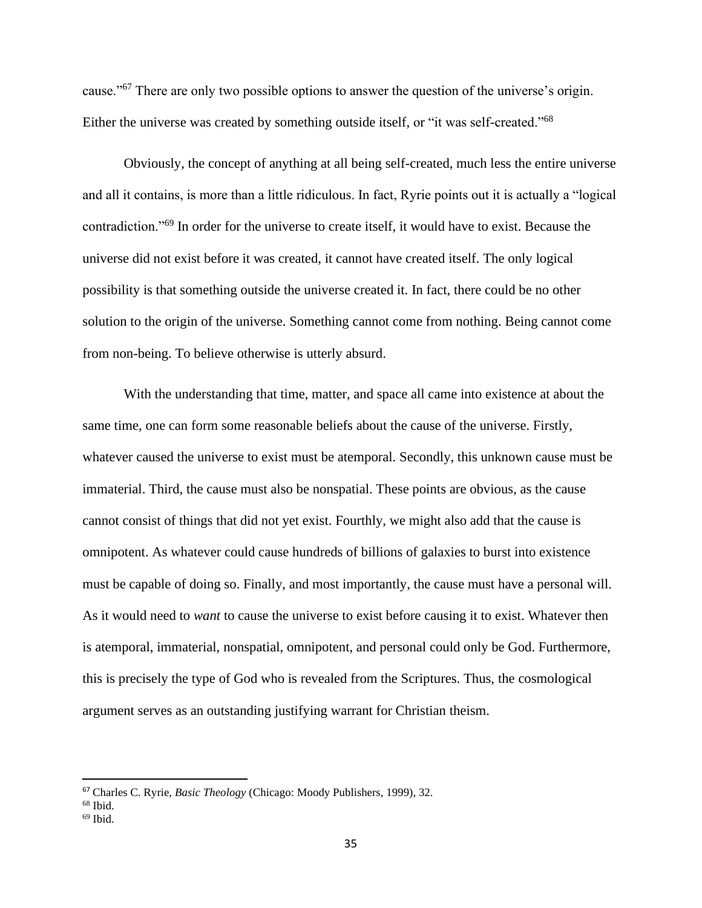cause."<sup>67</sup> There are only two possible options to answer the question of the universe's origin. Either the universe was created by something outside itself, or "it was self-created."<sup>68</sup>

Obviously, the concept of anything at all being self-created, much less the entire universe and all it contains, is more than a little ridiculous. In fact, Ryrie points out it is actually a "logical contradiction."<sup>69</sup> In order for the universe to create itself, it would have to exist. Because the universe did not exist before it was created, it cannot have created itself. The only logical possibility is that something outside the universe created it. In fact, there could be no other solution to the origin of the universe. Something cannot come from nothing. Being cannot come from non-being. To believe otherwise is utterly absurd.

With the understanding that time, matter, and space all came into existence at about the same time, one can form some reasonable beliefs about the cause of the universe. Firstly, whatever caused the universe to exist must be atemporal. Secondly, this unknown cause must be immaterial. Third, the cause must also be nonspatial. These points are obvious, as the cause cannot consist of things that did not yet exist. Fourthly, we might also add that the cause is omnipotent. As whatever could cause hundreds of billions of galaxies to burst into existence must be capable of doing so. Finally, and most importantly, the cause must have a personal will. As it would need to *want* to cause the universe to exist before causing it to exist. Whatever then is atemporal, immaterial, nonspatial, omnipotent, and personal could only be God. Furthermore, this is precisely the type of God who is revealed from the Scriptures. Thus, the cosmological argument serves as an outstanding justifying warrant for Christian theism.

<sup>67</sup> Charles C. Ryrie, *Basic Theology* (Chicago: Moody Publishers, 1999), 32.

<sup>68</sup> Ibid.

 $69$  Ibid.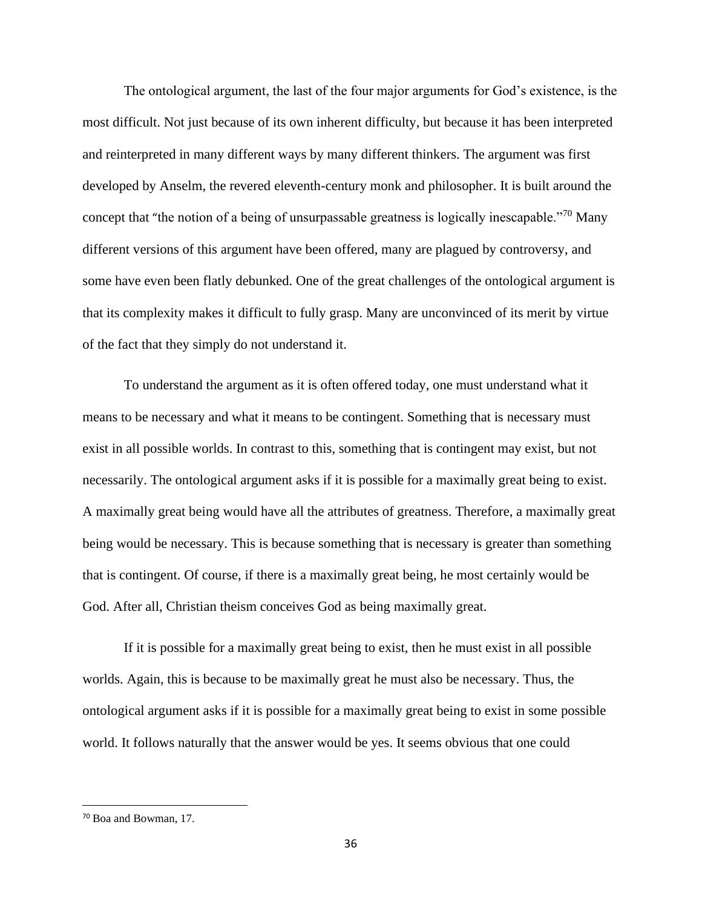The ontological argument, the last of the four major arguments for God's existence, is the most difficult. Not just because of its own inherent difficulty, but because it has been interpreted and reinterpreted in many different ways by many different thinkers. The argument was first developed by Anselm, the revered eleventh-century monk and philosopher. It is built around the concept that "the notion of a being of unsurpassable greatness is logically inescapable."<sup>70</sup> Many different versions of this argument have been offered, many are plagued by controversy, and some have even been flatly debunked. One of the great challenges of the ontological argument is that its complexity makes it difficult to fully grasp. Many are unconvinced of its merit by virtue of the fact that they simply do not understand it.

To understand the argument as it is often offered today, one must understand what it means to be necessary and what it means to be contingent. Something that is necessary must exist in all possible worlds. In contrast to this, something that is contingent may exist, but not necessarily. The ontological argument asks if it is possible for a maximally great being to exist. A maximally great being would have all the attributes of greatness. Therefore, a maximally great being would be necessary. This is because something that is necessary is greater than something that is contingent. Of course, if there is a maximally great being, he most certainly would be God. After all, Christian theism conceives God as being maximally great.

If it is possible for a maximally great being to exist, then he must exist in all possible worlds. Again, this is because to be maximally great he must also be necessary. Thus, the ontological argument asks if it is possible for a maximally great being to exist in some possible world. It follows naturally that the answer would be yes. It seems obvious that one could

<sup>70</sup> Boa and Bowman, 17.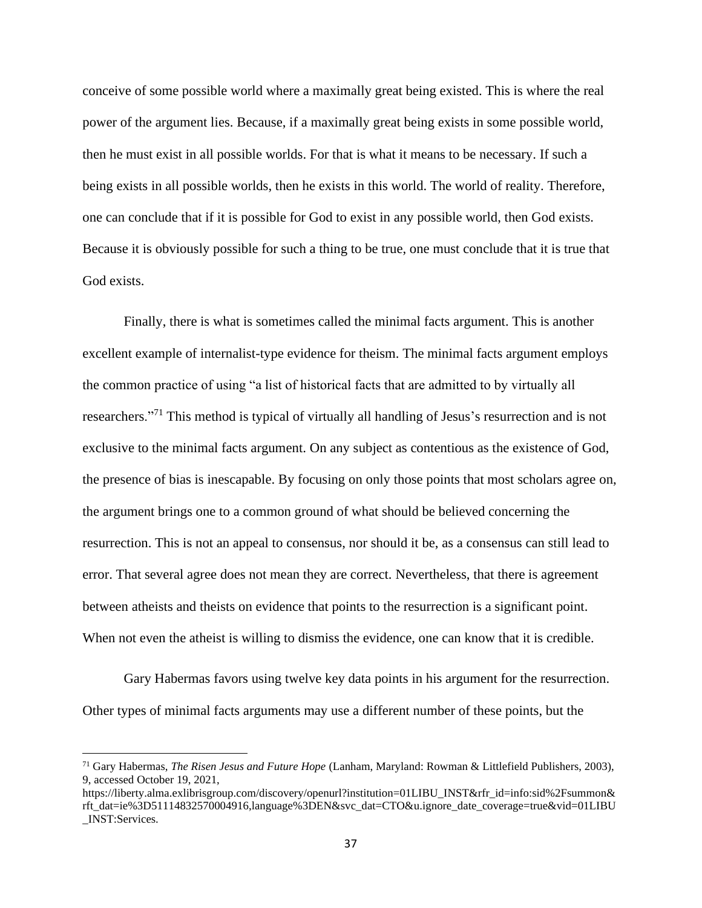conceive of some possible world where a maximally great being existed. This is where the real power of the argument lies. Because, if a maximally great being exists in some possible world, then he must exist in all possible worlds. For that is what it means to be necessary. If such a being exists in all possible worlds, then he exists in this world. The world of reality. Therefore, one can conclude that if it is possible for God to exist in any possible world, then God exists. Because it is obviously possible for such a thing to be true, one must conclude that it is true that God exists.

Finally, there is what is sometimes called the minimal facts argument. This is another excellent example of internalist-type evidence for theism. The minimal facts argument employs the common practice of using "a list of historical facts that are admitted to by virtually all researchers."<sup>71</sup> This method is typical of virtually all handling of Jesus's resurrection and is not exclusive to the minimal facts argument. On any subject as contentious as the existence of God, the presence of bias is inescapable. By focusing on only those points that most scholars agree on, the argument brings one to a common ground of what should be believed concerning the resurrection. This is not an appeal to consensus, nor should it be, as a consensus can still lead to error. That several agree does not mean they are correct. Nevertheless, that there is agreement between atheists and theists on evidence that points to the resurrection is a significant point. When not even the atheist is willing to dismiss the evidence, one can know that it is credible.

Gary Habermas favors using twelve key data points in his argument for the resurrection. Other types of minimal facts arguments may use a different number of these points, but the

<sup>71</sup> Gary Habermas, *The Risen Jesus and Future Hope* (Lanham, Maryland: Rowman & Littlefield Publishers, 2003), 9, accessed October 19, 2021,

https://liberty.alma.exlibrisgroup.com/discovery/openurl?institution=01LIBU\_INST&rfr\_id=info:sid%2Fsummon& rft\_dat=ie%3D51114832570004916,language%3DEN&svc\_dat=CTO&u.ignore\_date\_coverage=true&vid=01LIBU \_INST:Services.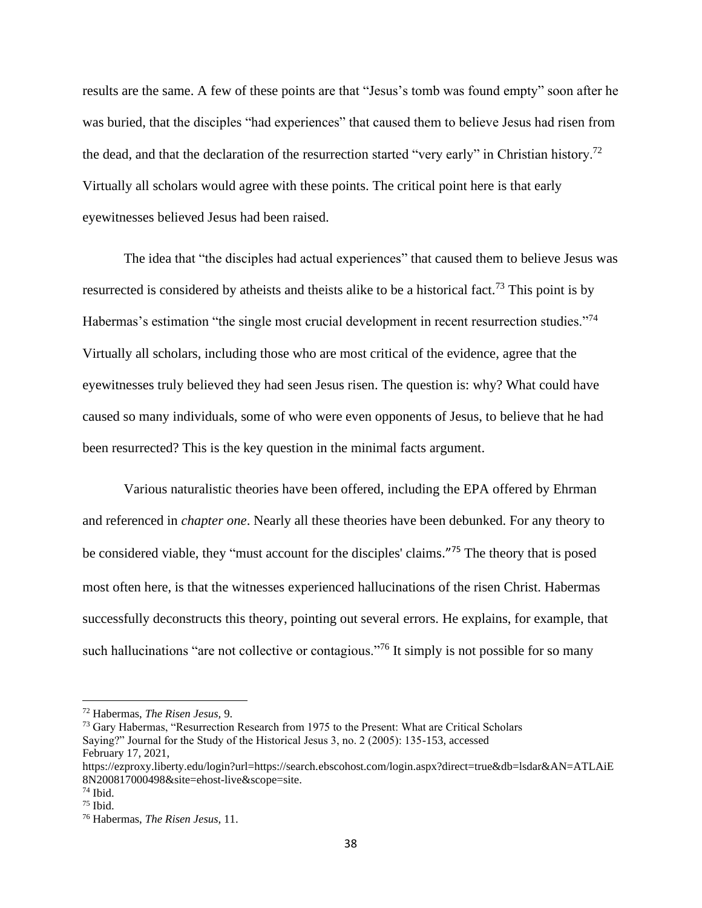results are the same. A few of these points are that "Jesus's tomb was found empty" soon after he was buried, that the disciples "had experiences" that caused them to believe Jesus had risen from the dead, and that the declaration of the resurrection started "very early" in Christian history.<sup>72</sup> Virtually all scholars would agree with these points. The critical point here is that early eyewitnesses believed Jesus had been raised.

The idea that "the disciples had actual experiences" that caused them to believe Jesus was resurrected is considered by atheists and theists alike to be a historical fact.<sup>73</sup> This point is by Habermas's estimation "the single most crucial development in recent resurrection studies."<sup>74</sup> Virtually all scholars, including those who are most critical of the evidence, agree that the eyewitnesses truly believed they had seen Jesus risen. The question is: why? What could have caused so many individuals, some of who were even opponents of Jesus, to believe that he had been resurrected? This is the key question in the minimal facts argument.

Various naturalistic theories have been offered, including the EPA offered by Ehrman and referenced in *chapter one*. Nearly all these theories have been debunked. For any theory to be considered viable, they "must account for the disciples' claims."<sup>75</sup> The theory that is posed most often here, is that the witnesses experienced hallucinations of the risen Christ. Habermas successfully deconstructs this theory, pointing out several errors. He explains, for example, that such hallucinations "are not collective or contagious."<sup>76</sup> It simply is not possible for so many

<sup>72</sup> Habermas, *The Risen Jesus,* 9.

<sup>&</sup>lt;sup>73</sup> Gary Habermas, "Resurrection Research from 1975 to the Present: What are Critical Scholars Saying?" Journal for the Study of the Historical Jesus 3, no. 2 (2005): 135-153, accessed February 17, 2021,

https://ezproxy.liberty.edu/login?url=https://search.ebscohost.com/login.aspx?direct=true&db=lsdar&AN=ATLAiE 8N200817000498&site=ehost-live&scope=site.

 $74$  Ibid.

 $75$  Ibid.

<sup>76</sup> Habermas, *The Risen Jesus*, 11.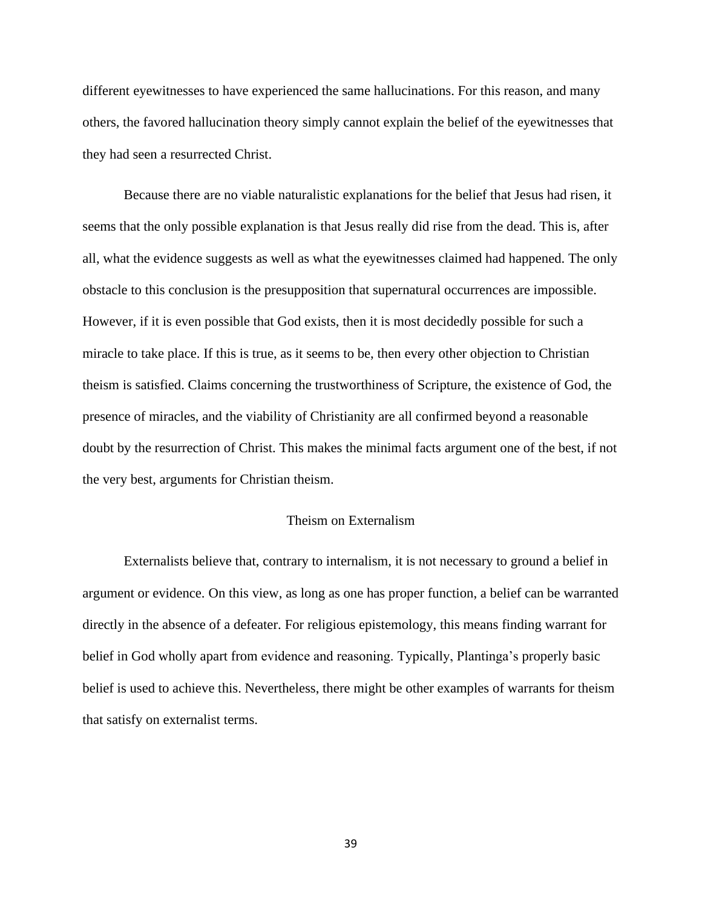different eyewitnesses to have experienced the same hallucinations. For this reason, and many others, the favored hallucination theory simply cannot explain the belief of the eyewitnesses that they had seen a resurrected Christ.

Because there are no viable naturalistic explanations for the belief that Jesus had risen, it seems that the only possible explanation is that Jesus really did rise from the dead. This is, after all, what the evidence suggests as well as what the eyewitnesses claimed had happened. The only obstacle to this conclusion is the presupposition that supernatural occurrences are impossible. However, if it is even possible that God exists, then it is most decidedly possible for such a miracle to take place. If this is true, as it seems to be, then every other objection to Christian theism is satisfied. Claims concerning the trustworthiness of Scripture, the existence of God, the presence of miracles, and the viability of Christianity are all confirmed beyond a reasonable doubt by the resurrection of Christ. This makes the minimal facts argument one of the best, if not the very best, arguments for Christian theism.

#### Theism on Externalism

Externalists believe that, contrary to internalism, it is not necessary to ground a belief in argument or evidence. On this view, as long as one has proper function, a belief can be warranted directly in the absence of a defeater. For religious epistemology, this means finding warrant for belief in God wholly apart from evidence and reasoning. Typically, Plantinga's properly basic belief is used to achieve this. Nevertheless, there might be other examples of warrants for theism that satisfy on externalist terms.

39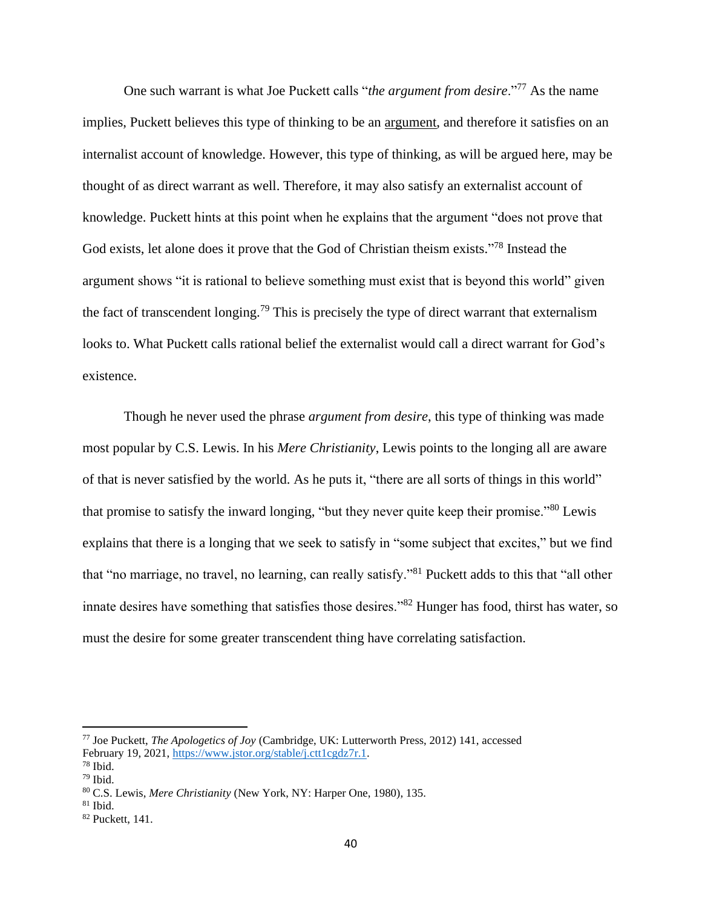One such warrant is what Joe Puckett calls "*the argument from desire*."<sup>77</sup> As the name implies, Puckett believes this type of thinking to be an argument, and therefore it satisfies on an internalist account of knowledge. However, this type of thinking, as will be argued here, may be thought of as direct warrant as well. Therefore, it may also satisfy an externalist account of knowledge. Puckett hints at this point when he explains that the argument "does not prove that God exists, let alone does it prove that the God of Christian theism exists."<sup>78</sup> Instead the argument shows "it is rational to believe something must exist that is beyond this world" given the fact of transcendent longing.<sup>79</sup> This is precisely the type of direct warrant that externalism looks to. What Puckett calls rational belief the externalist would call a direct warrant for God's existence.

Though he never used the phrase *argument from desire*, this type of thinking was made most popular by C.S. Lewis. In his *Mere Christianity*, Lewis points to the longing all are aware of that is never satisfied by the world. As he puts it, "there are all sorts of things in this world" that promise to satisfy the inward longing, "but they never quite keep their promise."<sup>80</sup> Lewis explains that there is a longing that we seek to satisfy in "some subject that excites," but we find that "no marriage, no travel, no learning, can really satisfy."<sup>81</sup> Puckett adds to this that "all other innate desires have something that satisfies those desires."<sup>82</sup> Hunger has food, thirst has water, so must the desire for some greater transcendent thing have correlating satisfaction.

<sup>77</sup> Joe Puckett, *The Apologetics of Joy* (Cambridge, UK: Lutterworth Press, 2012) 141, accessed February 19, 2021[, https://www.jstor.org/stable/j.ctt1cgdz7r.1.](https://www.jstor.org/stable/j.ctt1cgdz7r.1)

<sup>78</sup> Ibid.

 $79$  Ibid.

<sup>80</sup> C.S. Lewis, *Mere Christianity* (New York, NY: Harper One, 1980), 135.

 $81$  Ibid.

<sup>82</sup> Puckett, 141.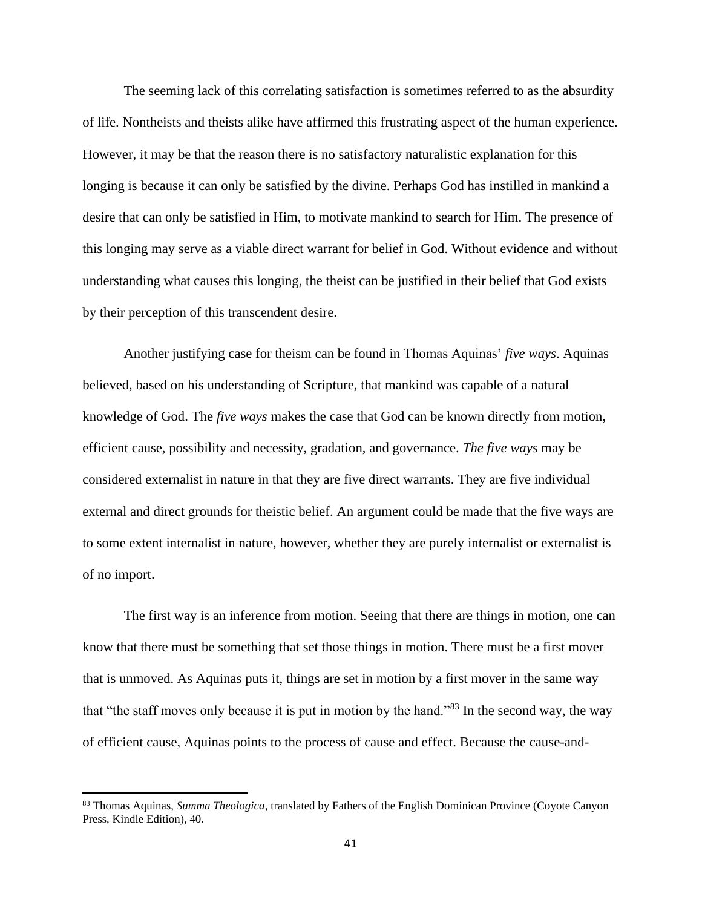The seeming lack of this correlating satisfaction is sometimes referred to as the absurdity of life. Nontheists and theists alike have affirmed this frustrating aspect of the human experience. However, it may be that the reason there is no satisfactory naturalistic explanation for this longing is because it can only be satisfied by the divine. Perhaps God has instilled in mankind a desire that can only be satisfied in Him, to motivate mankind to search for Him. The presence of this longing may serve as a viable direct warrant for belief in God. Without evidence and without understanding what causes this longing, the theist can be justified in their belief that God exists by their perception of this transcendent desire.

Another justifying case for theism can be found in Thomas Aquinas' *five ways*. Aquinas believed, based on his understanding of Scripture, that mankind was capable of a natural knowledge of God. The *five ways* makes the case that God can be known directly from motion, efficient cause, possibility and necessity, gradation, and governance. *The five ways* may be considered externalist in nature in that they are five direct warrants. They are five individual external and direct grounds for theistic belief. An argument could be made that the five ways are to some extent internalist in nature, however, whether they are purely internalist or externalist is of no import.

The first way is an inference from motion. Seeing that there are things in motion, one can know that there must be something that set those things in motion. There must be a first mover that is unmoved. As Aquinas puts it, things are set in motion by a first mover in the same way that "the staff moves only because it is put in motion by the hand."<sup>83</sup> In the second way, the way of efficient cause, Aquinas points to the process of cause and effect. Because the cause-and-

<sup>83</sup> Thomas Aquinas, *Summa Theologica*, translated by Fathers of the English Dominican Province (Coyote Canyon Press, Kindle Edition), 40.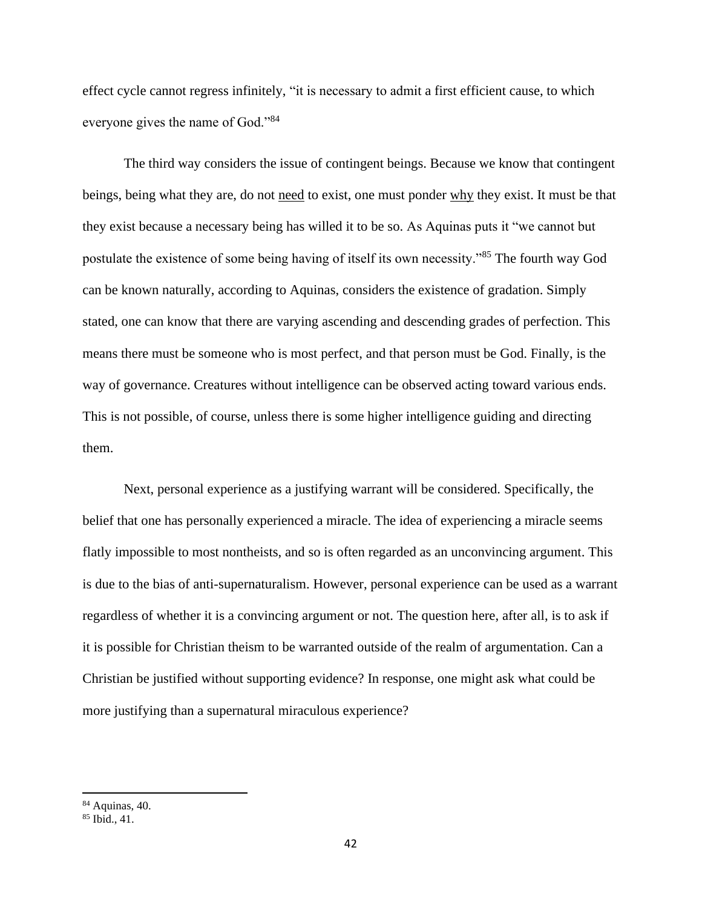effect cycle cannot regress infinitely, "it is necessary to admit a first efficient cause, to which everyone gives the name of God."<sup>84</sup>

The third way considers the issue of contingent beings. Because we know that contingent beings, being what they are, do not need to exist, one must ponder why they exist. It must be that they exist because a necessary being has willed it to be so. As Aquinas puts it "we cannot but postulate the existence of some being having of itself its own necessity."<sup>85</sup> The fourth way God can be known naturally, according to Aquinas, considers the existence of gradation. Simply stated, one can know that there are varying ascending and descending grades of perfection. This means there must be someone who is most perfect, and that person must be God. Finally, is the way of governance. Creatures without intelligence can be observed acting toward various ends. This is not possible, of course, unless there is some higher intelligence guiding and directing them.

Next, personal experience as a justifying warrant will be considered. Specifically, the belief that one has personally experienced a miracle. The idea of experiencing a miracle seems flatly impossible to most nontheists, and so is often regarded as an unconvincing argument. This is due to the bias of anti-supernaturalism. However, personal experience can be used as a warrant regardless of whether it is a convincing argument or not. The question here, after all, is to ask if it is possible for Christian theism to be warranted outside of the realm of argumentation. Can a Christian be justified without supporting evidence? In response, one might ask what could be more justifying than a supernatural miraculous experience?

<sup>84</sup> Aquinas, 40.

 $85$  Ibid., 41.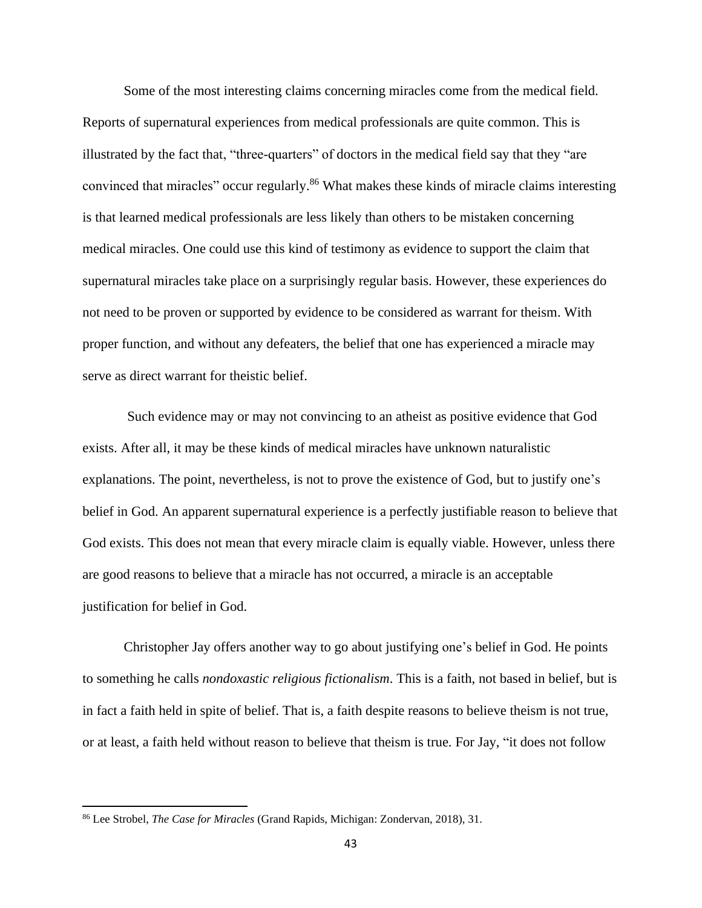Some of the most interesting claims concerning miracles come from the medical field. Reports of supernatural experiences from medical professionals are quite common. This is illustrated by the fact that, "three-quarters" of doctors in the medical field say that they "are convinced that miracles" occur regularly.<sup>86</sup> What makes these kinds of miracle claims interesting is that learned medical professionals are less likely than others to be mistaken concerning medical miracles. One could use this kind of testimony as evidence to support the claim that supernatural miracles take place on a surprisingly regular basis. However, these experiences do not need to be proven or supported by evidence to be considered as warrant for theism. With proper function, and without any defeaters, the belief that one has experienced a miracle may serve as direct warrant for theistic belief.

Such evidence may or may not convincing to an atheist as positive evidence that God exists. After all, it may be these kinds of medical miracles have unknown naturalistic explanations. The point, nevertheless, is not to prove the existence of God, but to justify one's belief in God. An apparent supernatural experience is a perfectly justifiable reason to believe that God exists. This does not mean that every miracle claim is equally viable. However, unless there are good reasons to believe that a miracle has not occurred, a miracle is an acceptable justification for belief in God.

Christopher Jay offers another way to go about justifying one's belief in God. He points to something he calls *nondoxastic religious fictionalism*. This is a faith, not based in belief, but is in fact a faith held in spite of belief. That is, a faith despite reasons to believe theism is not true, or at least, a faith held without reason to believe that theism is true. For Jay, "it does not follow

<sup>86</sup> Lee Strobel, *The Case for Miracles* (Grand Rapids, Michigan: Zondervan, 2018), 31.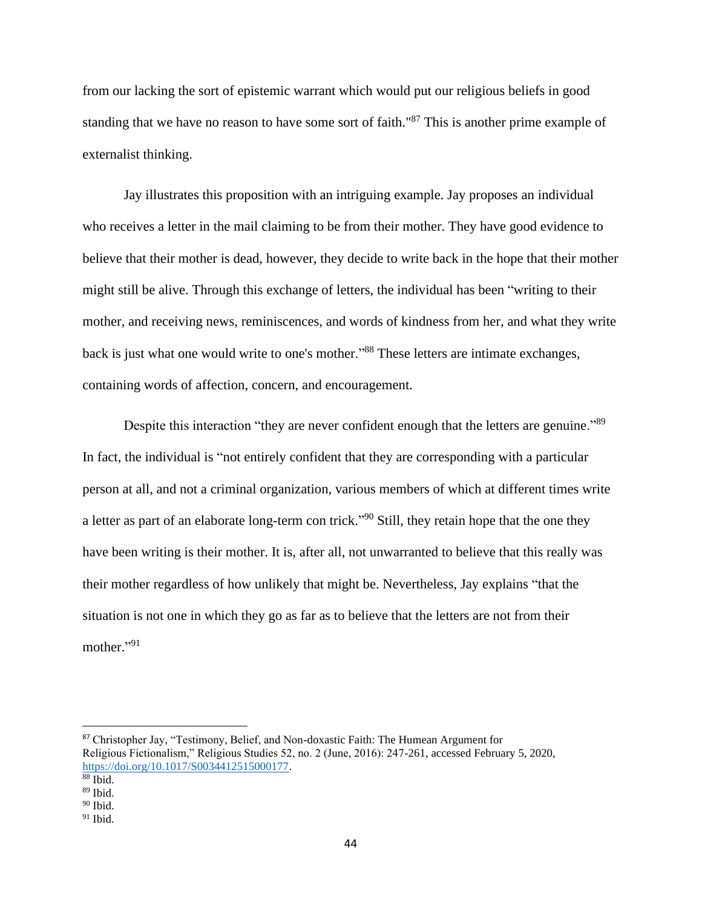from our lacking the sort of epistemic warrant which would put our religious beliefs in good standing that we have no reason to have some sort of faith."<sup>87</sup> This is another prime example of externalist thinking.

Jay illustrates this proposition with an intriguing example. Jay proposes an individual who receives a letter in the mail claiming to be from their mother. They have good evidence to believe that their mother is dead, however, they decide to write back in the hope that their mother might still be alive. Through this exchange of letters, the individual has been "writing to their mother, and receiving news, reminiscences, and words of kindness from her, and what they write back is just what one would write to one's mother."<sup>88</sup> These letters are intimate exchanges, containing words of affection, concern, and encouragement.

Despite this interaction "they are never confident enough that the letters are genuine."<sup>89</sup> In fact, the individual is "not entirely confident that they are corresponding with a particular person at all, and not a criminal organization, various members of which at different times write a letter as part of an elaborate long-term con trick."<sup>90</sup> Still, they retain hope that the one they have been writing is their mother. It is, after all, not unwarranted to believe that this really was their mother regardless of how unlikely that might be. Nevertheless, Jay explains "that the situation is not one in which they go as far as to believe that the letters are not from their mother."<sup>91</sup>

<sup>87</sup> Christopher Jay, "Testimony, Belief, and Non-doxastic Faith: The Humean Argument for Religious Fictionalism," Religious Studies 52, no. 2 (June, 2016): 247-261, accessed February 5, 2020, [https://doi.org/10.1017/S0034412515000177.](https://doi.org/10.1017/S0034412515000177)

<sup>88</sup> Ibid.

<sup>89</sup> Ibid.

 $90$  Ibid.

 $91$  Ibid.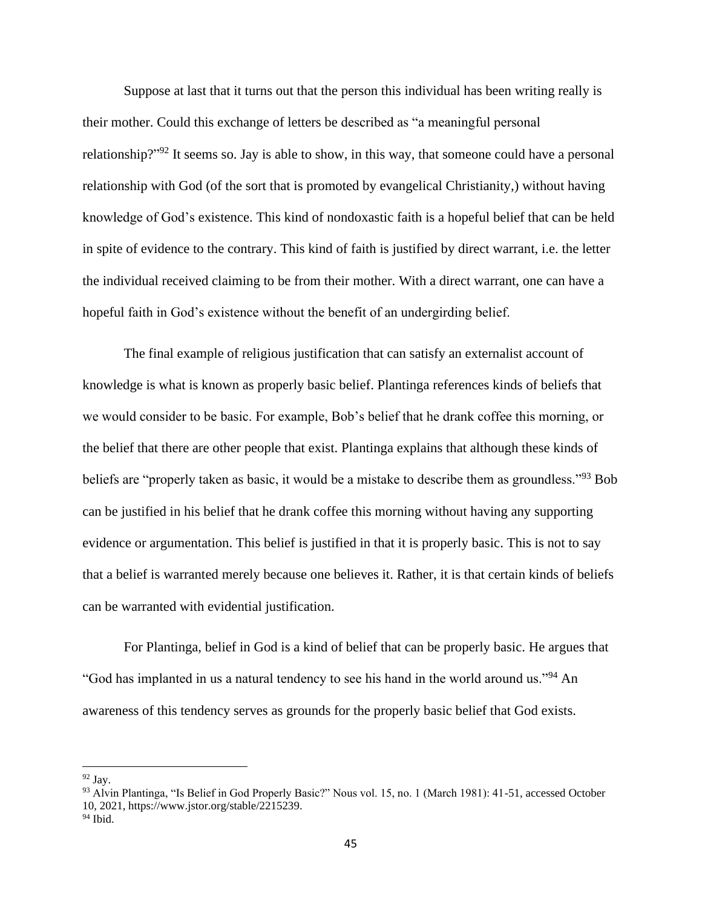Suppose at last that it turns out that the person this individual has been writing really is their mother. Could this exchange of letters be described as "a meaningful personal relationship?"<sup>92</sup> It seems so. Jay is able to show, in this way, that someone could have a personal relationship with God (of the sort that is promoted by evangelical Christianity,) without having knowledge of God's existence. This kind of nondoxastic faith is a hopeful belief that can be held in spite of evidence to the contrary. This kind of faith is justified by direct warrant, i.e. the letter the individual received claiming to be from their mother. With a direct warrant, one can have a hopeful faith in God's existence without the benefit of an undergirding belief.

The final example of religious justification that can satisfy an externalist account of knowledge is what is known as properly basic belief. Plantinga references kinds of beliefs that we would consider to be basic. For example, Bob's belief that he drank coffee this morning, or the belief that there are other people that exist. Plantinga explains that although these kinds of beliefs are "properly taken as basic, it would be a mistake to describe them as groundless."<sup>93</sup> Bob can be justified in his belief that he drank coffee this morning without having any supporting evidence or argumentation. This belief is justified in that it is properly basic. This is not to say that a belief is warranted merely because one believes it. Rather, it is that certain kinds of beliefs can be warranted with evidential justification.

For Plantinga, belief in God is a kind of belief that can be properly basic. He argues that "God has implanted in us a natural tendency to see his hand in the world around us."<sup>94</sup> An awareness of this tendency serves as grounds for the properly basic belief that God exists.

 $92$  Jav.

<sup>93</sup> Alvin Plantinga, "Is Belief in God Properly Basic?" Nous vol. 15, no. 1 (March 1981): 41-51, accessed October 10, 2021, https://www.jstor.org/stable/2215239.

 $94$  Ibid.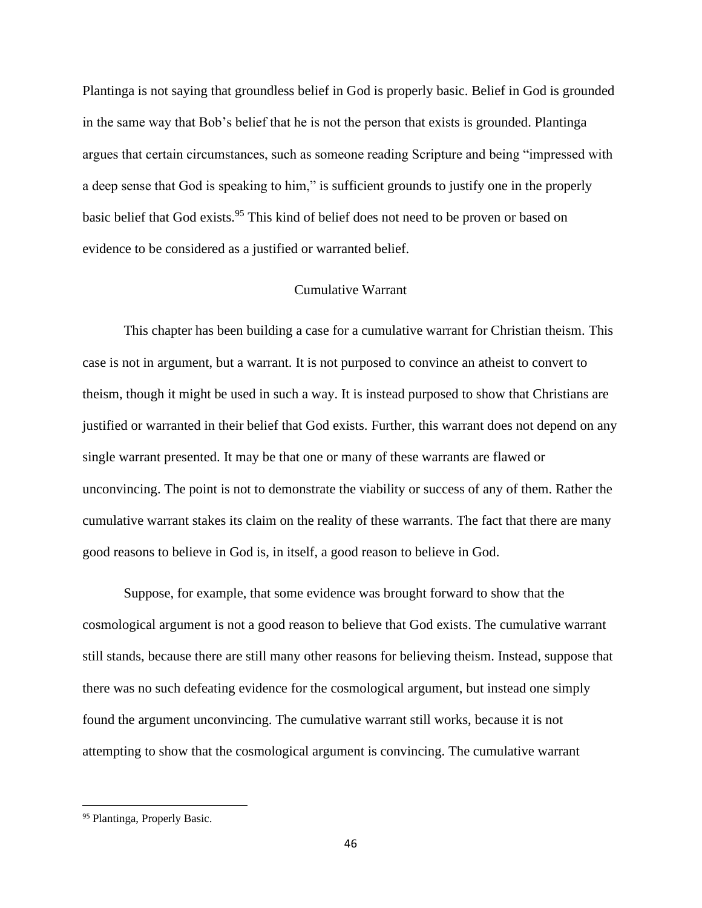Plantinga is not saying that groundless belief in God is properly basic. Belief in God is grounded in the same way that Bob's belief that he is not the person that exists is grounded. Plantinga argues that certain circumstances, such as someone reading Scripture and being "impressed with a deep sense that God is speaking to him," is sufficient grounds to justify one in the properly basic belief that God exists.<sup>95</sup> This kind of belief does not need to be proven or based on evidence to be considered as a justified or warranted belief.

## Cumulative Warrant

This chapter has been building a case for a cumulative warrant for Christian theism. This case is not in argument, but a warrant. It is not purposed to convince an atheist to convert to theism, though it might be used in such a way. It is instead purposed to show that Christians are justified or warranted in their belief that God exists. Further, this warrant does not depend on any single warrant presented. It may be that one or many of these warrants are flawed or unconvincing. The point is not to demonstrate the viability or success of any of them. Rather the cumulative warrant stakes its claim on the reality of these warrants. The fact that there are many good reasons to believe in God is, in itself, a good reason to believe in God.

Suppose, for example, that some evidence was brought forward to show that the cosmological argument is not a good reason to believe that God exists. The cumulative warrant still stands, because there are still many other reasons for believing theism. Instead, suppose that there was no such defeating evidence for the cosmological argument, but instead one simply found the argument unconvincing. The cumulative warrant still works, because it is not attempting to show that the cosmological argument is convincing. The cumulative warrant

<sup>95</sup> Plantinga, Properly Basic.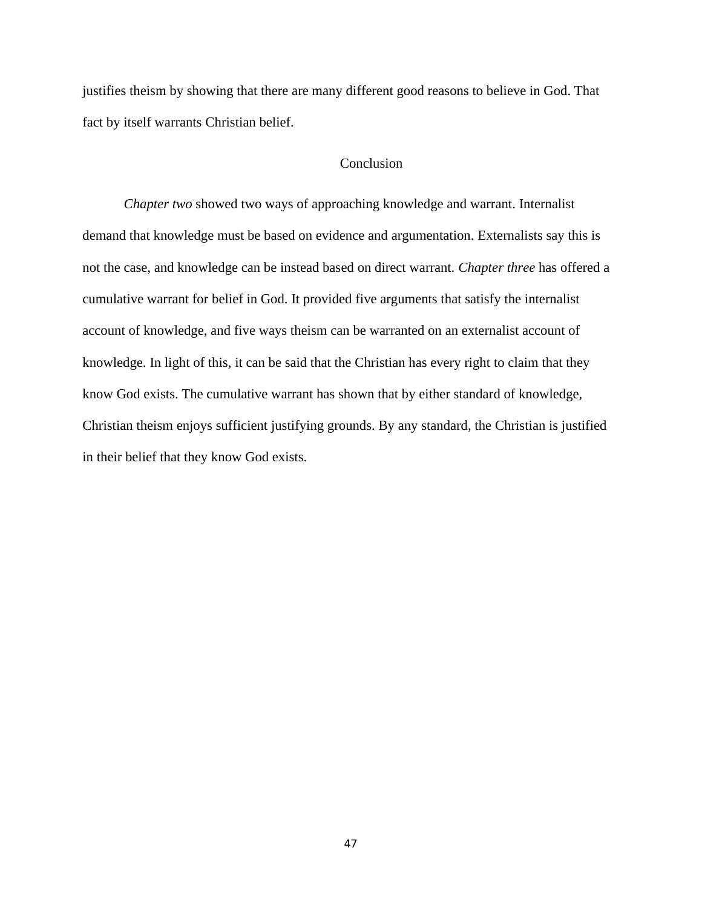justifies theism by showing that there are many different good reasons to believe in God. That fact by itself warrants Christian belief.

## Conclusion

*Chapter two* showed two ways of approaching knowledge and warrant. Internalist demand that knowledge must be based on evidence and argumentation. Externalists say this is not the case, and knowledge can be instead based on direct warrant. *Chapter three* has offered a cumulative warrant for belief in God. It provided five arguments that satisfy the internalist account of knowledge, and five ways theism can be warranted on an externalist account of knowledge. In light of this, it can be said that the Christian has every right to claim that they know God exists. The cumulative warrant has shown that by either standard of knowledge, Christian theism enjoys sufficient justifying grounds. By any standard, the Christian is justified in their belief that they know God exists.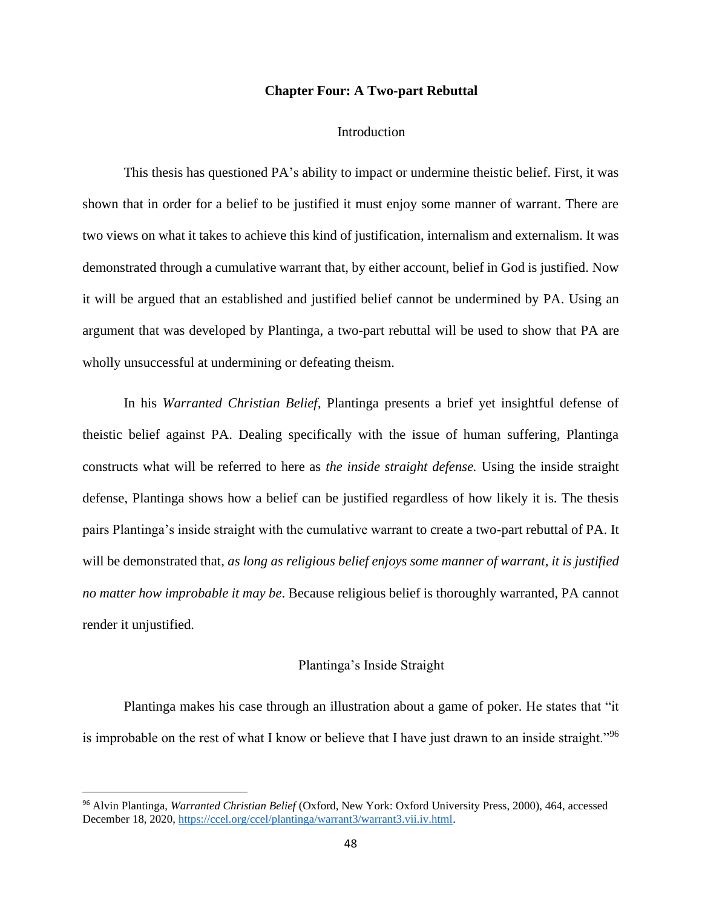### **Chapter Four: A Two-part Rebuttal**

#### Introduction

This thesis has questioned PA's ability to impact or undermine theistic belief. First, it was shown that in order for a belief to be justified it must enjoy some manner of warrant. There are two views on what it takes to achieve this kind of justification, internalism and externalism. It was demonstrated through a cumulative warrant that, by either account, belief in God is justified. Now it will be argued that an established and justified belief cannot be undermined by PA. Using an argument that was developed by Plantinga, a two-part rebuttal will be used to show that PA are wholly unsuccessful at undermining or defeating theism.

In his *Warranted Christian Belief*, Plantinga presents a brief yet insightful defense of theistic belief against PA. Dealing specifically with the issue of human suffering, Plantinga constructs what will be referred to here as *the inside straight defense.* Using the inside straight defense, Plantinga shows how a belief can be justified regardless of how likely it is. The thesis pairs Plantinga's inside straight with the cumulative warrant to create a two-part rebuttal of PA. It will be demonstrated that, *as long as religious belief enjoys some manner of warrant, it is justified no matter how improbable it may be*. Because religious belief is thoroughly warranted, PA cannot render it unjustified.

## Plantinga's Inside Straight

Plantinga makes his case through an illustration about a game of poker. He states that "it is improbable on the rest of what I know or believe that I have just drawn to an inside straight."<sup>96</sup>

<sup>96</sup> Alvin Plantinga, *Warranted Christian Belief* (Oxford, New York: Oxford University Press, 2000), 464, accessed December 18, 2020[, https://ccel.org/ccel/plantinga/warrant3/warrant3.vii.iv.html.](https://ccel.org/ccel/plantinga/warrant3/warrant3.vii.iv.html)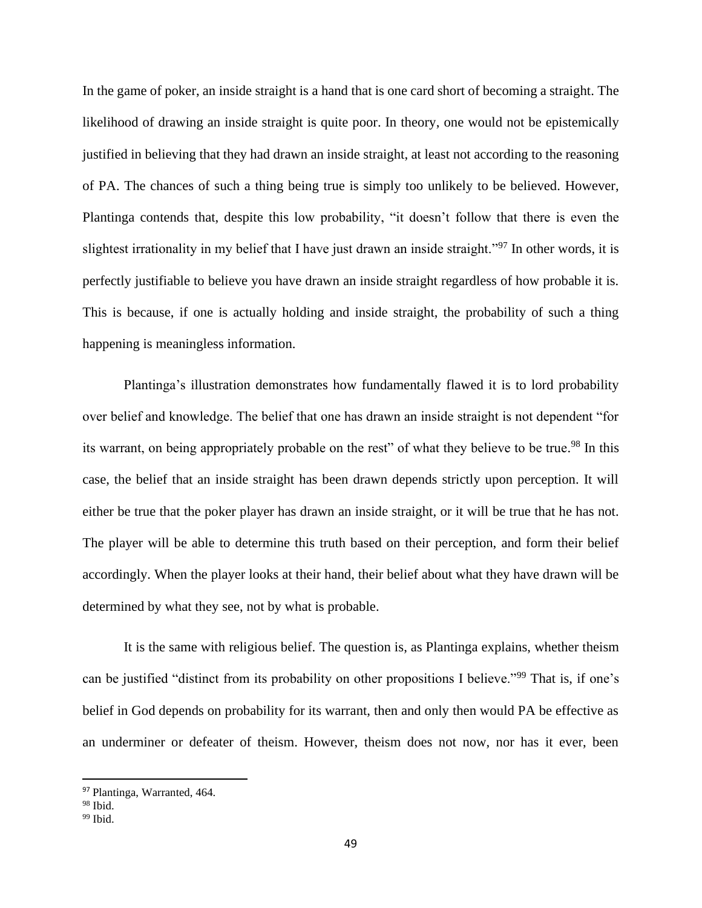In the game of poker, an inside straight is a hand that is one card short of becoming a straight. The likelihood of drawing an inside straight is quite poor. In theory, one would not be epistemically justified in believing that they had drawn an inside straight, at least not according to the reasoning of PA. The chances of such a thing being true is simply too unlikely to be believed. However, Plantinga contends that, despite this low probability, "it doesn't follow that there is even the slightest irrationality in my belief that I have just drawn an inside straight."<sup>97</sup> In other words, it is perfectly justifiable to believe you have drawn an inside straight regardless of how probable it is. This is because, if one is actually holding and inside straight, the probability of such a thing happening is meaningless information.

Plantinga's illustration demonstrates how fundamentally flawed it is to lord probability over belief and knowledge. The belief that one has drawn an inside straight is not dependent "for its warrant, on being appropriately probable on the rest" of what they believe to be true.<sup>98</sup> In this case, the belief that an inside straight has been drawn depends strictly upon perception. It will either be true that the poker player has drawn an inside straight, or it will be true that he has not. The player will be able to determine this truth based on their perception, and form their belief accordingly. When the player looks at their hand, their belief about what they have drawn will be determined by what they see, not by what is probable.

It is the same with religious belief. The question is, as Plantinga explains, whether theism can be justified "distinct from its probability on other propositions I believe."<sup>99</sup> That is, if one's belief in God depends on probability for its warrant, then and only then would PA be effective as an underminer or defeater of theism. However, theism does not now, nor has it ever, been

<sup>97</sup> Plantinga, Warranted, 464.

<sup>98</sup> Ibid.

 $99$  Ibid.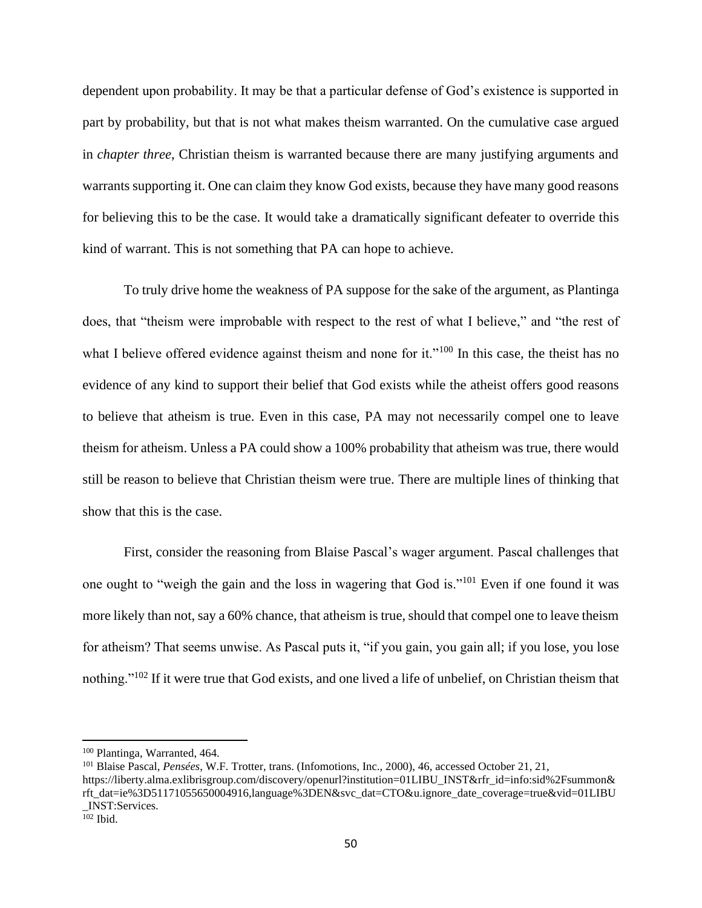dependent upon probability. It may be that a particular defense of God's existence is supported in part by probability, but that is not what makes theism warranted. On the cumulative case argued in *chapter three*, Christian theism is warranted because there are many justifying arguments and warrants supporting it. One can claim they know God exists, because they have many good reasons for believing this to be the case. It would take a dramatically significant defeater to override this kind of warrant. This is not something that PA can hope to achieve.

To truly drive home the weakness of PA suppose for the sake of the argument, as Plantinga does, that "theism were improbable with respect to the rest of what I believe," and "the rest of what I believe offered evidence against theism and none for it."<sup>100</sup> In this case, the theist has no evidence of any kind to support their belief that God exists while the atheist offers good reasons to believe that atheism is true. Even in this case, PA may not necessarily compel one to leave theism for atheism. Unless a PA could show a 100% probability that atheism was true, there would still be reason to believe that Christian theism were true. There are multiple lines of thinking that show that this is the case.

First, consider the reasoning from Blaise Pascal's wager argument. Pascal challenges that one ought to "weigh the gain and the loss in wagering that God is."<sup>101</sup> Even if one found it was more likely than not, say a 60% chance, that atheism is true, should that compel one to leave theism for atheism? That seems unwise. As Pascal puts it, "if you gain, you gain all; if you lose, you lose nothing."<sup>102</sup> If it were true that God exists, and one lived a life of unbelief, on Christian theism that

<sup>100</sup> Plantinga, Warranted, 464.

<sup>101</sup> Blaise Pascal, *Pensées*, W.F. Trotter, trans. (Infomotions, Inc., 2000), 46, accessed October 21, 21, https://liberty.alma.exlibrisgroup.com/discovery/openurl?institution=01LIBU\_INST&rfr\_id=info:sid%2Fsummon& rft\_dat=ie%3D51171055650004916,language%3DEN&svc\_dat=CTO&u.ignore\_date\_coverage=true&vid=01LIBU \_INST:Services.

 $102$  Ibid.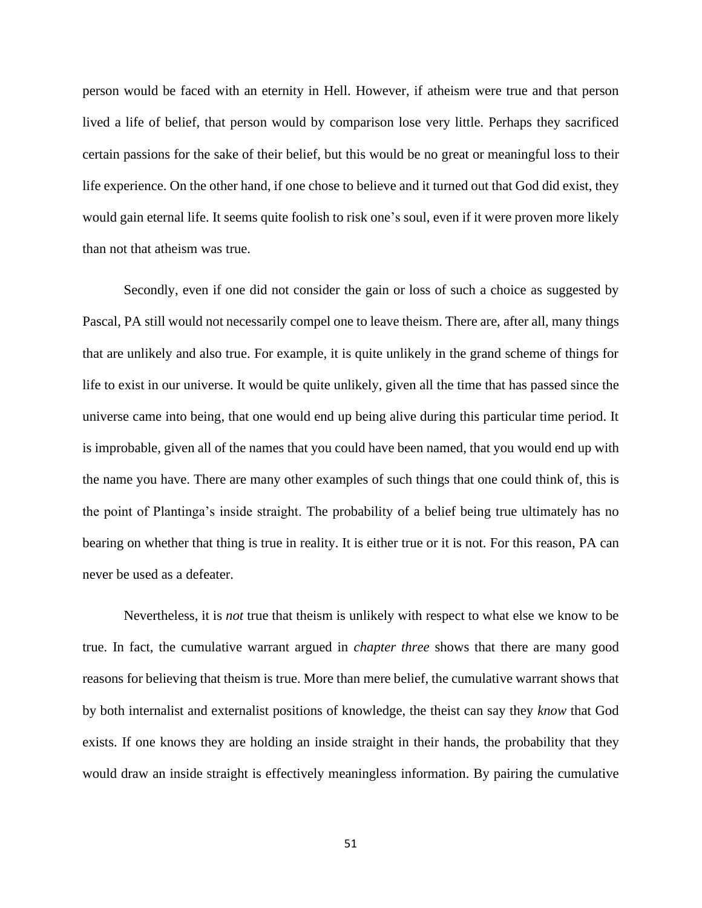person would be faced with an eternity in Hell. However, if atheism were true and that person lived a life of belief, that person would by comparison lose very little. Perhaps they sacrificed certain passions for the sake of their belief, but this would be no great or meaningful loss to their life experience. On the other hand, if one chose to believe and it turned out that God did exist, they would gain eternal life. It seems quite foolish to risk one's soul, even if it were proven more likely than not that atheism was true.

Secondly, even if one did not consider the gain or loss of such a choice as suggested by Pascal, PA still would not necessarily compel one to leave theism. There are, after all, many things that are unlikely and also true. For example, it is quite unlikely in the grand scheme of things for life to exist in our universe. It would be quite unlikely, given all the time that has passed since the universe came into being, that one would end up being alive during this particular time period. It is improbable, given all of the names that you could have been named, that you would end up with the name you have. There are many other examples of such things that one could think of, this is the point of Plantinga's inside straight. The probability of a belief being true ultimately has no bearing on whether that thing is true in reality. It is either true or it is not. For this reason, PA can never be used as a defeater.

Nevertheless, it is *not* true that theism is unlikely with respect to what else we know to be true. In fact, the cumulative warrant argued in *chapter three* shows that there are many good reasons for believing that theism is true. More than mere belief, the cumulative warrant shows that by both internalist and externalist positions of knowledge, the theist can say they *know* that God exists. If one knows they are holding an inside straight in their hands, the probability that they would draw an inside straight is effectively meaningless information. By pairing the cumulative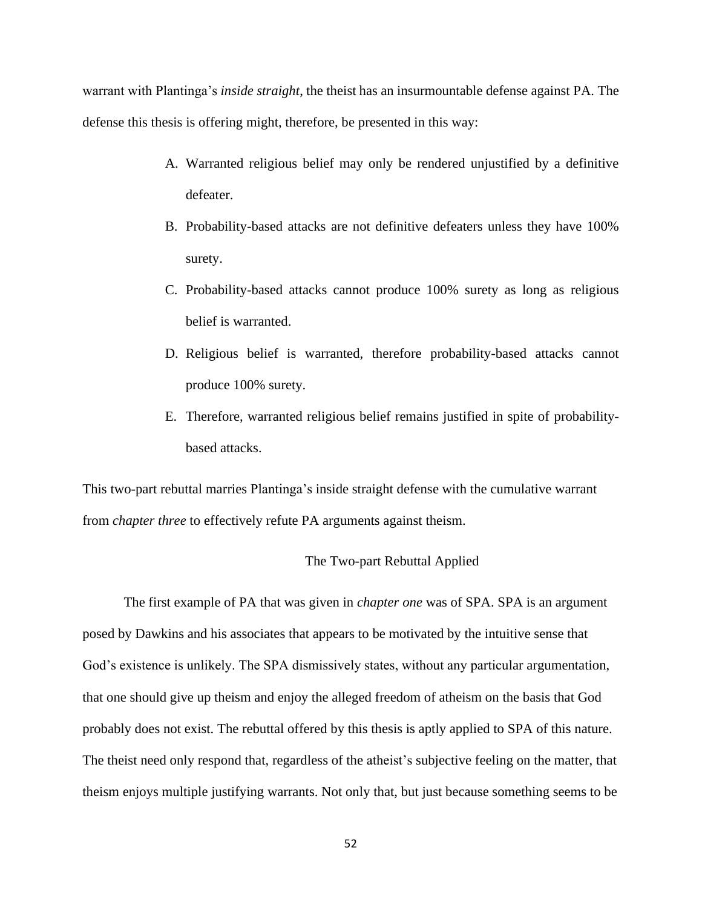warrant with Plantinga's *inside straight*, the theist has an insurmountable defense against PA. The defense this thesis is offering might, therefore, be presented in this way:

- A. Warranted religious belief may only be rendered unjustified by a definitive defeater.
- B. Probability-based attacks are not definitive defeaters unless they have 100% surety.
- C. Probability-based attacks cannot produce 100% surety as long as religious belief is warranted.
- D. Religious belief is warranted, therefore probability-based attacks cannot produce 100% surety.
- E. Therefore, warranted religious belief remains justified in spite of probabilitybased attacks.

This two-part rebuttal marries Plantinga's inside straight defense with the cumulative warrant from *chapter three* to effectively refute PA arguments against theism.

## The Two-part Rebuttal Applied

The first example of PA that was given in *chapter one* was of SPA. SPA is an argument posed by Dawkins and his associates that appears to be motivated by the intuitive sense that God's existence is unlikely. The SPA dismissively states, without any particular argumentation, that one should give up theism and enjoy the alleged freedom of atheism on the basis that God probably does not exist. The rebuttal offered by this thesis is aptly applied to SPA of this nature. The theist need only respond that, regardless of the atheist's subjective feeling on the matter, that theism enjoys multiple justifying warrants. Not only that, but just because something seems to be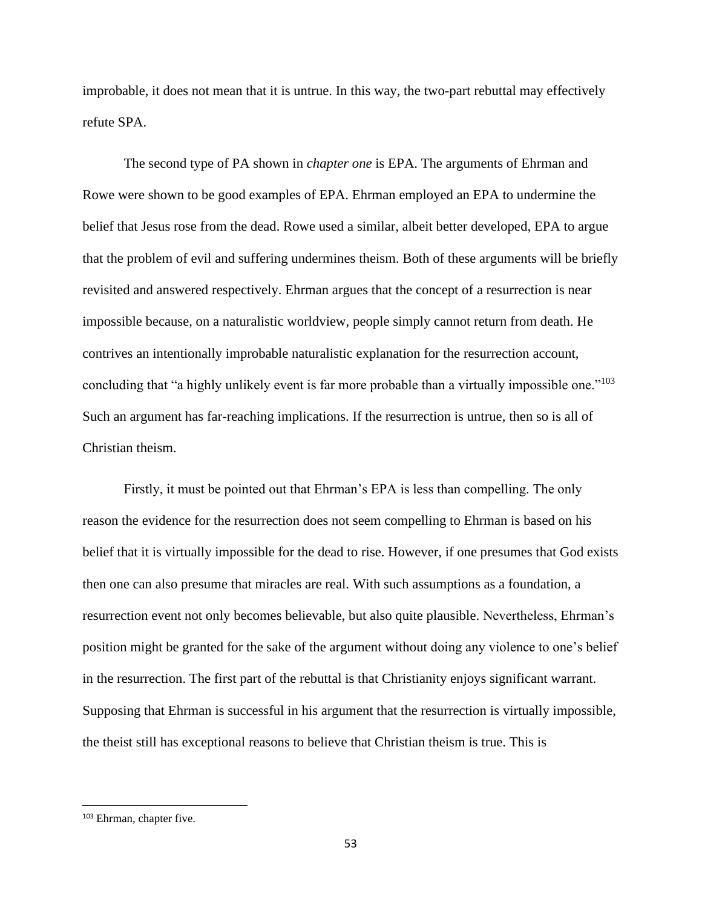improbable, it does not mean that it is untrue. In this way, the two-part rebuttal may effectively refute SPA.

The second type of PA shown in *chapter one* is EPA. The arguments of Ehrman and Rowe were shown to be good examples of EPA. Ehrman employed an EPA to undermine the belief that Jesus rose from the dead. Rowe used a similar, albeit better developed, EPA to argue that the problem of evil and suffering undermines theism. Both of these arguments will be briefly revisited and answered respectively. Ehrman argues that the concept of a resurrection is near impossible because, on a naturalistic worldview, people simply cannot return from death. He contrives an intentionally improbable naturalistic explanation for the resurrection account, concluding that "a highly unlikely event is far more probable than a virtually impossible one."<sup>103</sup> Such an argument has far-reaching implications. If the resurrection is untrue, then so is all of Christian theism.

Firstly, it must be pointed out that Ehrman's EPA is less than compelling. The only reason the evidence for the resurrection does not seem compelling to Ehrman is based on his belief that it is virtually impossible for the dead to rise. However, if one presumes that God exists then one can also presume that miracles are real. With such assumptions as a foundation, a resurrection event not only becomes believable, but also quite plausible. Nevertheless, Ehrman's position might be granted for the sake of the argument without doing any violence to one's belief in the resurrection. The first part of the rebuttal is that Christianity enjoys significant warrant. Supposing that Ehrman is successful in his argument that the resurrection is virtually impossible, the theist still has exceptional reasons to believe that Christian theism is true. This is

<sup>&</sup>lt;sup>103</sup> Ehrman, chapter five.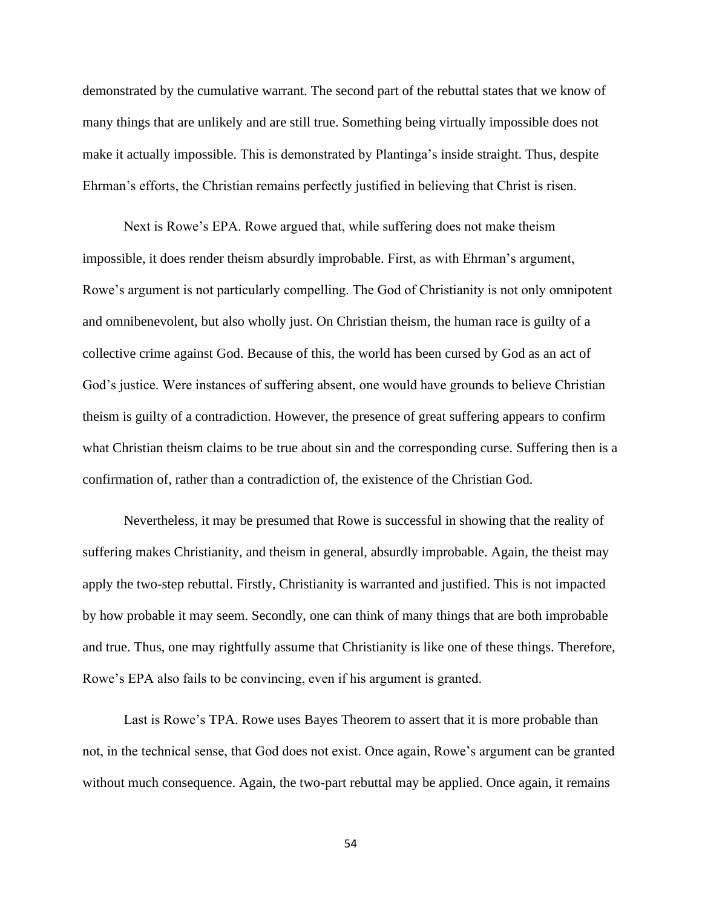demonstrated by the cumulative warrant. The second part of the rebuttal states that we know of many things that are unlikely and are still true. Something being virtually impossible does not make it actually impossible. This is demonstrated by Plantinga's inside straight. Thus, despite Ehrman's efforts, the Christian remains perfectly justified in believing that Christ is risen.

Next is Rowe's EPA. Rowe argued that, while suffering does not make theism impossible, it does render theism absurdly improbable. First, as with Ehrman's argument, Rowe's argument is not particularly compelling. The God of Christianity is not only omnipotent and omnibenevolent, but also wholly just. On Christian theism, the human race is guilty of a collective crime against God. Because of this, the world has been cursed by God as an act of God's justice. Were instances of suffering absent, one would have grounds to believe Christian theism is guilty of a contradiction. However, the presence of great suffering appears to confirm what Christian theism claims to be true about sin and the corresponding curse. Suffering then is a confirmation of, rather than a contradiction of, the existence of the Christian God.

Nevertheless, it may be presumed that Rowe is successful in showing that the reality of suffering makes Christianity, and theism in general, absurdly improbable. Again, the theist may apply the two-step rebuttal. Firstly, Christianity is warranted and justified. This is not impacted by how probable it may seem. Secondly, one can think of many things that are both improbable and true. Thus, one may rightfully assume that Christianity is like one of these things. Therefore, Rowe's EPA also fails to be convincing, even if his argument is granted.

Last is Rowe's TPA. Rowe uses Bayes Theorem to assert that it is more probable than not, in the technical sense, that God does not exist. Once again, Rowe's argument can be granted without much consequence. Again, the two-part rebuttal may be applied. Once again, it remains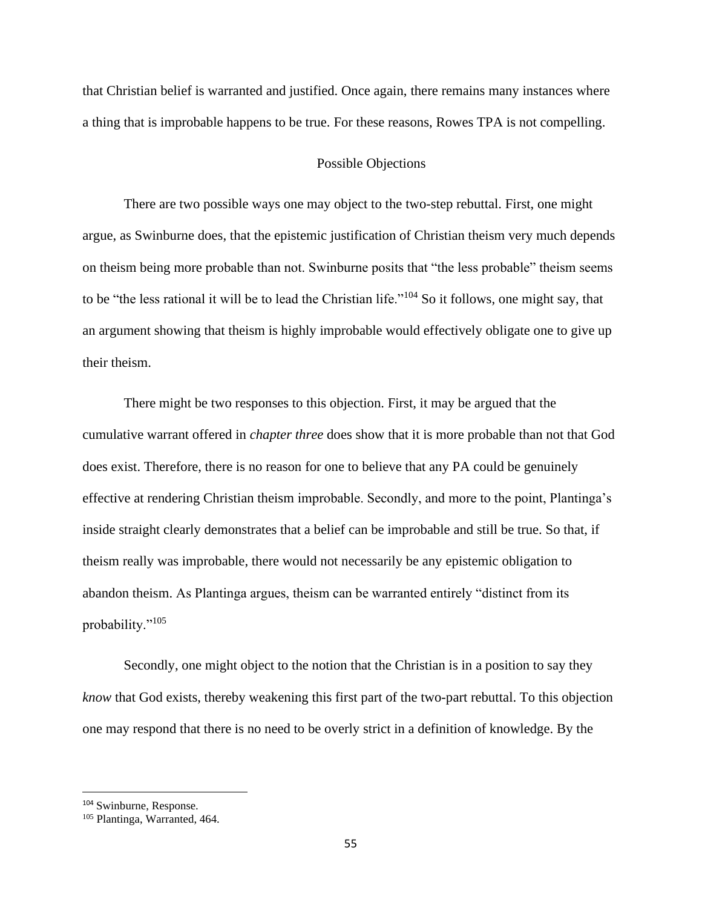that Christian belief is warranted and justified. Once again, there remains many instances where a thing that is improbable happens to be true. For these reasons, Rowes TPA is not compelling.

### Possible Objections

There are two possible ways one may object to the two-step rebuttal. First, one might argue, as Swinburne does, that the epistemic justification of Christian theism very much depends on theism being more probable than not. Swinburne posits that "the less probable" theism seems to be "the less rational it will be to lead the Christian life."<sup>104</sup> So it follows, one might say, that an argument showing that theism is highly improbable would effectively obligate one to give up their theism.

There might be two responses to this objection. First, it may be argued that the cumulative warrant offered in *chapter three* does show that it is more probable than not that God does exist. Therefore, there is no reason for one to believe that any PA could be genuinely effective at rendering Christian theism improbable. Secondly, and more to the point, Plantinga's inside straight clearly demonstrates that a belief can be improbable and still be true. So that, if theism really was improbable, there would not necessarily be any epistemic obligation to abandon theism. As Plantinga argues, theism can be warranted entirely "distinct from its probability."<sup>105</sup>

Secondly, one might object to the notion that the Christian is in a position to say they *know* that God exists, thereby weakening this first part of the two-part rebuttal. To this objection one may respond that there is no need to be overly strict in a definition of knowledge. By the

<sup>104</sup> Swinburne, Response.

<sup>105</sup> Plantinga, Warranted, 464.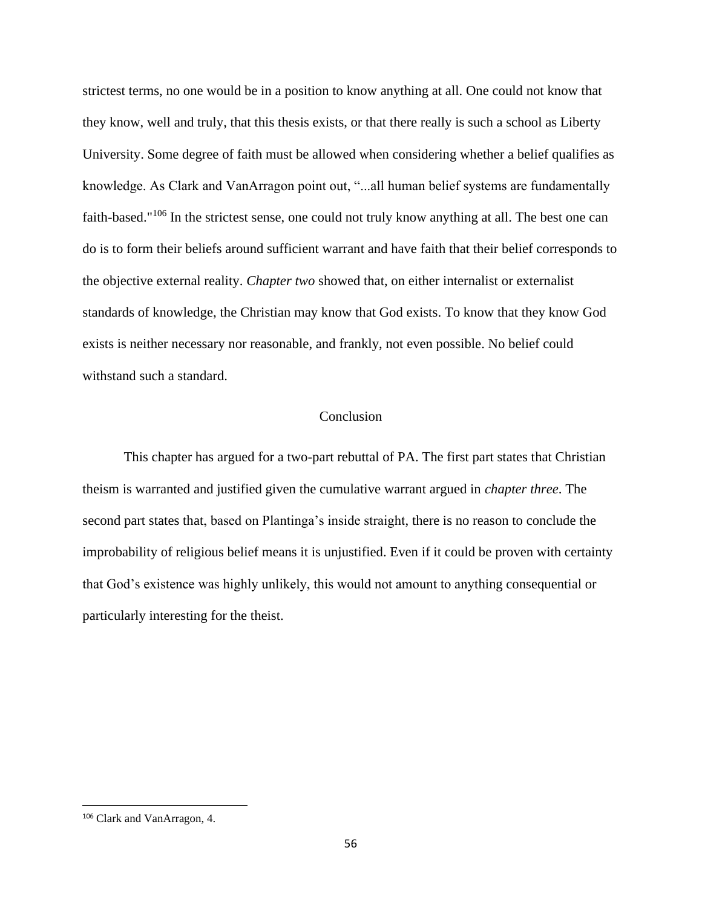strictest terms, no one would be in a position to know anything at all. One could not know that they know, well and truly, that this thesis exists, or that there really is such a school as Liberty University. Some degree of faith must be allowed when considering whether a belief qualifies as knowledge. As Clark and VanArragon point out, "...all human belief systems are fundamentally faith-based."<sup>106</sup> In the strictest sense, one could not truly know anything at all. The best one can do is to form their beliefs around sufficient warrant and have faith that their belief corresponds to the objective external reality. *Chapter two* showed that, on either internalist or externalist standards of knowledge, the Christian may know that God exists. To know that they know God exists is neither necessary nor reasonable, and frankly, not even possible. No belief could withstand such a standard.

## Conclusion

This chapter has argued for a two-part rebuttal of PA. The first part states that Christian theism is warranted and justified given the cumulative warrant argued in *chapter three*. The second part states that, based on Plantinga's inside straight, there is no reason to conclude the improbability of religious belief means it is unjustified. Even if it could be proven with certainty that God's existence was highly unlikely, this would not amount to anything consequential or particularly interesting for the theist.

<sup>106</sup> Clark and VanArragon, 4.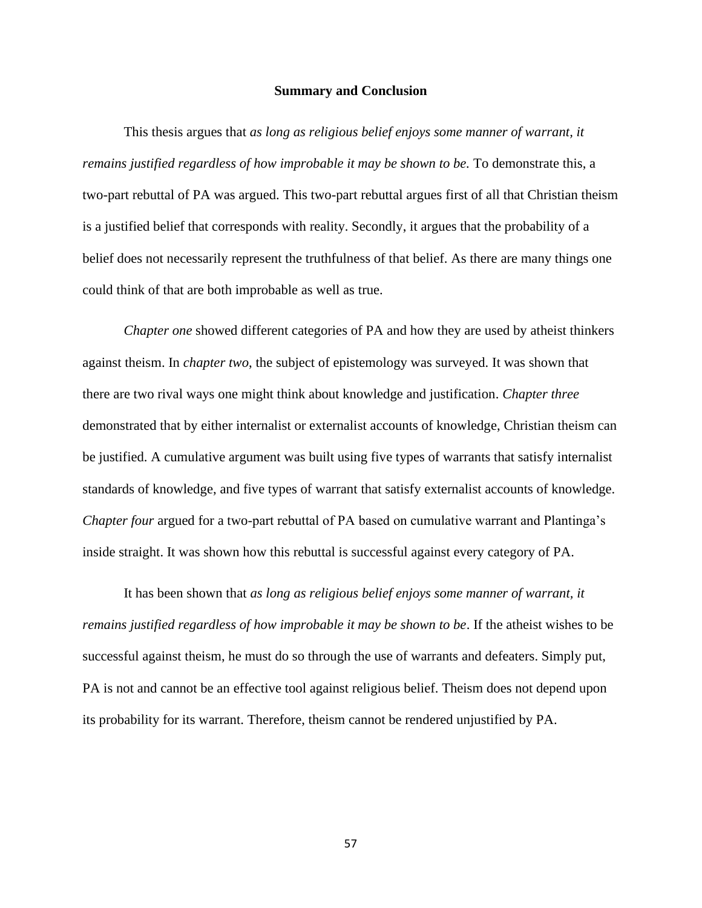#### **Summary and Conclusion**

This thesis argues that *as long as religious belief enjoys some manner of warrant, it remains justified regardless of how improbable it may be shown to be.* To demonstrate this, a two-part rebuttal of PA was argued. This two-part rebuttal argues first of all that Christian theism is a justified belief that corresponds with reality. Secondly, it argues that the probability of a belief does not necessarily represent the truthfulness of that belief. As there are many things one could think of that are both improbable as well as true.

*Chapter one* showed different categories of PA and how they are used by atheist thinkers against theism. In *chapter two*, the subject of epistemology was surveyed. It was shown that there are two rival ways one might think about knowledge and justification. *Chapter three*  demonstrated that by either internalist or externalist accounts of knowledge, Christian theism can be justified. A cumulative argument was built using five types of warrants that satisfy internalist standards of knowledge, and five types of warrant that satisfy externalist accounts of knowledge. *Chapter four* argued for a two-part rebuttal of PA based on cumulative warrant and Plantinga's inside straight. It was shown how this rebuttal is successful against every category of PA.

It has been shown that *as long as religious belief enjoys some manner of warrant, it remains justified regardless of how improbable it may be shown to be*. If the atheist wishes to be successful against theism, he must do so through the use of warrants and defeaters. Simply put, PA is not and cannot be an effective tool against religious belief. Theism does not depend upon its probability for its warrant. Therefore, theism cannot be rendered unjustified by PA.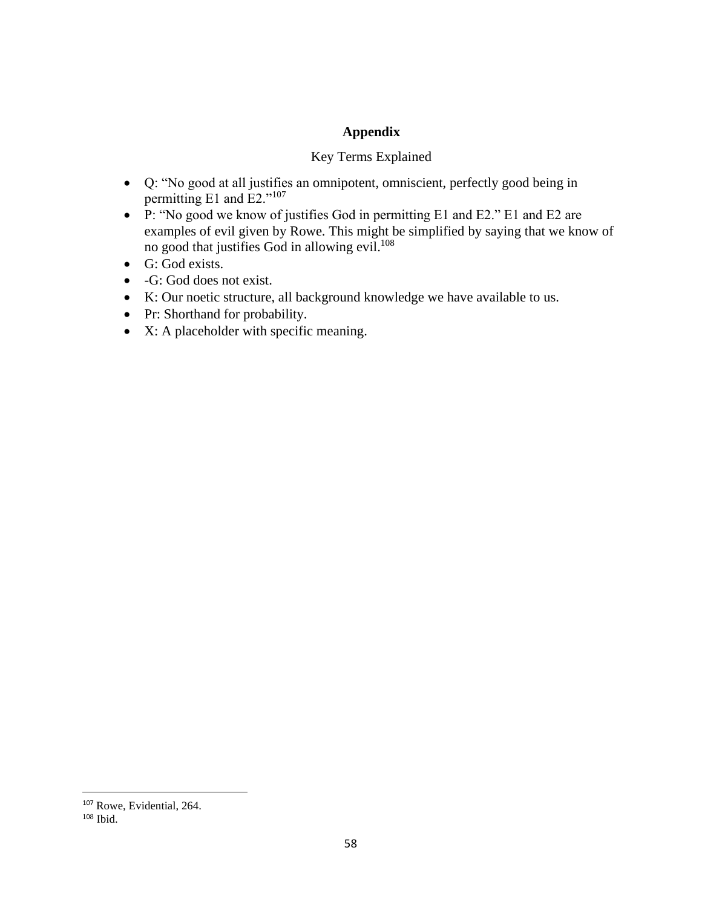## **Appendix**

## Key Terms Explained

- Q: "No good at all justifies an omnipotent, omniscient, perfectly good being in permitting E1 and E2."<sup>107</sup>
- P: "No good we know of justifies God in permitting E1 and E2." E1 and E2 are examples of evil given by Rowe. This might be simplified by saying that we know of no good that justifies God in allowing evil.<sup>108</sup>
- G: God exists.
- -G: God does not exist.
- K: Our noetic structure, all background knowledge we have available to us.
- Pr: Shorthand for probability.
- X: A placeholder with specific meaning.

<sup>&</sup>lt;sup>107</sup> Rowe, Evidential, 264.

 $108$  Ibid.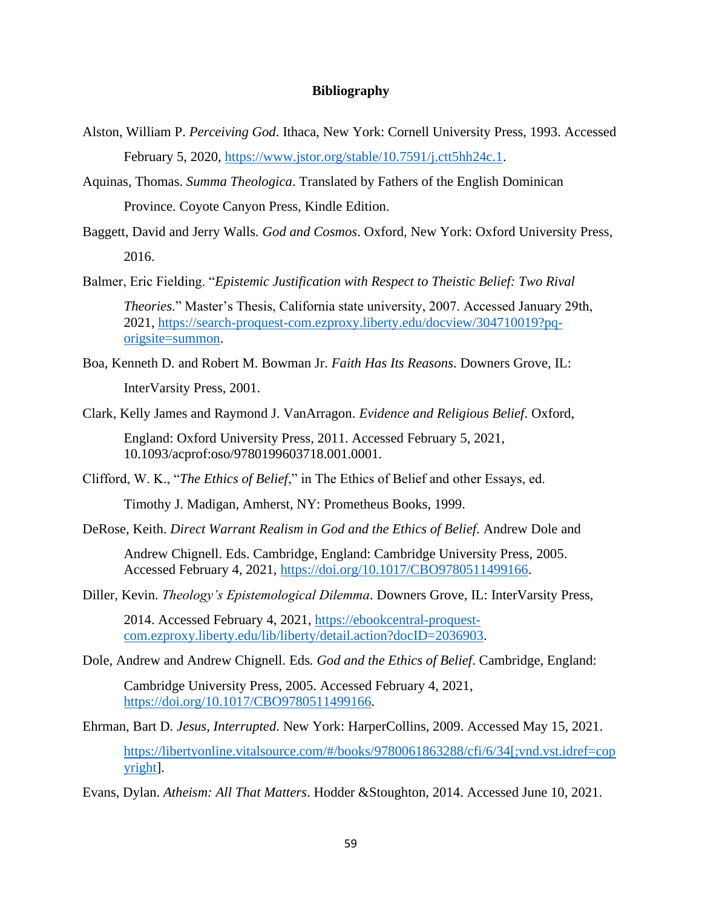## **Bibliography**

- Alston, William P. *Perceiving God*. Ithaca, New York: Cornell University Press, 1993. Accessed February 5, 2020, [https://www.jstor.org/stable/10.7591/j.ctt5hh24c.1.](https://www.jstor.org/stable/10.7591/j.ctt5hh24c.1)
- Aquinas, Thomas. *Summa Theologica*. Translated by Fathers of the English Dominican Province. Coyote Canyon Press, Kindle Edition.
- Baggett, David and Jerry Walls*. God and Cosmos*. Oxford, New York: Oxford University Press, 2016.

Balmer, Eric Fielding. "*Epistemic Justification with Respect to Theistic Belief: Two Rival* 

*Theories*." Master's Thesis, California state university, 2007. Accessed January 29th, 2021, [https://search-proquest-com.ezproxy.liberty.edu/docview/304710019?pq](https://search-proquest-com.ezproxy.liberty.edu/docview/304710019?pq-origsite=summon)[origsite=summon.](https://search-proquest-com.ezproxy.liberty.edu/docview/304710019?pq-origsite=summon)

Boa, Kenneth D. and Robert M. Bowman Jr. *Faith Has Its Reasons*. Downers Grove, IL: InterVarsity Press, 2001.

Clark, Kelly James and Raymond J. VanArragon. *Evidence and Religious Belief*. Oxford,

England: Oxford University Press, 2011. Accessed February 5, 2021, 10.1093/acprof:oso/9780199603718.001.0001.

Clifford, W. K., "*The Ethics of Belief*," in The Ethics of Belief and other Essays, ed.

Timothy J. Madigan, Amherst, NY: Prometheus Books, 1999.

DeRose, Keith. *Direct Warrant Realism in God and the Ethics of Belief*. Andrew Dole and

Andrew Chignell. Eds. Cambridge, England: Cambridge University Press, 2005. Accessed February 4, 2021, [https://doi.org/10.1017/CBO9780511499166.](https://doi.org/10.1017/CBO9780511499166)

Diller, Kevin. *Theology's Epistemological Dilemma*. Downers Grove, IL: InterVarsity Press,

2014. Accessed February 4, 2021, [https://ebookcentral-proquest](https://ebookcentral-proquest-com.ezproxy.liberty.edu/lib/liberty/detail.action?docID=2036903)[com.ezproxy.liberty.edu/lib/liberty/detail.action?docID=2036903.](https://ebookcentral-proquest-com.ezproxy.liberty.edu/lib/liberty/detail.action?docID=2036903)

Dole, Andrew and Andrew Chignell. Eds*. God and the Ethics of Belief*. Cambridge, England:

Cambridge University Press, 2005. Accessed February 4, 2021, [https://doi.org/10.1017/CBO9780511499166.](https://doi.org/10.1017/CBO9780511499166)

Ehrman, Bart D. *Jesus, Interrupted*. New York: HarperCollins, 2009. Accessed May 15, 2021.

[https://libertyonline.vitalsource.com/#/books/9780061863288/cfi/6/34\[;vnd.vst.idref=cop](https://libertyonline.vitalsource.com/#/books/9780061863288/cfi/6/34[;vnd.vst.idref=copyright) [yright\]](https://libertyonline.vitalsource.com/#/books/9780061863288/cfi/6/34[;vnd.vst.idref=copyright).

Evans, Dylan. *Atheism: All That Matters*. Hodder &Stoughton, 2014. Accessed June 10, 2021.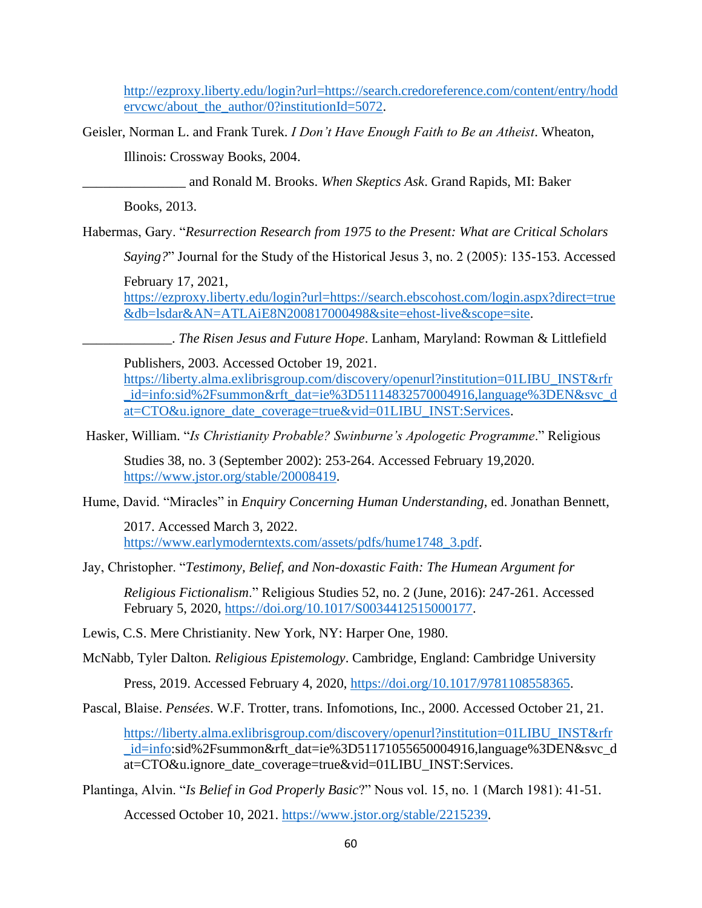http://ezproxy.liberty.edu/login?url=https://search.credoreference.com/content/entry/hodd ervcwc/about\_the\_author/0?institutionId=5072.

Geisler, Norman L. and Frank Turek. *I Don't Have Enough Faith to Be an Atheist*. Wheaton,

Illinois: Crossway Books, 2004.

\_\_\_\_\_\_\_\_\_\_\_\_\_\_\_ and Ronald M. Brooks. *When Skeptics Ask*. Grand Rapids, MI: Baker

Books, 2013.

Habermas, Gary. "*Resurrection Research from 1975 to the Present: What are Critical Scholars* 

*Saying?*" Journal for the Study of the Historical Jesus 3, no. 2 (2005): 135-153. Accessed

February 17, 2021,

https://ezproxy.liberty.edu/login?url=https://search.ebscohost.com/login.aspx?direct=true &db=lsdar&AN=ATLAiE8N200817000498&site=ehost-live&scope=site.

\_\_\_\_\_\_\_\_\_\_\_\_\_. *The Risen Jesus and Future Hope*. Lanham, Maryland: Rowman & Littlefield

Publishers, 2003. Accessed October 19, 2021.

https://liberty.alma.exlibrisgroup.com/discovery/openurl?institution=01LIBU\_INST&rfr \_id=info:sid%2Fsummon&rft\_dat=ie%3D51114832570004916,language%3DEN&svc\_d at=CTO&u.ignore\_date\_coverage=true&vid=01LIBU\_INST:Services.

Hasker, William. "*Is Christianity Probable? Swinburne's Apologetic Programme*." Religious

Studies 38, no. 3 (September 2002): 253-264. Accessed February 19,2020. https://www.jstor.org/stable/20008419.

Hume, David. "Miracles" in *Enquiry Concerning Human Understanding*, ed. Jonathan Bennett,

2017. Accessed March 3, 2022. https://www.earlymoderntexts.com/assets/pdfs/hume1748\_3.pdf.

Jay, Christopher. "*Testimony, Belief, and Non-doxastic Faith: The Humean Argument for*

*Religious Fictionalism*." Religious Studies 52, no. 2 (June, 2016): 247-261. Accessed February 5, 2020, https://doi.org/10.1017/S0034412515000177.

Lewis, C.S. Mere Christianity. New York, NY: Harper One, 1980.

McNabb, Tyler Dalton*. Religious Epistemology*. Cambridge, England: Cambridge University

Press, 2019. Accessed February 4, 2020, https://doi.org/10.1017/9781108558365.

Pascal, Blaise. *Pensées*. W.F. Trotter, trans. Infomotions, Inc., 2000. Accessed October 21, 21.

https://liberty.alma.exlibrisgroup.com/discovery/openurl?institution=01LIBU\_INST&rfr \_id=info:sid%2Fsummon&rft\_dat=ie%3D51171055650004916,language%3DEN&svc\_d at=CTO&u.ignore\_date\_coverage=true&vid=01LIBU\_INST:Services.

Plantinga, Alvin. "*Is Belief in God Properly Basic*?" Nous vol. 15, no. 1 (March 1981): 41-51.

Accessed October 10, 2021. https://www.jstor.org/stable/2215239.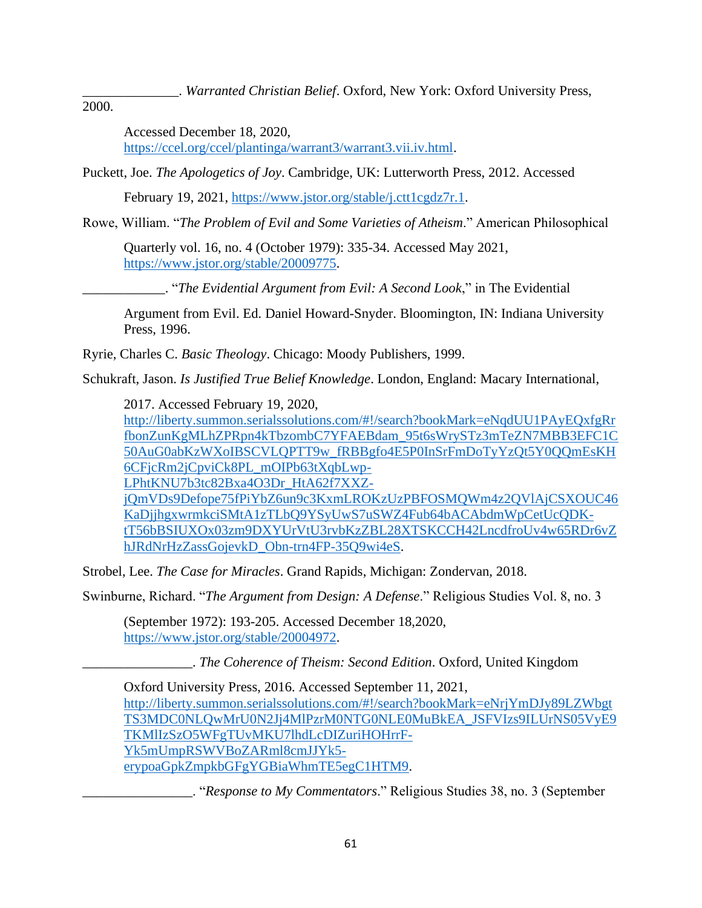\_\_\_\_\_\_\_\_\_\_\_\_\_\_. *Warranted Christian Belief*. Oxford, New York: Oxford University Press,

2000.

Accessed December 18, 2020, https://ccel.org/ccel/plantinga/warrant3/warrant3.vii.iv.html.

Puckett, Joe. *The Apologetics of Joy*. Cambridge, UK: Lutterworth Press, 2012. Accessed

February 19, 2021, https://www.jstor.org/stable/j.ctt1cgdz7r.1.

Rowe, William. "*The Problem of Evil and Some Varieties of Atheism*." American Philosophical

Quarterly vol. 16, no. 4 (October 1979): 335-34. Accessed May 2021, https://www.jstor.org/stable/20009775.

\_\_\_\_\_\_\_\_\_\_\_\_. "*The Evidential Argument from Evil: A Second Look*," in The Evidential

Argument from Evil. Ed. Daniel Howard-Snyder. Bloomington, IN: Indiana University Press, 1996.

Ryrie, Charles C. *Basic Theology*. Chicago: Moody Publishers, 1999.

Schukraft, Jason. *Is Justified True Belief Knowledge*. London, England: Macary International,

2017. Accessed February 19, 2020,

http://liberty.summon.serialssolutions.com/#!/search?bookMark=eNqdUU1PAyEQxfgRr fbonZunKgMLhZPRpn4kTbzombC7YFAEBdam\_95t6sWrySTz3mTeZN7MBB3EFC1C 50AuG0abKzWXoIBSCVLQPTT9w\_fRBBgfo4E5P0InSrFmDoTyYzQt5Y0QQmEsKH 6CFjcRm2jCpviCk8PL\_mOIPb63tXqbLwp-

LPhtKNU7b3tc82Bxa4O3Dr\_HtA62f7XXZ-

jQmVDs9Defope75fPiYbZ6un9c3KxmLROKzUzPBFOSMQWm4z2QVlAjCSXOUC46 KaDjjhgxwrmkciSMtA1zTLbQ9YSyUwS7uSWZ4Fub64bACAbdmWpCetUcQDKtT56bBSIUXOx03zm9DXYUrVtU3rvbKzZBL28XTSKCCH42LncdfroUv4w65RDr6vZ hJRdNrHzZassGojevkD\_Obn-trn4FP-35Q9wi4eS.

Strobel, Lee. *The Case for Miracles*. Grand Rapids, Michigan: Zondervan, 2018.

Swinburne, Richard. "*The Argument from Design: A Defense*." Religious Studies Vol. 8, no. 3

(September 1972): 193-205. Accessed December 18,2020, https://www.jstor.org/stable/20004972.

\_\_\_\_\_\_\_\_\_\_\_\_\_\_\_\_. *The Coherence of Theism: Second Edition*. Oxford, United Kingdom

Oxford University Press, 2016. Accessed September 11, 2021, http://liberty.summon.serialssolutions.com/#!/search?bookMark=eNrjYmDJy89LZWbgt TS3MDC0NLQwMrU0N2Jj4MlPzrM0NTG0NLE0MuBkEA\_JSFVIzs9ILUrNS05VyE9 TKMlIzSzO5WFgTUvMKU7lhdLcDIZuriHOHrrF-Yk5mUmpRSWVBoZARml8cmJJYk5 erypoaGpkZmpkbGFgYGBiaWhmTE5egC1HTM9.

\_\_\_\_\_\_\_\_\_\_\_\_\_\_\_\_. "*Response to My Commentators*." Religious Studies 38, no. 3 (September